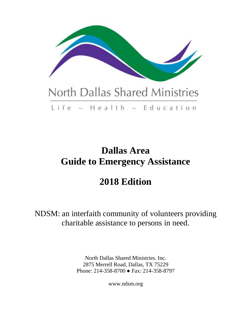

# Life - Health - Education

# **Dallas Area Guide to Emergency Assistance**

# **2018 Edition**

NDSM: an interfaith community of volunteers providing charitable assistance to persons in need.

> North Dallas Shared Ministries. Inc. 2875 Merrell Road, Dallas, TX 75229 Phone: 214-358-8700 ● Fax: 214-358-8797

> > www.ndsm.org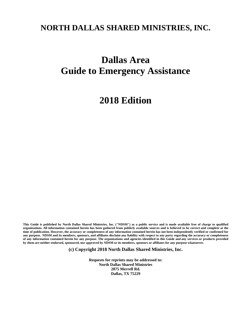# **NORTH DALLAS SHARED MINISTRIES, INC.**

# **Dallas Area Guide to Emergency Assistance**

# **2018 Edition**

This Guide is published by North Dallas Shared Ministries, Inc. ("NDSM") as a public service and is made available free of charge to qualified organizations. All information contained herein has been gathered from publicly available sources and is believed to be correct and complete at the time of publication. However, the accuracy or completeness of any information contained herein has not been independently verified or confirmed for any purpose. NDSM and its members, sponsors, and affiliates disclaim any liability with respect to any party regarding the accuracy or completeness of any information contained herein for any purpose. The organizations and agencies identified in this Guide and any services or products provided by them are neither endorsed, sponsored, nor approved by NDSM or its members, sponsors or affiliates for any purpose whatsoever.

**(c) Copyright 2018 North Dallas Shared Ministries, Inc.**

**Requests for reprints may be addressed to: North Dallas Shared Ministries 2875 Merrell Rd. Dallas, TX 75229**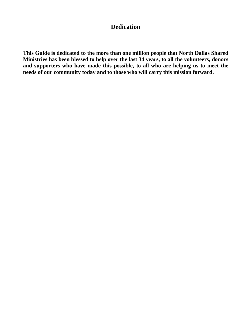### **Dedication**

**This Guide is dedicated to the more than one million people that North Dallas Shared Ministries has been blessed to help over the last 34 years, to all the volunteers, donors and supporters who have made this possible, to all who are helping us to meet the needs of our community today and to those who will carry this mission forward.**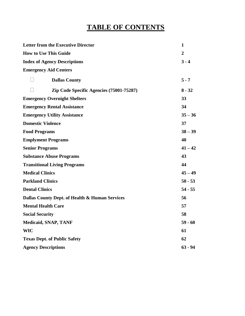# **TABLE OF CONTENTS**

| <b>Letter from the Executive Director</b>      | $\mathbf{1}$   |
|------------------------------------------------|----------------|
| <b>How to Use This Guide</b>                   | $\overline{2}$ |
| <b>Index of Agency Descriptions</b>            | $3 - 4$        |
| <b>Emergency Aid Centers</b>                   |                |
| <b>Dallas County</b>                           | $5 - 7$        |
| Zip Code Specific Agencies (75001-75287)       | $8 - 32$       |
| <b>Emergency Overnight Shelters</b>            | 33             |
| <b>Emergency Rental Assistance</b>             | 34             |
| <b>Emergency Utility Assistance</b>            | $35 - 36$      |
| <b>Domestic Violence</b>                       | 37             |
| <b>Food Programs</b>                           | $38 - 39$      |
| <b>Emplyment Programs</b>                      | 40             |
| <b>Senior Programs</b>                         | $41 - 42$      |
| <b>Substance Abuse Programs</b>                | 43             |
| <b>Transitional Living Programs</b>            | 44             |
| <b>Medical Clinics</b>                         | $45 - 49$      |
| <b>Parkland Clinics</b>                        | $50 - 53$      |
| <b>Dental Clinics</b>                          | $54 - 55$      |
| Dallas County Dept. of Health & Human Services | 56             |
| <b>Mental Health Care</b>                      | 57             |
| <b>Social Security</b>                         | 58             |
| <b>Medicaid, SNAP, TANF</b>                    | $59 - 60$      |
| <b>WIC</b>                                     | 61             |
| <b>Texas Dept. of Public Safety</b>            | 62             |
| <b>Agency Descriptions</b>                     | $63 - 94$      |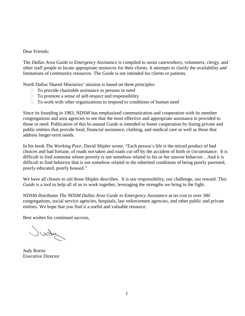#### Dear Friends:

The *Dallas Area Guide to Emergency Assistance* is compiled to assist caseworkers, volunteers, clergy, and other staff people to locate appropriate resources for their clients. It attempts to clarify the availability and limitations of community resources. The *Guide* is not intended for clients or patients.

North Dallas Shared Ministries' mission is based on three principles:

- $\Box$  To provide charitable assistance to persons in need
- $\Box$  To promote a sense of self-respect and responsibility
- $\Box$  To work with other organizations to respond to conditions of human need

Since its founding in 1983, NDSM has emphasized communication and cooperation with its member congregations and area agencies to see that the most effective and appropriate assistance is provided to those in need. Publication of this bi-annual Guide is intended to foster cooperation by listing private and public entities that provide food, financial assistance, clothing, and medical care as well as those that address longer-term needs.

In his book *The Working Poor*, David Shipler wrote, "Each person's life is the mixed product of bad choices and bad fortune, of roads not taken and roads cut off by the accident of birth or circumstance. It is difficult to find someone whose poverty is not somehow related to his or her unwise behavior…And it is difficult to find behavior that is not somehow related to the inherited conditions of being poorly parented, poorly educated, poorly housed."

We have all chosen to aid those Shipler describes. It is our responsibility, our challenge, our reward. This *Guide* is a tool to help all of us to work together, leveraging the strengths we bring to the fight.

NDSM distributes *The NDSM Dallas Area Guide to Emergency Assistance* at no cost to over 300 congregations, social service agencies, hospitals, law enforcement agencies, and other public and private entities. We hope that you find it a useful and valuable resource.

Best wishes for continued success,

Judy

Judy Rorrie Executive Director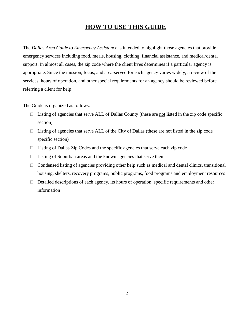#### **HOW TO USE THIS GUIDE**

The *Dallas Area Guide to Emergency Assistance* is intended to highlight those agencies that provide emergency services including food, meals, housing, clothing, financial assistance, and medical/dental support. In almost all cases, the zip code where the client lives determines if a particular agency is appropriate. Since the mission, focus, and area-served for each agency varies widely, a review of the services, hours of operation, and other special requirements for an agency should be reviewed before referring a client for help.

The Guide is organized as follows:

- $\Box$  Listing of agencies that serve ALL of Dallas County (these are not listed in the zip code specific section)
- $\Box$  Listing of agencies that serve ALL of the City of Dallas (these are not listed in the zip code specific section)
- $\Box$  Listing of Dallas Zip Codes and the specific agencies that serve each zip code
- $\Box$  Listing of Suburban areas and the known agencies that serve them
- $\Box$  Condensed listing of agencies providing other help such as medical and dental clinics, transitional housing, shelters, recovery programs, public programs, food programs and employment resources
- $\Box$  Detailed descriptions of each agency, its hours of operation, specific requirements and other information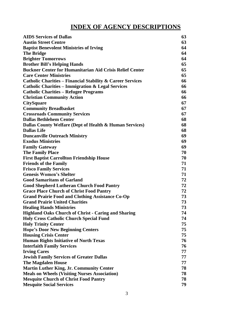# **INDEX OF AGENCY DESCRIPTIONS**

| <b>AIDS Services of Dallas</b>                                        | 63 |
|-----------------------------------------------------------------------|----|
| <b>Austin Street Centre</b>                                           | 63 |
| <b>Baptist Benevolent Ministries of Irving</b>                        | 64 |
| <b>The Bridge</b>                                                     | 64 |
| <b>Brighter Tomorrows</b>                                             | 64 |
| <b>Brother Bill's Helping Hands</b>                                   | 65 |
| <b>Buckner Center for Humanitarian Aid Crisis Relief Center</b>       | 65 |
| <b>Care Center Ministries</b>                                         | 65 |
| <b>Catholic Charities – Financial Stability &amp; Career Services</b> | 66 |
| <b>Catholic Charities - Immigration &amp; Legal Services</b>          | 66 |
| <b>Catholic Charities - Refugee Programs</b>                          | 66 |
| <b>Christian Community Action</b>                                     | 66 |
| <b>CitySquare</b>                                                     | 67 |
| <b>Community Breadbasket</b>                                          | 67 |
| <b>Crossroads Community Services</b>                                  | 67 |
| <b>Dallas Bethlehem Center</b>                                        | 68 |
| Dallas County Welfare (Dept of Health & Human Services)               | 68 |
| <b>Dallas Life</b>                                                    | 68 |
| <b>Duncanville Outreach Ministry</b>                                  | 69 |
| <b>Exodus Ministries</b>                                              | 69 |
| <b>Family Gateway</b>                                                 | 69 |
| <b>The Family Place</b>                                               | 70 |
| <b>First Baptist Carrollton Friendship House</b>                      | 70 |
| <b>Friends of the Family</b>                                          | 71 |
| <b>Frisco Family Services</b>                                         | 71 |
| <b>Genesis Women's Shelter</b>                                        | 71 |
| <b>Good Samaritans of Garland</b>                                     | 72 |
| <b>Good Shepherd Lutheran Church Food Pantry</b>                      | 72 |
| <b>Grace Place Church of Christ Food Pantry</b>                       | 72 |
| <b>Grand Prairie Food and Clothing Assistance Co-Op</b>               | 73 |
| <b>Grand Prairie United Charities</b>                                 | 73 |
| <b>Healing Hands Ministries</b>                                       | 73 |
| <b>Highland Oaks Church of Christ - Caring and Sharing</b>            | 74 |
| <b>Holy Cross Catholic Church Special Fund</b>                        | 74 |
| <b>Holy Trinity Center</b>                                            | 75 |
| <b>Hope's Door New Beginning Centers</b>                              | 75 |
| <b>Housing Crisis Center</b>                                          | 75 |
| <b>Human Rights Initiative of North Texas</b>                         | 76 |
| <b>Interfaith Family Services</b>                                     | 76 |
| <b>Irving Cares</b>                                                   | 77 |
| <b>Jewish Family Services of Greater Dallas</b>                       | 77 |
| <b>The Magdalen House</b>                                             | 77 |
| <b>Martin Luther King, Jr. Community Center</b>                       | 78 |
| <b>Meals on Wheels (Visiting Nurses Association)</b>                  | 78 |
| <b>Mesquite Church of Christ Food Pantry</b>                          | 78 |
| <b>Mesquite Social Services</b>                                       | 79 |
|                                                                       |    |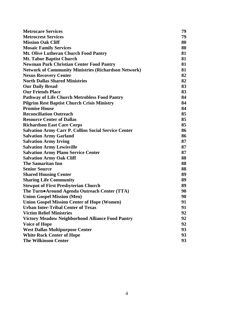| <b>Metrocare Services</b>                                   | 79 |
|-------------------------------------------------------------|----|
| <b>Metrocrest Services</b>                                  | 79 |
| <b>Mission Oak Cliff</b>                                    | 80 |
| <b>Mosaic Family Services</b>                               | 80 |
| <b>Mt. Olive Lutheran Church Food Pantry</b>                | 81 |
| <b>Mt. Tabor Baptist Church</b>                             | 81 |
| <b>Newman Park Christian Center Food Pantry</b>             | 81 |
| <b>Network of Community Ministries (Richardson Network)</b> | 81 |
| <b>Nexus Recovery Center</b>                                | 82 |
| <b>North Dallas Shared Ministries</b>                       | 82 |
| <b>Our Daily Bread</b>                                      | 83 |
| <b>Our Friends Place</b>                                    | 83 |
| <b>Pathway of Life Church Metrobless Food Pantry</b>        | 84 |
| <b>Pilgrim Rest Baptist Church Crisis Ministry</b>          | 84 |
| <b>Promise House</b>                                        | 84 |
| <b>Reconciliation Outreach</b>                              | 85 |
| <b>Resource Center of Dallas</b>                            | 85 |
| <b>Richardson East Care Corps</b>                           | 85 |
| <b>Salvation Army Carr P. Collins Social Service Center</b> | 86 |
| <b>Salvation Army Garland</b>                               | 86 |
| <b>Salvation Army Irving</b>                                | 87 |
| <b>Salvation Army Lewisville</b>                            | 87 |
| <b>Salvation Army Plano Service Center</b>                  | 87 |
| <b>Salvation Army Oak Cliff</b>                             | 88 |
| <b>The Samaritan Inn</b>                                    | 88 |
| <b>Senior Source</b>                                        | 88 |
| <b>Shared Housing Center</b>                                | 89 |
| <b>Sharing Life Community</b>                               | 89 |
| <b>Stewpot of First Presbyterian Church</b>                 | 89 |
| The Turn•Around Agenda Outreach Center (TTA)                | 90 |
| <b>Union Gospel Mission (Men)</b>                           | 90 |
| <b>Union Gospel Mission Center of Hope (Women)</b>          | 91 |
| <b>Urban Inter-Tribal Center of Texas</b>                   | 91 |
| <b>Victim Relief Ministries</b>                             | 92 |
| <b>Victory Meadow Neighborhood Alliance Food Pantry</b>     | 92 |
| <b>Voice of Hope</b>                                        | 92 |
| <b>West Dallas Multipurpose Center</b>                      | 93 |
| <b>White Rock Center of Hope</b>                            | 93 |
| <b>The Wilkinson Center</b>                                 | 93 |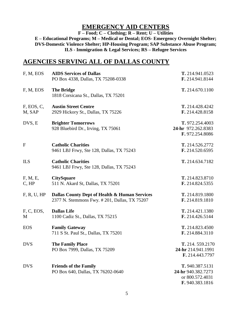#### **EMERGENCY AID CENTERS**

**F – Food; C – Clothing; R – Rent; U – Utilities**

**E – Educational Programs; M – Medical or Dental; EOS- Emergency Overnight Shelter; DVS-Domestic Violence Shelter; HP-Housing Program; SAP Substance Abuse Program; ILS - Immigration & Legal Services; RS – Refugee Services**

#### **AGENCIES SERVING ALL OF DALLAS COUNTY**

| F, M, EOS            | <b>AIDS Services of Dallas</b>                                                                 | T. 214.941.0523                                                             |
|----------------------|------------------------------------------------------------------------------------------------|-----------------------------------------------------------------------------|
|                      | PO Box 4338, Dallas, TX 75208-0338                                                             | F. 214.941.8144                                                             |
| F, M, EOS            | <b>The Bridge</b><br>1818 Corsicana St., Dallas, TX 75201                                      | T. 214.670.1100                                                             |
| F, EOS, C,<br>M, SAP | <b>Austin Street Centre</b><br>2929 Hickory St., Dallas, TX 75226                              | T. 214.428.4242<br>F. 214.428.8158                                          |
| DVS, E               | <b>Brighter Tomorrows</b><br>928 Bluebird Dr., Irving, TX 75061                                | T. 972.254.4003<br>24-hr 972.262.8383<br>F. 972.254.8086                    |
| $\mathbf{F}$         | <b>Catholic Charities</b><br>9461 LBJ Frwy, Ste 128, Dallas, TX 75243                          | T. 214.526.2772<br>F. 214.520.6595                                          |
| <b>ILS</b>           | <b>Catholic Charities</b><br>9461 LBJ Frwy, Ste 128, Dallas, TX 75243                          | T. 214.634.7182                                                             |
| F, M, E,<br>C, HP    | <b>CitySquare</b><br>511 N. Akard St, Dallas, TX 75201                                         | T. 214.823.8710<br>F. 214.824.5355                                          |
| F, R, U, HP          | Dallas County Dept of Health & Human Services<br>2377 N. Stemmons Fwy. # 201, Dallas, TX 75207 | T. 214.819.1800<br>F. 214.819.1810                                          |
| F, C, EOS,<br>M      | <b>Dallas Life</b><br>1100 Cadiz St., Dallas, TX 75215                                         | T. 214.421.1380<br>F. 214.426.5144                                          |
| <b>EOS</b>           | <b>Family Gateway</b><br>711 S St. Paul St., Dallas, TX 75201                                  | T. 214.823.4500<br>F. 214.884.3110                                          |
| <b>DVS</b>           | <b>The Family Place</b><br>PO Box 7999, Dallas, TX 75209                                       | T. 214, 559.2170<br>24-hr 214.941.1991<br>F. 214.443.7797                   |
| <b>DVS</b>           | <b>Friends of the Family</b><br>PO Box 640, Dallas, TX 76202-0640                              | T. 940.387.5131<br>24-hr 940.382.7273<br>or 800.572.4031<br>F. 940.383.1816 |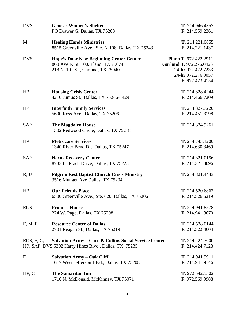| <b>DVS</b>  | <b>Genesis Women's Shelter</b><br>PO Drawer G, Dallas, TX 75208                                                                         | T. 214.946.4357<br>F. 214.559.2361                                                                              |
|-------------|-----------------------------------------------------------------------------------------------------------------------------------------|-----------------------------------------------------------------------------------------------------------------|
| M           | <b>Healing Hands Ministries</b><br>8515 Greenville Ave., Ste. N-108, Dallas, TX 75243                                                   | T. 214.221.0855<br>F. 214.221.1437                                                                              |
| <b>DVS</b>  | <b>Hope's Door New Beginning Center Center</b><br>860 Ave F. St. 100, Plano, TX 75074<br>218 N. 10 <sup>th</sup> St., Garland, TX 75040 | Plano T. 972.422.2911<br>Garland T. 972.276.0423<br>24-hr 972.422.7233<br>24-hr 972.276.0057<br>F. 972.423.4154 |
| HP          | <b>Housing Crisis Center</b><br>4210 Junius St., Dallas, TX 75246-1429                                                                  | T. 214.828.4244<br>F. 214.466.7209                                                                              |
| HP          | <b>Interfaith Family Services</b><br>5600 Ross Ave., Dallas, TX 75206                                                                   | T. 214.827.7220<br>F. 214.451.3198                                                                              |
| <b>SAP</b>  | <b>The Magdalen House</b><br>1302 Redwood Circle, Dallas, TX 75218                                                                      | T. 214.324.9261                                                                                                 |
| HP          | <b>Metrocare Services</b><br>1340 River Bend Dr., Dallas, TX 75247                                                                      | T. 214.743.1200<br>F. 214.630.3469                                                                              |
| <b>SAP</b>  | <b>Nexus Recovery Center</b><br>8733 La Prada Drive, Dallas, TX 75228                                                                   | T. 214.321.0156<br>F. 214.321.3096                                                                              |
| R, U        | <b>Pilgrim Rest Baptist Church Crisis Ministry</b><br>3516 Munger Ave Dallas, TX 75204                                                  | T. 214.821.4443                                                                                                 |
| HP          | <b>Our Friends Place</b><br>6500 Greenville Ave., Ste. 620, Dallas, TX 75206                                                            | T. 214.520.6862<br>F. 214.526.6219                                                                              |
| <b>EOS</b>  | <b>Promise House</b><br>224 W. Page, Dallas, TX 75208                                                                                   | T. 214.941.8578<br>F. 214.941.8670                                                                              |
| F, M, E     | <b>Resource Center of Dallas</b><br>2701 Reagan St., Dallas, TX 75219                                                                   | T. 214.528.0144<br>F. 214.522.4604                                                                              |
| EOS, F, C,  | <b>Salvation Army-Carr P. Collins Social Service Center</b><br>HP, SAP, DVS 5302 Harry Hines Blvd., Dallas, TX 75235                    | T. 214.424.7000<br>F. 214.424.7123                                                                              |
| $\mathbf F$ | <b>Salvation Army – Oak Cliff</b><br>1617 West Jefferson Blvd., Dallas, TX 75208                                                        | T. 214.941.5911<br>F. 214.941.9146                                                                              |
| HP, C       | <b>The Samaritan Inn</b><br>1710 N. McDonald, McKinney, TX 75071                                                                        | T. 972.542.5302<br>F. 972.569.9988                                                                              |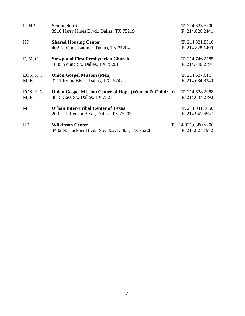| U, HP     | <b>Senior Source</b>                                   | T. 214.823.5700      |
|-----------|--------------------------------------------------------|----------------------|
|           | 3910 Harry Hines Blvd., Dallas, TX 75219               | F. 214.826.2441      |
| HP        | <b>Shared Housing Center</b>                           | T. 214.821.8510      |
|           | 402 N. Good Latimer, Dallas, TX 75204                  | F. 214.828.1499      |
| E, M, C   | <b>Stewpot of First Presbyterian Church</b>            | T. 214.746.2785      |
|           | 1835 Young St., Dallas, TX 75201                       | F. 214.746.2791      |
| EOS, F, C | <b>Union Gospel Mission (Men)</b>                      | T. 214.637.6117      |
| M, E      | 3211 Irving Blvd., Dallas, TX 75247                    | F. 214.634.8340      |
| EOS, F, C | Union Gospel Mission Center of Hope (Women & Children) | T. 214.638.2988      |
| M, E      | 4815 Cass St., Dallas, TX 75235                        | F. 214.637.2790      |
| M         | <b>Urban Inter-Tribal Center of Texas</b>              | T. 214.941.1050      |
|           | 209 E. Jefferson Blvd., Dallas, TX 75203               | F. 214.941.6537      |
| HP        | <b>Wilkinson Center</b>                                | T. 214.821.6380 x200 |
|           | 3402 N. Buckner Blvd., Ste. 302, Dallas, TX 75228      | F. 214.827.1972      |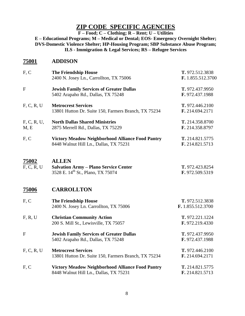### **ZIP CODE SPECIFIC AGENCIES**

**F – Food; C – Clothing; R – Rent; U – Utilities**

**E – Educational Programs; M – Medical or Dental; EOS- Emergency Overnight Shelter; DVS-Domestic Violence Shelter; HP-Housing Program; SBP Substance Abuse Program; ILS - Immigration & Legal Services; RS – Refugee Services**

#### **75001 ADDISON**

| F, C                | <b>The Friendship House</b>                                  | T. 972.512.3838   |
|---------------------|--------------------------------------------------------------|-------------------|
|                     | 2400 N. Josey Ln., Carrollton, TX 75006                      | F. 1.855.512.3700 |
| $\mathbf{F}$        | <b>Jewish Family Services of Greater Dallas</b>              | T. 972.437.9950   |
|                     | 5402 Arapaho Rd., Dallas, TX 75248                           | F. 972.437.1988   |
| F, C, R, U          | <b>Metrocrest Services</b>                                   | T. 972.446.2100   |
|                     | 13801 Hutton Dr. Suite 150, Farmers Branch, TX 75234         | F. 214.694.2171   |
| F, C, R, U,         | <b>North Dallas Shared Ministries</b>                        | T. 214.358.8700   |
| M, E                | 2875 Merrell Rd., Dallas, TX 75229                           | F. 214.358.8797   |
| F, C                | <b>Victory Meadow Neighborhood Alliance Food Pantry</b>      | T. 214.821.5775   |
|                     | 8448 Walnut Hill Ln., Dallas, TX 75231                       | F. 214.821.5713   |
|                     |                                                              |                   |
| 75002<br>F, C, R, U | <b>ALLEN</b><br><b>Salvation Army - Plano Service Center</b> | T. 972.423.8254   |
|                     | 3528 E. 14 <sup>th</sup> St., Plano, TX 75074                | F. 972.509.5319   |
|                     |                                                              |                   |
| 75006               | <b>CARROLLTON</b>                                            |                   |
| F, C                | <b>The Friendship House</b>                                  | T. 972.512.3838   |
|                     | 2400 N. Josey Ln. Carrollton, TX 75006                       | F. 1.855.512.3700 |
| F, R, U             | <b>Christian Community Action</b>                            | T. 972.221.1224   |
|                     | 200 S. Mill St., Lewisville, TX 75057                        | F. 972.219.4330   |
| $\mathbf{F}$        | <b>Jewish Family Services of Greater Dallas</b>              | T. 972.437.9950   |
|                     | 5402 Arapaho Rd., Dallas, TX 75248                           | F. 972.437.1988   |
| F, C, R, U          | <b>Metrocrest Services</b>                                   | T. 972.446.2100   |
|                     | 13801 Hutton Dr. Suite 150, Farmers Branch, TX 75234         | F. 214.694.2171   |
| F, C                | <b>Victory Meadow Neighborhood Alliance Food Pantry</b>      | T. 214.821.5775   |
|                     | 8448 Walnut Hill Ln., Dallas, TX 75231                       | F. 214.821.5713   |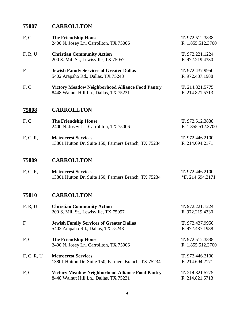## **75007 CARROLLTON**

| F, C         | <b>The Friendship House</b><br>2400 N. Josey Ln. Carrollton, TX 75006                             | T. 972.512.3838<br>F. 1.855.512.3700  |
|--------------|---------------------------------------------------------------------------------------------------|---------------------------------------|
| F, R, U      | <b>Christian Community Action</b><br>200 S. Mill St., Lewisville, TX 75057                        | T. 972.221.1224<br>F. 972.219.4330    |
| F            | <b>Jewish Family Services of Greater Dallas</b><br>5402 Arapaho Rd., Dallas, TX 75248             | T. 972.437.9950<br>F. 972.437.1988    |
| F, C         | <b>Victory Meadow Neighborhood Alliance Food Pantry</b><br>8448 Walnut Hill Ln., Dallas, TX 75231 | T. 214.821.5775<br>F. 214.821.5713    |
| <u>75008</u> | <b>CARROLLTON</b>                                                                                 |                                       |
| F, C         | <b>The Friendship House</b><br>2400 N. Josey Ln. Carrollton, TX 75006                             | T. 972.512.3838<br>F. 1.855.512.3700  |
| F, C, R, U   | <b>Metrocrest Services</b><br>13801 Hutton Dr. Suite 150, Farmers Branch, TX 75234                | T. 972.446.2100<br>F. 214.694.2171    |
| 75009        | <b>CARROLLTON</b>                                                                                 |                                       |
| F, C, R, U   | <b>Metrocrest Services</b><br>13801 Hutton Dr. Suite 150, Farmers Branch, TX 75234                | T. 972.446.2100<br>$*F. 214.694.2171$ |
| <u>75010</u> | <b>CARROLLTON</b>                                                                                 |                                       |
| F, R, U      | <b>Christian Community Action</b><br>200 S. Mill St., Lewisville, TX 75057                        | T. 972.221.1224<br>F. 972.219.4330    |
| F            | <b>Jewish Family Services of Greater Dallas</b><br>5402 Arapaho Rd., Dallas, TX 75248             | T. 972.437.9950<br>F. 972.437.1988    |
| F, C         | <b>The Friendship House</b><br>2400 N. Josey Ln. Carrollton, TX 75006                             | T. 972.512.3838<br>F. 1.855.512.3700  |
| F, C, R, U   | <b>Metrocrest Services</b><br>13801 Hutton Dr. Suite 150, Farmers Branch, TX 75234                | T. 972.446.2100<br>F. 214.694.2171    |
| F, C         | <b>Victory Meadow Neighborhood Alliance Food Pantry</b><br>8448 Walnut Hill Ln., Dallas, TX 75231 | T. 214.821.5775<br>F. 214.821.5713    |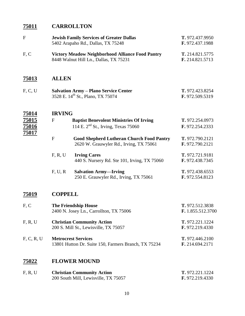## **75011 CARROLLTON**

| F                       |                | <b>Jewish Family Services of Greater Dallas</b><br>5402 Arapaho Rd., Dallas, TX 75248             | T. 972.437.9950<br>F. 972.437.1988 |
|-------------------------|----------------|---------------------------------------------------------------------------------------------------|------------------------------------|
| F, C                    |                | <b>Victory Meadow Neighborhood Alliance Food Pantry</b><br>8448 Walnut Hill Ln., Dallas, TX 75231 | T. 214.821.5775<br>F. 214.821.5713 |
| 75013                   | <b>ALLEN</b>   |                                                                                                   |                                    |
| F, C, U                 |                | <b>Salvation Army - Plano Service Center</b><br>3528 E. 14 <sup>th</sup> St., Plano, TX 75074     | T. 972.423.8254<br>F. 972.509.5319 |
| 75014                   | <b>IRVING</b>  |                                                                                                   |                                    |
| 75015<br>75016<br>75017 | $\mathbf{F}$   | <b>Baptist Benevolent Ministries Of Irving</b><br>114 E. $2nd$ St., Irving, Texas 75060           | T. 972.254.0973<br>F. 972.254.2333 |
|                         | $\mathbf F$    | <b>Good Shepherd Lutheran Church Food Pantry</b><br>2620 W. Grauwyler Rd., Irving, TX 75061       | T. 972.790.2121<br>F. 972.790.2121 |
|                         | F, R, U        | <b>Irving Cares</b><br>440 S. Nursery Rd. Ste 101, Irving, TX 75060                               | T. 972.721.9181<br>F. 972.438.7345 |
|                         | F, U, R        | <b>Salvation Army-Irving</b><br>250 E. Grauwyler Rd., Irving, TX 75061                            | T. 972.438.6553<br>F. 972.554.8123 |
| 75019                   | <b>COPPELL</b> |                                                                                                   |                                    |

| F, C       | <b>The Friendship House</b><br>2400 N. Josey Ln., Carrollton, TX 75006 | T. 972.512.3838<br>F. 1.855.512.3700 |
|------------|------------------------------------------------------------------------|--------------------------------------|
|            |                                                                        |                                      |
| F, R, U    | <b>Christian Community Action</b>                                      | T. 972.221.1224                      |
|            | 200 S. Mill St., Lewisville, TX 75057                                  | F. 972.219.4330                      |
| F, C, R, U | <b>Metrocrest Services</b>                                             | <b>T.</b> 972.446.2100               |
|            | 13801 Hutton Dr. Suite 150, Farmers Branch, TX 75234                   | F. 214.694.2171                      |

## **75022 FLOWER MOUND**

| F, R, U | <b>Christian Community Action</b>    | T. 972.221.1224 |
|---------|--------------------------------------|-----------------|
|         | 200 South Mill, Lewisville, TX 75057 | F. 972.219.4330 |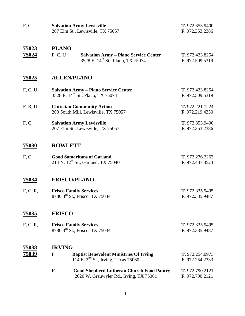| F, C                  | <b>Salvation Army Lewisville</b><br>207 Elm St., Lewisville, TX 75057                                                    | T. 972.353.9400<br>F. 972.353.2386 |
|-----------------------|--------------------------------------------------------------------------------------------------------------------------|------------------------------------|
| <u>75023</u><br>75024 | <b>PLANO</b><br>F, C, U<br><b>Salvation Army - Plano Service Center</b><br>3528 E. 14 <sup>th</sup> St., Plano, TX 75074 | T. 972.423.8254<br>F. 972.509.5319 |
| <u>75025</u>          | <b>ALLEN/PLANO</b>                                                                                                       |                                    |
| F, C, U               | <b>Salvation Army - Plano Service Center</b><br>3528 E. 14 <sup>th</sup> St., Plano, TX 75074                            | T. 972.423.8254<br>F. 972.509.5319 |
| F, R, U               | <b>Christian Community Action</b><br>200 South Mill, Lewisville, TX 75057                                                | T. 972.221.1224<br>F. 972.219.4330 |
| F, C                  | <b>Salvation Army Lewisville</b><br>207 Elm St., Lewisville, TX 75057                                                    | T. 972.353.9400<br>F. 972.353.2386 |
| <u>75030</u>          | <b>ROWLETT</b>                                                                                                           |                                    |
| F, C                  | <b>Good Samaritans of Garland</b><br>214 N. 12 <sup>th</sup> St., Garland, TX 75040                                      | T. 972.276.2263<br>F. 972.487.8523 |
| 75034                 | <b>FRISCO/PLANO</b>                                                                                                      |                                    |
| F, C, R, U            | <b>Frisco Family Services</b><br>8780 3rd St., Frisco, TX 75034                                                          | T. 972.335.9495<br>F. 972.335.9487 |
| <u>75035</u>          | <b>FRISCO</b>                                                                                                            |                                    |
| F, C, R, U            | <b>Frisco Family Services</b><br>8780 3rd St., Frisco, TX 75034                                                          | T. 972.335.9495<br>F. 972.335.9487 |
| 75038                 | <b>IRVING</b>                                                                                                            |                                    |
| <u>75039</u>          | $\mathbf{F}$<br><b>Baptist Benevolent Ministries Of Irving</b><br>114 E. $2nd$ St., Irving, Texas 75060                  | T. 972.254.0973<br>F. 972.254.2333 |
|                       | F<br><b>Good Shepherd Lutheran Church Food Pantry</b><br>2620 W. Grauwyler Rd., Irving, TX 75061                         | T. 972.790.2121<br>F. 972.790.2121 |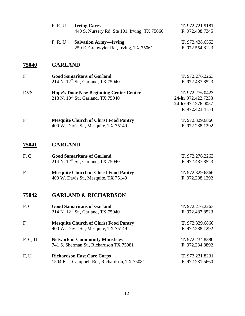|            | F, R, U        | <b>Irving Cares</b><br>440 S. Nursery Rd. Ste 101, Irving, TX 75060                              | T. 972.721.9181<br>F. 972.438.7345                                             |
|------------|----------------|--------------------------------------------------------------------------------------------------|--------------------------------------------------------------------------------|
|            | F, R, U        | <b>Salvation Army-Irving</b><br>250 E. Grauwyler Rd., Irving, TX 75061                           | T. 972.438.6553<br>F. 972.554.8123                                             |
| 75040      | <b>GARLAND</b> |                                                                                                  |                                                                                |
| F          |                | <b>Good Samaritans of Garland</b><br>214 N. 12 <sup>th</sup> St., Garland, TX 75040              | T. 972.276.2263<br>F. 972.487.8523                                             |
| <b>DVS</b> |                | <b>Hope's Door New Beginning Center Center</b><br>218 N. 10 <sup>th</sup> St., Garland, TX 75040 | T. 972.276.0423<br>24-hr 972.422.7233<br>24-hr 972.276.0057<br>F. 972.423.4154 |
| F          |                | <b>Mesquite Church of Christ Food Pantry</b><br>400 W. Davis St., Mesquite, TX 75149             | T. 972.329.6866<br>F. 972.288.1292                                             |
| 75041      | <b>GARLAND</b> |                                                                                                  |                                                                                |
| F, C       |                | <b>Good Samaritans of Garland</b><br>214 N. 12 <sup>th</sup> St., Garland, TX 75040              | T. 972.276.2263<br>F. 972.487.8523                                             |
| F          |                | <b>Mesquite Church of Christ Food Pantry</b><br>400 W. Davis St., Mesquite, TX 75149             | T. 972.329.6866<br>F. 972.288.1292                                             |
| 75042      |                | <b>GARLAND &amp; RICHARDSON</b>                                                                  |                                                                                |
| F, C       |                | <b>Good Samaritans of Garland</b><br>214 N. 12 <sup>th</sup> St., Garland, TX 75040              | T. 972.276.2263<br>F. 972.487.8523                                             |
| F          |                | <b>Mesquite Church of Christ Food Pantry</b><br>400 W. Davis St., Mesquite, TX 75149             | T. 972.329.6866<br>F. 972.288.1292                                             |
| F, C, U    |                | <b>Network of Community Ministries</b><br>741 S. Sherman St., Richardson TX 75081                | T. 972.234.8880<br>F. 972.234.8892                                             |
| F, U       |                | <b>Richardson East Care Corps</b><br>1504 East Campbell Rd., Richardson, TX 75081                | T. 972.231.8231<br>F. 972.231.5660                                             |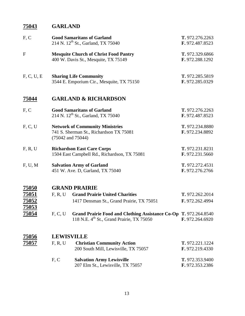# **GARLAND**

| F, C                         |                                                                                                            | <b>Good Samaritans of Garland</b><br>214 N. 12 <sup>th</sup> St., Garland, TX 75040                                               | T. 972.276.2263<br>F. 972.487.8523 |
|------------------------------|------------------------------------------------------------------------------------------------------------|-----------------------------------------------------------------------------------------------------------------------------------|------------------------------------|
| $\mathbf{F}$                 |                                                                                                            | <b>Mesquite Church of Christ Food Pantry</b><br>400 W. Davis St., Mesquite, TX 75149                                              | T. 972.329.6866<br>F. 972.288.1292 |
| F, C, U, E                   |                                                                                                            | <b>Sharing Life Community</b><br>3544 E. Emporium Cir., Mesquite, TX 75150                                                        | T. 972.285.5819<br>F. 972.285.0329 |
| 75044                        |                                                                                                            | <b>GARLAND &amp; RICHARDSON</b>                                                                                                   |                                    |
| F, C                         |                                                                                                            | <b>Good Samaritans of Garland</b><br>214 N. 12 <sup>th</sup> St., Garland, TX 75040                                               | T. 972.276.2263<br>F. 972.487.8523 |
| F, C, U                      | <b>Network of Community Ministries</b><br>741 S. Sherman St., Richardson TX 75081<br>$(75042$ and $75044)$ |                                                                                                                                   | T. 972.234.8880<br>F. 972.234.8892 |
| F, R, U                      | <b>Richardson East Care Corps</b><br>1504 East Campbell Rd., Richardson, TX 75081                          |                                                                                                                                   | T. 972.231.8231<br>F. 972.231.5660 |
| F, U, M                      |                                                                                                            | <b>Salvation Army of Garland</b><br>451 W. Ave. D, Garland, TX 75040                                                              | T. 972.272.4531<br>F. 972.276.2766 |
| <b>75050</b>                 |                                                                                                            | <b>GRAND PRAIRIE</b>                                                                                                              |                                    |
| 75051<br>75052<br>75053      | F. R. U                                                                                                    | <b>Grand Prairie United Charities</b><br>1417 Densman St., Grand Prairie, TX 75051                                                | T. 972.262.2014<br>F. 972.262.4994 |
| 75054                        |                                                                                                            | F, C, U Grand Prairie Food and Clothing Assistance Co-Op T. 972.264.8540<br>118 N.E. 4 <sup>th</sup> St., Grand Prairie, TX 75050 | F. 972.264.6920                    |
| <u>75056</u><br><u>75057</u> | <b>LEWISVILLE</b><br>F, R, U                                                                               | <b>Christian Community Action</b><br>200 South Mill, Lewisville, TX 75057                                                         | T. 972.221.1224<br>F. 972.219.4330 |
|                              | F, C                                                                                                       | <b>Salvation Army Lewisville</b><br>207 Elm St., Lewisville, TX 75057                                                             | T. 972.353.9400<br>F. 972.353.2386 |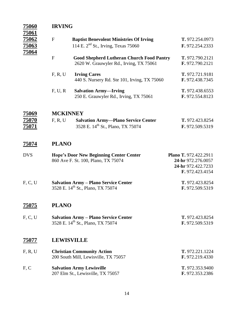| <b>75060</b><br><u>75061</u> | <b>IRVING</b>     |                                                                                                   |                                                                                      |  |
|------------------------------|-------------------|---------------------------------------------------------------------------------------------------|--------------------------------------------------------------------------------------|--|
| <u>75062</u><br><u>75063</u> | $\mathbf F$       | <b>Baptist Benevolent Ministries Of Irving</b><br>114 E. 2 <sup>nd</sup> St., Irving, Texas 75060 | T. 972.254.0973<br>F. 972.254.2333                                                   |  |
| 75064                        | $\mathbf F$       | <b>Good Shepherd Lutheran Church Food Pantry</b><br>2620 W. Grauwyler Rd., Irving, TX 75061       | T. 972.790.2121<br>F. 972.790.2121                                                   |  |
|                              | F, R, U           | <b>Irving Cares</b><br>440 S. Nursery Rd. Ste 101, Irving, TX 75060                               | T. 972.721.9181<br>F. 972.438.7345                                                   |  |
|                              | F, U, R           | <b>Salvation Army-Irving</b><br>250 E. Grauwyler Rd., Irving, TX 75061                            | T. 972.438.6553<br>F. 972.554.8123                                                   |  |
| <u>75069</u>                 | <b>MCKINNEY</b>   |                                                                                                   |                                                                                      |  |
| <u>75070</u><br><u>75071</u> | F, R, U           | <b>Salvation Army-Plano Service Center</b><br>3528 E. 14 <sup>th</sup> St., Plano, TX 75074       | T. 972.423.8254<br>F. 972.509.5319                                                   |  |
| <u>75074</u>                 | <b>PLANO</b>      |                                                                                                   |                                                                                      |  |
| <b>DVS</b>                   |                   | <b>Hope's Door New Beginning Center Center</b><br>860 Ave F. St. 100, Plano, TX 75074             | Plano T. 972.422.2911<br>24-hr 972.276.0057<br>24-hr 972.422.7233<br>F. 972.423.4154 |  |
| F, C, U                      |                   | <b>Salvation Army - Plano Service Center</b><br>3528 E. 14 <sup>th</sup> St., Plano, TX 75074     | T. 972.423.8254<br>F. 972.509.5319                                                   |  |
| 75075                        | <b>PLANO</b>      |                                                                                                   |                                                                                      |  |
| F, C, U                      |                   | <b>Salvation Army - Plano Service Center</b><br>3528 E. 14 <sup>th</sup> St., Plano, TX 75074     | T. 972.423.8254<br>F. 972.509.5319                                                   |  |
| 75077                        | <b>LEWISVILLE</b> |                                                                                                   |                                                                                      |  |
| F, R, U                      |                   | <b>Christian Community Action</b><br>200 South Mill, Lewisville, TX 75057                         | T. 972.221.1224<br>F. 972.219.4330                                                   |  |
| F, C                         |                   | <b>Salvation Army Lewisville</b><br>207 Elm St., Lewisville, TX 75057                             | T. 972.353.9400<br>F. 972.353.2386                                                   |  |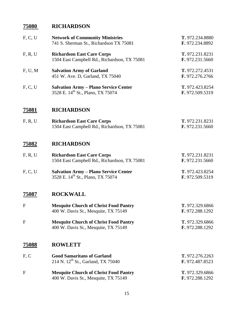## **RICHARDSON**

| F, C, U      | <b>Network of Community Ministries</b><br>741 S. Sherman St., Richardson TX 75081             | T. 972.234.8880<br>F. 972.234.8892 |
|--------------|-----------------------------------------------------------------------------------------------|------------------------------------|
| F, R, U      | <b>Richardson East Care Corps</b><br>1504 East Campbell Rd., Richardson, TX 75081             | T. 972.231.8231<br>F. 972.231.5660 |
| F, U, M      | <b>Salvation Army of Garland</b><br>451 W. Ave. D, Garland, TX 75040                          | T. 972.272.4531<br>F. 972.276.2766 |
| F, C, U      | <b>Salvation Army - Plano Service Center</b><br>3528 E. 14 <sup>th</sup> St., Plano, TX 75074 | T. 972.423.8254<br>F. 972.509.5319 |
| <u>75081</u> | <b>RICHARDSON</b>                                                                             |                                    |
| F, R, U      | <b>Richardson East Care Corps</b><br>1504 East Campbell Rd., Richardson, TX 75081             | T. 972.231.8231<br>F. 972.231.5660 |
| <u>75082</u> | <b>RICHARDSON</b>                                                                             |                                    |
| F, R, U      | <b>Richardson East Care Corps</b><br>1504 East Campbell Rd., Richardson, TX 75081             | T. 972.231.8231<br>F. 972.231.5660 |
| F, C, U      | <b>Salvation Army - Plano Service Center</b><br>3528 E. 14 <sup>th</sup> St., Plano, TX 75074 | T. 972.423.8254<br>F. 972.509.5319 |
| 75087        | <b>ROCKWALL</b>                                                                               |                                    |
| ${\bf F}$    | <b>Mesquite Church of Christ Food Pantry</b><br>400 W. Davis St., Mesquite, TX 75149          | T. 972.329.6866<br>F. 972.288.1292 |
| F            | <b>Mesquite Church of Christ Food Pantry</b><br>400 W. Davis St., Mesquite, TX 75149          | T. 972.329.6866<br>F. 972.288.1292 |
| 75088        | <b>ROWLETT</b>                                                                                |                                    |
| F, C         | <b>Good Samaritans of Garland</b><br>214 N. 12 <sup>th</sup> St., Garland, TX 75040           | T. 972.276.2263<br>F. 972.487.8523 |
| F            | <b>Mesquite Church of Christ Food Pantry</b><br>400 W. Davis St., Mesquite, TX 75149          | T. 972.329.6866<br>F. 972.288.1292 |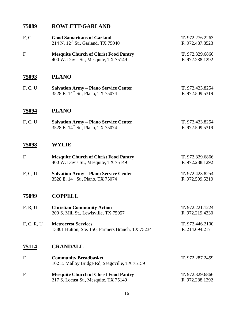### **ROWLETT/GARLAND**

| F, C         | <b>Good Samaritans of Garland</b><br>214 N. 12 <sup>th</sup> St., Garland, TX 75040           | T. 972.276.2263<br>F. 972.487.8523 |
|--------------|-----------------------------------------------------------------------------------------------|------------------------------------|
| $\mathbf{F}$ | <b>Mesquite Church of Christ Food Pantry</b><br>400 W. Davis St., Mesquite, TX 75149          | T. 972.329.6866<br>F. 972.288.1292 |
| <u>75093</u> | <b>PLANO</b>                                                                                  |                                    |
| F, C, U      | <b>Salvation Army – Plano Service Center</b><br>3528 E. 14 <sup>th</sup> St., Plano, TX 75074 | T. 972.423.8254<br>F. 972.509.5319 |
| 75094        | <b>PLANO</b>                                                                                  |                                    |
| F, C, U      | <b>Salvation Army - Plano Service Center</b><br>3528 E. 14 <sup>th</sup> St., Plano, TX 75074 | T. 972.423.8254<br>F. 972.509.5319 |
| 75098        | WYLIE                                                                                         |                                    |
| $\mathbf F$  | <b>Mesquite Church of Christ Food Pantry</b><br>400 W. Davis St., Mesquite, TX 75149          | T. 972.329.6866<br>F. 972.288.1292 |
| F, C, U      | <b>Salvation Army - Plano Service Center</b><br>3528 E. 14 <sup>th</sup> St., Plano, TX 75074 | T. 972.423.8254<br>F. 972.509.5319 |
| 75099        | <b>COPPELL</b>                                                                                |                                    |
| F, R, U      | <b>Christian Community Action</b><br>200 S. Mill St., Lewisville, TX 75057                    | T. 972.221.1224<br>F. 972.219.4330 |
| F, C, R, U   | <b>Metrocrest Services</b><br>13801 Hutton, Ste. 150, Farmers Branch, TX 75234                | T. 972.446.2100<br>F. 214.694.2171 |
| <u>75114</u> | <b>CRANDALL</b>                                                                               |                                    |
| $\mathbf F$  | <b>Community Breadbasket</b><br>102 E. Malloy Bridge Rd, Seagoville, TX 75159                 | T. 972.287.2459                    |
| $\mathbf F$  | <b>Mesquite Church of Christ Food Pantry</b><br>217 S. Locust St., Mesquite, TX 75149         | T. 972.329.6866<br>F. 972.288.1292 |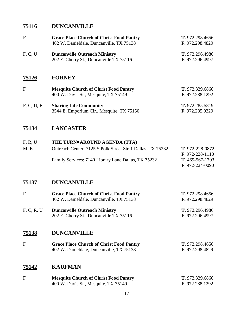#### **75116 DUNCANVILLE**

| $\mathbf F$ | <b>Grace Place Church of Christ Food Pantry</b><br>402 W. Danieldale, Duncanville, TX 75138 | T. 972.298.4656<br>F. 972.298.4829 |
|-------------|---------------------------------------------------------------------------------------------|------------------------------------|
| F, C, U     | <b>Duncanville Outreach Ministry</b><br>202 E. Cherry St., Duncanville TX 75116             | T. 972.296.4986<br>F. 972.296.4997 |
| 75126       | <b>FORNEY</b>                                                                               |                                    |
| $\mathbf F$ | <b>Mesquite Church of Christ Food Pantry</b><br>400 W. Davis St., Mesquite, TX 75149        | T. 972.329.6866<br>F. 972.288.1292 |
|             |                                                                                             |                                    |

| F, C, U, E | <b>Sharing Life Community</b>             | T. 972.285.5819 |
|------------|-------------------------------------------|-----------------|
|            | 3544 E. Emporium Cir., Mesquite, TX 75150 | F. 972.285.0329 |

#### **75134 LANCASTER**

#### F, R, U **THE TURN**●**AROUND AGENDA (TTA)** M, E Outreach Center: 7125 S Polk Street Ste 1 Dallas, TX 75232 **T**. 972-228-0872 **F**. 972-228-1110 Family Services: 7140 Library Lane Dallas, TX 75232 **T**. 469-567-1793 **F**. 972-224-0090

#### **75137 DUNCANVILLE**

| F          | <b>Grace Place Church of Christ Food Pantry</b> | T. 972.298.4656 |
|------------|-------------------------------------------------|-----------------|
|            | 402 W. Danieldale, Duncanville, TX 75138        | F. 972.298.4829 |
| F, C, R, U | <b>Duncanville Outreach Ministry</b>            | T. 972.296.4986 |
|            | 202 E. Cherry St., Duncanville TX 75116         | F. 972.296.4997 |

#### **75138 DUNCANVILLE**

| <b>Grace Place Church of Christ Food Pantry</b> | T. 972.298.4656 |
|-------------------------------------------------|-----------------|
| 402 W. Danieldale, Duncanville, TX 75138        | F. 972.298.4829 |

#### **75142 KAUFMAN**

| <b>Mesquite Church of Christ Food Pantry</b> | T. 972.329.6866        |
|----------------------------------------------|------------------------|
| 400 W. Davis St., Mesquite, TX 75149         | <b>F.</b> 972.288.1292 |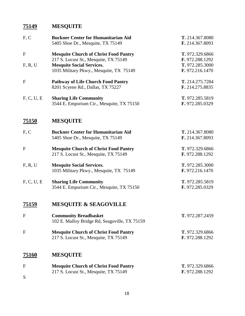## **75149 MESQUITE**

| F, C           | <b>Buckner Center for Humanitarian Aid</b><br>5405 Shoe Dr., Mesquite, TX 75149                                                                                      | T. 214.367.8080<br>F. 214.367.8093                                       |
|----------------|----------------------------------------------------------------------------------------------------------------------------------------------------------------------|--------------------------------------------------------------------------|
| F<br>F, R, U   | <b>Mesquite Church of Christ Food Pantry</b><br>217 S. Locust St., Mesquite, TX 75149<br><b>Mesquite Social Services.</b><br>1035 Military Pkwy., Mesquite, TX 75149 | T. 972.329.6866<br>F. 972.288.1292<br>T. 972.285.3000<br>F. 972.216.1470 |
| ${\bf F}$      | <b>Pathway of Life Church Food Pantry</b><br>8201 Scyene Rd., Dallas, TX 75227                                                                                       | T. 214.275.7284<br>F. 214.275.8835                                       |
| F, C, U, E     | <b>Sharing Life Community</b><br>3544 E. Emporium Cir., Mesquite, TX 75150                                                                                           | T. 972.285.5819<br>F. 972.285.0329                                       |
| <b>75150</b>   | <b>MESQUITE</b>                                                                                                                                                      |                                                                          |
| F, C           | <b>Buckner Center for Humanitarian Aid</b><br>5405 Shoe Dr., Mesquite, TX 75149                                                                                      | T. 214.367.8080<br>F. 214.367.8093                                       |
| ${\bf F}$      | <b>Mesquite Church of Christ Food Pantry</b><br>217 S. Locust St., Mesquite, TX 75149                                                                                | T. 972.329.6866<br>F. 972.288.1292                                       |
| F, R, U        | <b>Mesquite Social Services.</b><br>1035 Military Pkwy., Mesquite, TX 75149                                                                                          | T. 972.285.3000<br>F. 972.216.1470                                       |
| F, C, U, E     | <b>Sharing Life Community</b><br>3544 E. Emporium Cir., Mesquite, TX 75150                                                                                           | T. 972.285.5819<br>F. 972.285.0329                                       |
| <u>75159</u>   | <b>MESQUITE &amp; SEAGOVILLE</b>                                                                                                                                     |                                                                          |
| $\overline{F}$ | <b>Community Breadbasket</b><br>102 E. Malloy Bridge Rd, Seagoville, TX 75159                                                                                        | T. 972.287.2459                                                          |
| F              | <b>Mesquite Church of Christ Food Pantry</b><br>217 S. Locust St., Mesquite, TX 75149                                                                                | T. 972.329.6866<br>F. 972.288.1292                                       |
| <u>75160</u>   | <b>MESQUITE</b>                                                                                                                                                      |                                                                          |
| F<br>S         | <b>Mesquite Church of Christ Food Pantry</b><br>217 S. Locust St., Mesquite, TX 75149                                                                                | T. 972.329.6866<br>F. 972.288.1292                                       |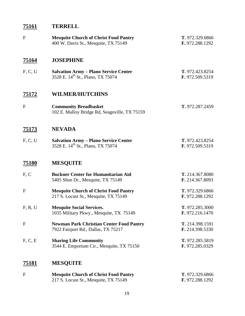## **TERRELL**

| $\mathbf{F}$ | <b>Mesquite Church of Christ Food Pantry</b><br>400 W. Davis St., Mesquite, TX 75149          | T. 972.329.6866<br>F. 972.288.1292 |
|--------------|-----------------------------------------------------------------------------------------------|------------------------------------|
| 75164        | <b>JOSEPHINE</b>                                                                              |                                    |
| F, C, U      | <b>Salvation Army - Plano Service Center</b><br>3528 E. 14 <sup>th</sup> St., Plano, TX 75074 | T. 972.423.8254<br>F. 972.509.5319 |
| <u>75172</u> | <b>WILMER/HUTCHINS</b>                                                                        |                                    |
| $\mathbf F$  | <b>Community Breadbasket</b><br>102 E. Malloy Bridge Rd, Seagoville, TX 75159                 | T. 972.287.2459                    |
| <u>75173</u> | <b>NEVADA</b>                                                                                 |                                    |
| F, C, U      | <b>Salvation Army - Plano Service Center</b><br>3528 E. 14 <sup>th</sup> St., Plano, TX 75074 | T. 972.423.8254<br>F. 972.509.5319 |
| 75180        | <b>MESQUITE</b>                                                                               |                                    |
| F, C         | <b>Buckner Center for Humanitarian Aid</b><br>5405 Shoe Dr., Mesquite, TX 75149               | T. 214.367.8080<br>F. 214.367.8093 |
| ${\bf F}$    | <b>Mesquite Church of Christ Food Pantry</b><br>217 S. Locust St., Mesquite, TX 75149         | T. 972.329.6866<br>F. 972.288.1292 |
| F, R, U      | <b>Mesquite Social Services.</b><br>1035 Military Pkwy., Mesquite, TX 75149                   | T. 972.285.3000<br>F. 972.216.1470 |
| F            | <b>Newman Park Christian Center Food Pantry</b><br>7922 Fairport Rd., Dallas, TX 75217        | T. 214.398.1591<br>F. 214.398.5330 |
| F, C, E      | <b>Sharing Life Community</b><br>3544 E. Emporium Cir., Mesquite, TX 75150                    | T. 972.285.5819<br>F. 972.285.0329 |
| <u>75181</u> | <b>MESQUITE</b>                                                                               |                                    |
| F            | <b>Mesquite Church of Christ Food Pantry</b><br>217 S. Locust St., Mesquite, TX 75149         | T. 972.329.6866<br>F. 972.288.1292 |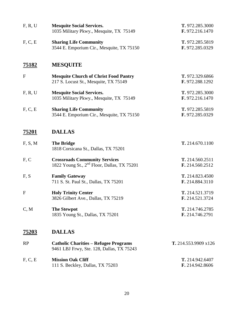| F, R, U      | <b>Mesquite Social Services.</b><br>1035 Military Pkwy., Mesquite, TX 75149                     | T. 972.285.3000<br>F. 972.216.1470 |
|--------------|-------------------------------------------------------------------------------------------------|------------------------------------|
| F, C, E      | <b>Sharing Life Community</b><br>3544 E. Emporium Cir., Mesquite, TX 75150                      | T. 972.285.5819<br>F. 972.285.0329 |
| <u>75182</u> | <b>MESQUITE</b>                                                                                 |                                    |
| $\mathbf{F}$ | <b>Mesquite Church of Christ Food Pantry</b><br>217 S. Locust St., Mesquite, TX 75149           | T. 972.329.6866<br>F. 972.288.1292 |
| F, R, U      | <b>Mesquite Social Services.</b><br>1035 Military Pkwy., Mesquite, TX 75149                     | T. 972.285.3000<br>F. 972.216.1470 |
| F, C, E      | <b>Sharing Life Community</b><br>3544 E. Emporium Cir., Mesquite, TX 75150                      | T. 972.285.5819<br>F. 972.285.0329 |
| <u>75201</u> | <b>DALLAS</b>                                                                                   |                                    |
| F, S, M      | <b>The Bridge</b><br>1818 Corsicana St., Dallas, TX 75201                                       | T. 214.670.1100                    |
| F, C         | <b>Crossroads Community Services</b><br>1822 Young St., 2 <sup>nd</sup> Floor, Dallas, TX 75201 | T. 214.560.2511<br>F. 214.560.2512 |
| F, S         | <b>Family Gateway</b><br>711 S. St. Paul St., Dallas, TX 75201                                  | T. 214.823.4500<br>F. 214.884.3110 |
| $\mathbf{F}$ | <b>Holy Trinity Center</b><br>3826 Gilbert Ave., Dallas, TX 75219                               | T. 214.521.3719<br>F. 214.521.3724 |
| C, M         | <b>The Stewpot</b><br>1835 Young St., Dallas, TX 75201                                          | T. 214.746.2785<br>F. 214.746.2791 |
| 75203        | <b>DALLAS</b>                                                                                   |                                    |
| RP           | <b>Catholic Charities – Refugee Programs</b><br>9461 LBJ Frwy, Ste. 128, Dallas, TX 75243       | T. 214.553.9909 x126               |
| F, C, E      | <b>Mission Oak Cliff</b><br>111 S. Beckley, Dallas, TX 75203                                    | T. 214.942.6407<br>F. 214.942.8606 |
|              |                                                                                                 |                                    |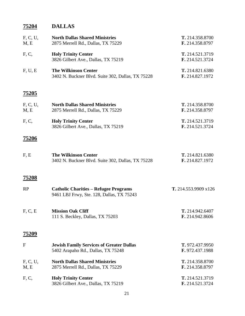# **75204 DALLAS**

| F, C, U,<br>M, E | <b>North Dallas Shared Ministries</b><br>2875 Merrell Rd., Dallas, TX 75229               | T. 214.358.8700<br>F. 214.358.8797        |
|------------------|-------------------------------------------------------------------------------------------|-------------------------------------------|
| F, C,            | <b>Holy Trinity Center</b><br>3826 Gilbert Ave., Dallas, TX 75219                         | T. 214.521.3719<br>F. 214.521.3724        |
| F, U, E          | <b>The Wilkinson Center</b><br>3402 N. Buckner Blvd. Suite 302, Dallas, TX 75228          | T. 214.821.6380<br>F. 214.827.1972        |
| <u>75205</u>     |                                                                                           |                                           |
| F, C, U,<br>M, E | <b>North Dallas Shared Ministries</b><br>2875 Merrell Rd., Dallas, TX 75229               | T. 214.358.8700<br>F. 214.358.8797        |
| F, C,            | <b>Holy Trinity Center</b><br>3826 Gilbert Ave., Dallas, TX 75219                         | T. 214.521.3719<br>F. 214.521.3724        |
| 75206            |                                                                                           |                                           |
| F, E             | <b>The Wilkinson Center</b><br>3402 N. Buckner Blvd. Suite 302, Dallas, TX 75228          | T. 214.821.6380<br>F. 214.827.1972        |
| <u>75208</u>     |                                                                                           |                                           |
| RP               | <b>Catholic Charities - Refugee Programs</b><br>9461 LBJ Frwy, Ste. 128, Dallas, TX 75243 | T. 214.553.9909 x126                      |
| F, C, E          | <b>Mission Oak Cliff</b><br>111 S. Beckley, Dallas, TX 75203                              | T. 214.942.6407<br>F. 214.942.8606        |
| 75209            |                                                                                           |                                           |
| F                | <b>Jewish Family Services of Greater Dallas</b><br>5402 Arapaho Rd., Dallas, TX 75248     | T. 972.437.9950<br>F. 972.437.1988        |
| F, C, U,<br>M, E | <b>North Dallas Shared Ministries</b><br>2875 Merrell Rd., Dallas, TX 75229               | T. 214.358.8700<br>F. 214.358.8797        |
| F, C,            | <b>Holy Trinity Center</b><br>3826 Gilbert Ave., Dallas, TX 75219                         | T. 214.521.3719<br><b>F.</b> 214.521.3724 |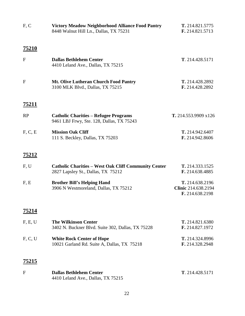| F, C         | <b>Victory Meadow Neighborhood Alliance Food Pantry</b><br>8448 Walnut Hill Ln., Dallas, TX 75231 | T. 214.821.5775<br>F. 214.821.5713                        |
|--------------|---------------------------------------------------------------------------------------------------|-----------------------------------------------------------|
| <u>75210</u> |                                                                                                   |                                                           |
| $\mathbf{F}$ | <b>Dallas Bethlehem Center</b><br>4410 Leland Ave., Dallas, TX 75215                              | T. 214.428.5171                                           |
| $\mathbf{F}$ | <b>Mt. Olive Lutheran Church Food Pantry</b><br>3100 MLK Blvd., Dallas, TX 75215                  | T. 214.428.2892<br>F. 214.428.2892                        |
| <u>75211</u> |                                                                                                   |                                                           |
| RP           | <b>Catholic Charities – Refugee Programs</b><br>9461 LBJ Frwy, Ste. 128, Dallas, TX 75243         | T. 214.553.9909 x126                                      |
| F, C, E      | <b>Mission Oak Cliff</b><br>111 S. Beckley, Dallas, TX 75203                                      | T. 214.942.6407<br>F. 214.942.8606                        |
| <u>75212</u> |                                                                                                   |                                                           |
| F, U         | <b>Catholic Charities – West Oak Cliff Community Center</b><br>2827 Lapsley St., Dallas, TX 75212 | T. 214.333.1525<br>F. 214.638.4885                        |
| F, E         | <b>Brother Bill's Helping Hand</b><br>3906 N Westmoreland, Dallas, TX 75212                       | T. 214.638.2196<br>Clinic 214.638.2194<br>F. 214.638.2198 |
| 75214        |                                                                                                   |                                                           |
| F, E, U      | <b>The Wilkinson Center</b><br>3402 N. Buckner Blvd. Suite 302, Dallas, TX 75228                  | T. 214.821.6380<br>F. 214.827.1972                        |
| F, C, U      | <b>White Rock Center of Hope</b><br>10021 Garland Rd. Suite A, Dallas, TX 75218                   | T. 214.324.8996<br>F. 214.328.2948                        |
| 75215        |                                                                                                   |                                                           |
| F            | <b>Dallas Bethlehem Center</b><br>4410 Leland Ave., Dallas, TX 75215                              | T. 214.428.5171                                           |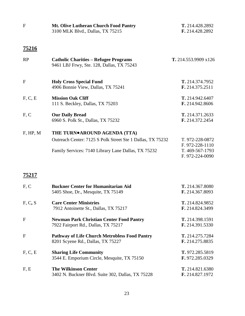| T. 214.428.2892<br>F. 214.428.2892                                       |
|--------------------------------------------------------------------------|
|                                                                          |
| T. 214.553.9909 x126                                                     |
| T. 214.374.7952<br>F. 214.375.2511                                       |
| T. 214.942.6407<br>F. 214.942.8606                                       |
| T. 214.371.2633<br>F. 214.372.2454                                       |
|                                                                          |
| T. 972-228-0872<br>F. 972-228-1110<br>T. 469-567-1793<br>F. 972-224-0090 |
|                                                                          |
| T. 214.367.8080<br>F. 214.367.8093                                       |
| T. 214.824.9852<br>F. 214.824.3499                                       |
| T. 214.398.1591<br>F. 214.391.5330                                       |
| T. 214.275.7284<br>F. 214.275.8835                                       |
| T. 972.285.5819<br>F. 972.285.0329                                       |
| T. 214.821.6380<br>F. 214.827.1972                                       |
|                                                                          |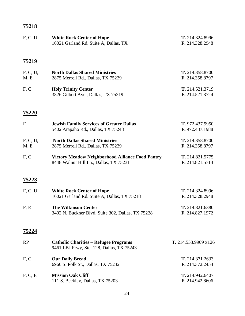| F, C, U          | <b>White Rock Center of Hope</b><br>10021 Garland Rd. Suite A, Dallas, TX                         | T. 214.324.8996<br>F. 214.328.2948 |
|------------------|---------------------------------------------------------------------------------------------------|------------------------------------|
| <u>75219</u>     |                                                                                                   |                                    |
| F, C, U,<br>M, E | <b>North Dallas Shared Ministries</b><br>2875 Merrell Rd., Dallas, TX 75229                       | T. 214.358.8700<br>F. 214.358.8797 |
| F, C             | <b>Holy Trinity Center</b><br>3826 Gilbert Ave., Dallas, TX 75219                                 | T. 214.521.3719<br>F. 214.521.3724 |
| <u>75220</u>     |                                                                                                   |                                    |
| $\mathbf{F}$     | <b>Jewish Family Services of Greater Dallas</b><br>5402 Arapaho Rd., Dallas, TX 75248             | T. 972.437.9950<br>F. 972.437.1988 |
| F, C, U,<br>M, E | <b>North Dallas Shared Ministries</b><br>2875 Merrell Rd., Dallas, TX 75229                       | T. 214.358.8700<br>F. 214.358.8797 |
| F, C             | <b>Victory Meadow Neighborhood Alliance Food Pantry</b><br>8448 Walnut Hill Ln., Dallas, TX 75231 | T. 214.821.5775<br>F. 214.821.5713 |
| <u>75223</u>     |                                                                                                   |                                    |
| F, C, U          | <b>White Rock Center of Hope</b><br>10021 Garland Rd. Suite A, Dallas, TX 75218                   | T. 214.324.8996<br>F. 214.328.2948 |
| F, E             | <b>The Wilkinson Center</b><br>3402 N. Buckner Blvd. Suite 302, Dallas, TX 75228                  | T. 214.821.6380<br>F. 214.827.1972 |
| 75224            |                                                                                                   |                                    |
| RP               | <b>Catholic Charities - Refugee Programs</b><br>9461 LBJ Frwy, Ste. 128, Dallas, TX 75243         | T. 214.553.9909 x126               |
| F, C             | <b>Our Daily Bread</b><br>6960 S. Polk St., Dallas, TX 75232                                      | T. 214.371.2633<br>F. 214.372.2454 |
| F, C, E          | <b>Mission Oak Cliff</b><br>111 S. Beckley, Dallas, TX 75203                                      | T. 214.942.6407<br>F. 214.942.8606 |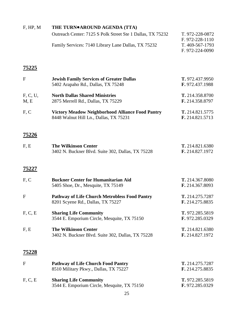| F, HP, M         | THE TURN®AROUND AGENDA (TTA)                                                                      |                                    |
|------------------|---------------------------------------------------------------------------------------------------|------------------------------------|
|                  | Outreach Center: 7125 S Polk Street Ste 1 Dallas, TX 75232                                        | T. 972-228-0872<br>F. 972-228-1110 |
|                  | Family Services: 7140 Library Lane Dallas, TX 75232                                               | T. 469-567-1793<br>F. 972-224-0090 |
| 75225            |                                                                                                   |                                    |
| $\mathbf F$      | <b>Jewish Family Services of Greater Dallas</b><br>5402 Arapaho Rd., Dallas, TX 75248             | T. 972.437.9950<br>F. 972.437.1988 |
| F, C, U,<br>M, E | <b>North Dallas Shared Ministries</b><br>2875 Merrell Rd., Dallas, TX 75229                       | T. 214.358.8700<br>F. 214.358.8797 |
| F, C             | <b>Victory Meadow Neighborhood Alliance Food Pantry</b><br>8448 Walnut Hill Ln., Dallas, TX 75231 | T. 214.821.5775<br>F. 214.821.5713 |
| <u>75226</u>     |                                                                                                   |                                    |
| F, E             | <b>The Wilkinson Center</b><br>3402 N. Buckner Blvd. Suite 302, Dallas, TX 75228                  | T. 214.821.6380<br>F. 214.827.1972 |
| 75227            |                                                                                                   |                                    |
| F, C             | <b>Buckner Center for Humanitarian Aid</b><br>5405 Shoe, Dr., Mesquite, TX 75149                  | T. 214.367.8080<br>F. 214.367.8093 |
| $\mathbf F$      | <b>Pathway of Life Church Metrobless Food Pantry</b><br>8201 Scyene Rd., Dallas, TX 75227         | T. 214.275.7287<br>F. 214.275.8835 |
| F, C, E          | <b>Sharing Life Community</b><br>3544 E. Emporium Circle, Mesquite, TX 75150                      | T. 972.285.5819<br>F. 972.285.0329 |
| F, E             | <b>The Wilkinson Center</b><br>3402 N. Buckner Blvd. Suite 302, Dallas, TX 75228                  | T. 214.821.6380<br>F. 214.827.1972 |
| 75228            |                                                                                                   |                                    |
| $\mathbf F$      | <b>Pathway of Life Church Food Pantry</b><br>8510 Military Pkwy., Dallas, TX 75227                | T. 214.275.7287<br>F. 214.275.8835 |
| F, C, E          | <b>Sharing Life Community</b><br>3544 E. Emporium Circle, Mesquite, TX 75150                      | T. 972.285.5819<br>F. 972.285.0329 |
|                  | 25                                                                                                |                                    |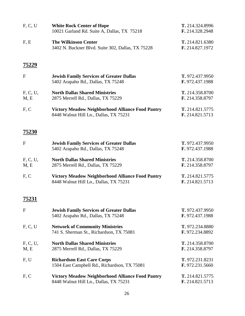| F, C, U          | <b>White Rock Center of Hope</b><br>10021 Garland Rd. Suite A, Dallas, TX 75218                   | T. 214.324.8996<br>F. 214.328.2948 |
|------------------|---------------------------------------------------------------------------------------------------|------------------------------------|
| F, E             | <b>The Wilkinson Center</b><br>3402 N. Buckner Blvd. Suite 302, Dallas, TX 75228                  | T. 214.821.6380<br>F. 214.827.1972 |
| <u>75229</u>     |                                                                                                   |                                    |
| $\mathbf{F}$     | <b>Jewish Family Services of Greater Dallas</b><br>5402 Arapaho Rd., Dallas, TX 75248             | T. 972.437.9950<br>F. 972.437.1988 |
| F, C, U,<br>M, E | <b>North Dallas Shared Ministries</b><br>2875 Merrell Rd., Dallas, TX 75229                       | T. 214.358.8700<br>F. 214.358.8797 |
| F, C             | <b>Victory Meadow Neighborhood Alliance Food Pantry</b><br>8448 Walnut Hill Ln., Dallas, TX 75231 | T. 214.821.5775<br>F. 214.821.5713 |
| <u>75230</u>     |                                                                                                   |                                    |
| $\mathbf{F}$     | <b>Jewish Family Services of Greater Dallas</b><br>5402 Arapaho Rd., Dallas, TX 75248             | T. 972.437.9950<br>F. 972.437.1988 |
| F, C, U,<br>M, E | <b>North Dallas Shared Ministries</b><br>2875 Merrell Rd., Dallas, TX 75229                       | T. 214.358.8700<br>F. 214.358.8797 |
| F, C             | <b>Victory Meadow Neighborhood Alliance Food Pantry</b><br>8448 Walnut Hill Ln., Dallas, TX 75231 | T. 214.821.5775<br>F. 214.821.5713 |
| 75231            |                                                                                                   |                                    |
| $\mathbf F$      | <b>Jewish Family Services of Greater Dallas</b><br>5402 Arapaho Rd., Dallas, TX 75248             | T. 972.437.9950<br>F. 972.437.1988 |
| F, C, U          | <b>Network of Community Ministries</b><br>741 S. Sherman St., Richardson, TX 75081                | T. 972.234.8880<br>F. 972.234.8892 |
| F, C, U,<br>M, E | <b>North Dallas Shared Ministries</b><br>2875 Merrell Rd., Dallas, TX 75229                       | T. 214.358.8700<br>F. 214.358.8797 |
| F, U             | <b>Richardson East Care Corps</b><br>1504 East Campbell Rd., Richardson, TX 75081                 | T. 972.231.8231<br>F. 972.231.5660 |
| F, C             | <b>Victory Meadow Neighborhood Alliance Food Pantry</b><br>8448 Walnut Hill Ln., Dallas, TX 75231 | T. 214.821.5775<br>F. 214.821.5713 |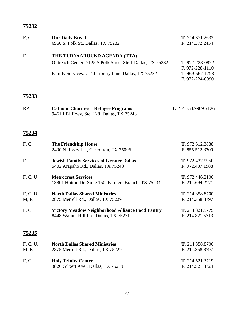| F, C               | <b>Our Daily Bread</b><br>6960 S. Polk St., Dallas, TX 75232                                                                                                   | T. 214.371.2633<br>F. 214.372.2454                                       |
|--------------------|----------------------------------------------------------------------------------------------------------------------------------------------------------------|--------------------------------------------------------------------------|
| $\mathbf{F}$       | THE TURN <sup>o</sup> AROUND AGENDA (TTA)<br>Outreach Center: 7125 S Polk Street Ste 1 Dallas, TX 75232<br>Family Services: 7140 Library Lane Dallas, TX 75232 | T. 972-228-0872<br>F. 972-228-1110<br>T. 469-567-1793<br>F. 972-224-0090 |
| <u>75233</u><br>RP | <b>Catholic Charities - Refugee Programs</b><br>9461 LBJ Frwy, Ste. 128, Dallas, TX 75243                                                                      | T. 214.553.9909 x126                                                     |
| <u>75234</u>       |                                                                                                                                                                |                                                                          |
| F, C               | <b>The Friendship House</b><br>2400 N. Josey Ln., Carrollton, TX 75006                                                                                         | T. 972.512.3838<br>F. 855.512.3700                                       |
| $\mathbf F$        | <b>Jewish Family Services of Greater Dallas</b><br>5402 Arapaho Rd., Dallas, TX 75248                                                                          | T. 972.437.9950<br>F. 972.437.1988                                       |
| F, C, U            | <b>Metrocrest Services</b><br>13801 Hutton Dr. Suite 150, Farmers Branch, TX 75234                                                                             | T. 972.446.2100<br>F. 214.694.2171                                       |
| F, C, U,<br>M, E   | <b>North Dallas Shared Ministries</b><br>2875 Merrell Rd., Dallas, TX 75229                                                                                    | T. 214.358.8700<br>F. 214.358.8797                                       |
| F, C               | <b>Victory Meadow Neighborhood Alliance Food Pantry</b><br>8448 Walnut Hill Ln., Dallas, TX 75231                                                              | T. 214.821.5775<br>F. 214.821.5713                                       |
| <u>75235</u>       |                                                                                                                                                                |                                                                          |
| F, C, U,<br>M, E   | <b>North Dallas Shared Ministries</b><br>2875 Merrell Rd., Dallas, TX 75229                                                                                    | T. 214.358.8700<br>F. 214.358.8797                                       |
| F, C,              | <b>Holy Trinity Center</b><br>3826 Gilbert Ave., Dallas, TX 75219                                                                                              | T. 214.521.3719<br>F. 214.521.3724                                       |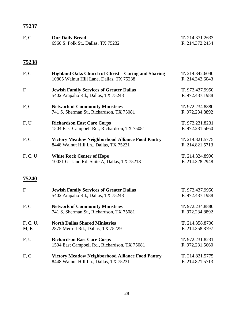| F, C | <b>Our Daily Bread</b>             | T. 214.371.2633        |
|------|------------------------------------|------------------------|
|      | 6960 S. Polk St., Dallas, TX 75232 | <b>F.</b> 214.372.2454 |
|      |                                    |                        |

| F, C             | Highland Oaks Church of Christ – Caring and Sharing<br>10805 Walnut Hill Lane, Dallas, TX 75238   | T. 214.342.6040<br>F. 214.342.6043 |
|------------------|---------------------------------------------------------------------------------------------------|------------------------------------|
| $\mathbf{F}$     | <b>Jewish Family Services of Greater Dallas</b><br>5402 Arapaho Rd., Dallas, TX 75248             | T. 972.437.9950<br>F. 972.437.1988 |
| F, C             | <b>Network of Community Ministries</b><br>741 S. Sherman St., Richardson, TX 75081                | T. 972.234.8880<br>F. 972.234.8892 |
| F, U             | <b>Richardson East Care Corps</b><br>1504 East Campbell Rd., Richardson, TX 75081                 | T. 972.231.8231<br>F. 972.231.5660 |
| F, C             | <b>Victory Meadow Neighborhood Alliance Food Pantry</b><br>8448 Walnut Hill Ln., Dallas, TX 75231 | T. 214.821.5775<br>F. 214.821.5713 |
| F, C, U          | <b>White Rock Center of Hope</b><br>10021 Garland Rd. Suite A, Dallas, TX 75218                   | T. 214.324.8996<br>F. 214.328.2948 |
| 75240            |                                                                                                   |                                    |
| $\mathbf{F}$     | <b>Jewish Family Services of Greater Dallas</b><br>5402 Arapaho Rd., Dallas, TX 75248             | T. 972.437.9950<br>F. 972.437.1988 |
| F, C             | <b>Network of Community Ministries</b><br>741 S. Sherman St., Richardson, TX 75081                | T. 972.234.8880<br>F. 972.234.8892 |
| F, C, U,<br>M, E | <b>North Dallas Shared Ministries</b><br>2875 Merrell Rd., Dallas, TX 75229                       | T. 214.358.8700<br>F. 214.358.8797 |
| F, U             | <b>Richardson East Care Corps</b><br>1504 East Campbell Rd., Richardson, TX 75081                 | T. 972.231.8231<br>F. 972.231.5660 |
| F, C             | <b>Victory Meadow Neighborhood Alliance Food Pantry</b><br>8448 Walnut Hill Ln., Dallas, TX 75231 | T. 214.821.5775<br>F. 214.821.5713 |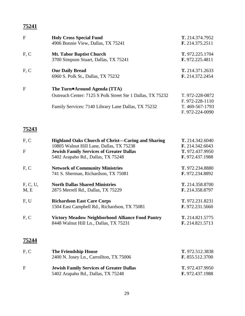| F    | <b>Holy Cross Special Fund</b><br>4906 Bonnie View, Dallas, TX 75241     | T. 214.374.7952<br>F. 214.375.2511 |
|------|--------------------------------------------------------------------------|------------------------------------|
| F, C | <b>Mt. Tabor Baptist Church</b><br>3700 Simpson Stuart, Dallas, TX 75241 | T. 972.225.1704<br>F. 972.225.4811 |
| F, C | <b>Our Daily Bread</b><br>6960 S. Polk St., Dallas, TX 75232             | T. 214.371.2633<br>F. 214.372.2454 |
| F    | The Turn●Around Agenda (TTA)                                             |                                    |
|      | Outreach Center: 7125 S Polk Street Ste 1 Dallas, TX 75232               | T. 972-228-0872                    |
|      |                                                                          | F. 972-228-1110                    |
|      | Family Services: 7140 Library Lane Dallas, TX 75232                      | T. 469-567-1793                    |
|      |                                                                          | F. 972-224-0090                    |

| F, C         | Highland Oaks Church of Christ-Caring and Sharing       | T. 214.342.6040        |
|--------------|---------------------------------------------------------|------------------------|
|              | 10805 Walnut Hill Lane, Dallas, TX 75238                | F. 214.342.6043        |
| $\mathbf{F}$ | <b>Jewish Family Services of Greater Dallas</b>         | T. 972.437.9950        |
|              | 5402 Arapaho Rd., Dallas, TX 75248                      | F. 972.437.1988        |
| F, C         | <b>Network of Community Ministries</b>                  | T. 972.234.8880        |
|              | 741 S. Sherman, Richardson, TX 75081                    | F. 972.234.8892        |
| F, C, U,     | <b>North Dallas Shared Ministries</b>                   | T. 214.358.8700        |
| M, E         | 2875 Merrell Rd., Dallas, TX 75229                      | F. 214.358.8797        |
| F, U         | <b>Richardson East Care Corps</b>                       | T. 972.231.8231        |
|              | 1504 East Campbell Rd., Richardson, TX 75081            | <b>F.</b> 972.231.5660 |
| F, C         | <b>Victory Meadow Neighborhood Alliance Food Pantry</b> | T. 214.821.5775        |
|              | 8448 Walnut Hill Ln., Dallas, TX 75231                  | F. 214.821.5713        |
|              |                                                         |                        |
| 75244        |                                                         |                        |
|              |                                                         |                        |

| F.C | <b>The Friendship House</b>                     | T. 972.512.3838 |
|-----|-------------------------------------------------|-----------------|
|     | 2400 N. Josey Ln., Carrollton, TX 75006         | F. 855.512.3700 |
| F.  | <b>Jewish Family Services of Greater Dallas</b> | T. 972.437.9950 |
|     | 5402 Arapaho Rd., Dallas, TX 75248              | F. 972.437.1988 |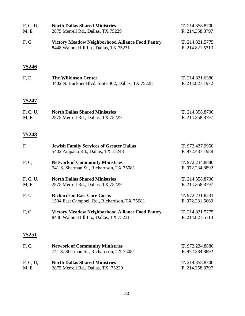| F, C, U,<br>M, E | <b>North Dallas Shared Ministries</b><br>2875 Merrell Rd., Dallas, TX 75229                       | T. 214.358.8700<br>F. 214.358.8797        |
|------------------|---------------------------------------------------------------------------------------------------|-------------------------------------------|
| F, C             | <b>Victory Meadow Neighborhood Alliance Food Pantry</b><br>8448 Walnut Hill Ln., Dallas, TX 75231 | T. 214.821.5775<br>F. 214.821.5713        |
| <u>75246</u>     |                                                                                                   |                                           |
| F, E             | <b>The Wilkinson Center</b><br>3402 N. Buckner Blvd. Suite 302, Dallas, TX 75228                  | T. 214.821.6380<br>F. 214.827.1972        |
| 75247            |                                                                                                   |                                           |
| F, C, U,<br>M, E | <b>North Dallas Shared Ministries</b><br>2875 Merrell Rd., Dallas, TX 75229                       | T. 214.358.8700<br>F. 214.358.8797        |
| <u>75248</u>     |                                                                                                   |                                           |
| $\mathbf{F}$     | <b>Jewish Family Services of Greater Dallas</b><br>5402 Arapaho Rd., Dallas, TX 75248             | T. 972.437.9950<br>F. 972.437.1988        |
| F, C,            | <b>Network of Community Ministries</b><br>741 S. Sherman St., Richardson, TX 75081                | T. 972.234.8880<br>F. 972.234.8892        |
| F, C, U,<br>M, E | <b>North Dallas Shared Ministries</b><br>2875 Merrell Rd., Dallas, TX 75229                       | T. 214.358.8700<br>F. 214.358.8797        |
| F, U             | <b>Richardson East Care Corps</b><br>1504 East Campbell Rd., Richardson, TX 75081                 | T. 972.231.8231<br><b>F.</b> 972.231.5660 |
| F, C             | <b>Victory Meadow Neighborhood Alliance Food Pantry</b><br>8448 Walnut Hill Ln., Dallas, TX 75231 | T. 214.821.5775<br>F. 214.821.5713        |
| 75251            |                                                                                                   |                                           |
| F, C,            | <b>Network of Community Ministries</b><br>741 S. Sherman St., Richardson, TX 75081                | T. 972.234.8880<br>F. 972.234.8892        |
| F, C, U,<br>M, E | <b>North Dallas Shared Ministries</b><br>2875 Merrell Rd., Dallas, TX 75229                       | T. 214.358.8700<br>F. 214.358.8797        |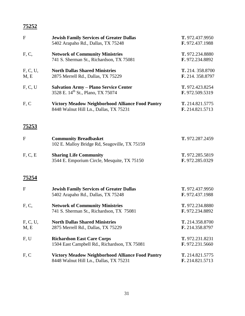| $\mathbf{F}$     | <b>Jewish Family Services of Greater Dallas</b><br>5402 Arapaho Rd., Dallas, TX 75248             | T. 972.437.9950<br>F. 972.437.1988   |
|------------------|---------------------------------------------------------------------------------------------------|--------------------------------------|
| F, C,            | <b>Network of Community Ministries</b><br>741 S. Sherman St., Richardson, TX 75081                | T. 972.234.8880<br>F. 972.234.8892   |
| F, C, U,<br>M, E | <b>North Dallas Shared Ministries</b><br>2875 Merrell Rd., Dallas, TX 75229                       | T. 214. 358.8700<br>F. 214. 358.8797 |
| F, C, U          | <b>Salvation Army - Plano Service Center</b><br>3528 E. 14 <sup>th</sup> St., Plano, TX 75074     | T. 972.423.8254<br>F. 972.509.5319   |
| F, C             | <b>Victory Meadow Neighborhood Alliance Food Pantry</b><br>8448 Walnut Hill Ln., Dallas, TX 75231 | T. 214.821.5775<br>F. 214.821.5713   |
| <u>75253</u>     |                                                                                                   |                                      |
| ${\bf F}$        | <b>Community Breadbasket</b><br>102 E. Malloy Bridge Rd, Seagoville, TX 75159                     | T. 972.287.2459                      |
| F, C, E          | <b>Sharing Life Community</b><br>3544 E. Emporium Circle, Mesquite, TX 75150                      | T. 972.285.5819<br>F. 972.285.0329   |
| 75254            |                                                                                                   |                                      |
| $\mathbf F$      | <b>Jewish Family Services of Greater Dallas</b><br>5402 Arapaho Rd., Dallas, TX 75248             | T. 972.437.9950<br>F. 972.437.1988   |
| F, C,            | <b>Network of Community Ministries</b><br>741 S. Sherman St., Richardson, TX 75081                | T. 972.234.8880<br>F. 972.234.8892   |
| F, C, U,<br>M, E | <b>North Dallas Shared Ministries</b><br>2875 Merrell Rd., Dallas, TX 75229                       | T. 214.358.8700<br>F. 214.358.8797   |
| F, U             | <b>Richardson East Care Corps</b><br>1504 East Campbell Rd., Richardson, TX 75081                 | T. 972.231.8231<br>F. 972.231.5660   |
| F, C             | <b>Victory Meadow Neighborhood Alliance Food Pantry</b><br>8448 Walnut Hill Ln., Dallas, TX 75231 | T. 214.821.5775<br>F. 214.821.5713   |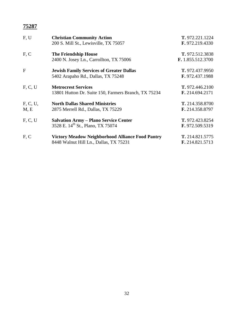| F, U     | <b>Christian Community Action</b>                       | T. 972.221.1224        |
|----------|---------------------------------------------------------|------------------------|
|          | 200 S. Mill St., Lewisville, TX 75057                   | F. 972.219.4330        |
| F, C     | <b>The Friendship House</b>                             | T. 972.512.3838        |
|          | 2400 N. Josey Ln., Carrollton, TX 75006                 | F. 1.855.512.3700      |
| F        | <b>Jewish Family Services of Greater Dallas</b>         | T. 972.437.9950        |
|          | 5402 Arapaho Rd., Dallas, TX 75248                      | <b>F.</b> 972.437.1988 |
| F, C, U  | <b>Metrocrest Services</b>                              | T. 972.446.2100        |
|          | 13801 Hutton Dr. Suite 150, Farmers Branch, TX 75234    | F. 214.694.2171        |
| F, C, U, | <b>North Dallas Shared Ministries</b>                   | T. 214.358.8700        |
| M, E     | 2875 Merrell Rd., Dallas, TX 75229                      | F. 214.358.8797        |
| F, C, U  | <b>Salvation Army - Plano Service Center</b>            | T. 972.423.8254        |
|          | 3528 E. 14 <sup>th</sup> St., Plano, TX 75074           | F. 972.509.5319        |
| F, C     | <b>Victory Meadow Neighborhood Alliance Food Pantry</b> | T. 214.821.5775        |
|          | 8448 Walnut Hill Ln., Dallas, TX 75231                  | F. 214.821.5713        |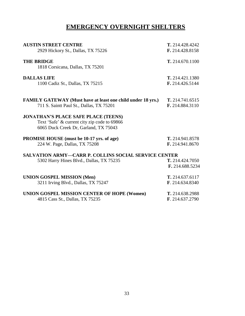## **EMERGENCY OVERNIGHT SHELTERS**

| <b>AUSTIN STREET CENTRE</b>                                                                                                         | T. 214.428.4242                    |
|-------------------------------------------------------------------------------------------------------------------------------------|------------------------------------|
| 2929 Hickory St., Dallas, TX 75226                                                                                                  | F. 214.428.8158                    |
| <b>THE BRIDGE</b>                                                                                                                   | T. 214.670.1100                    |
| 1818 Corsicana, Dallas, TX 75201                                                                                                    |                                    |
| <b>DALLAS LIFE</b>                                                                                                                  | T. 214.421.1380                    |
| 1100 Cadiz St., Dallas, TX 75215                                                                                                    | F. 214.426.5144                    |
| <b>FAMILY GATEWAY (Must have at least one child under 18 yrs.)</b>                                                                  | T. 214.741.6515                    |
| 711 S. Saintt Paul St., Dallas, TX 75201                                                                                            | F. 214.884.3110                    |
| <b>JONATHAN'S PLACE SAFE PLACE (TEENS)</b><br>Text 'Safe' & current city zip code to 69866<br>6065 Duck Creek Dr, Garland, TX 75043 |                                    |
| <b>PROMISE HOUSE</b> (must be 10-17 yrs. of age)<br>224 W. Page, Dallas, TX 75208                                                   | T. 214.941.8578<br>F. 214.941.8670 |
| <b>SALVATION ARMY-CARR P. COLLINS SOCIAL SERVICE CENTER</b>                                                                         |                                    |
| 5302 Harry Hines Blvd., Dallas, TX 75235                                                                                            | T. 214.424.7050<br>F. 214.688.5234 |
| <b>UNION GOSPEL MISSION (Men)</b>                                                                                                   | T. 214.637.6117                    |
| 3211 Irving Blvd., Dallas, TX 75247                                                                                                 | F. 214.634.8340                    |
| UNION GOSPEL MISSION CENTER OF HOPE (Women)                                                                                         | T. 214.638.2988                    |
| 4815 Cass St., Dallas, TX 75235                                                                                                     | F. 214.637.2790                    |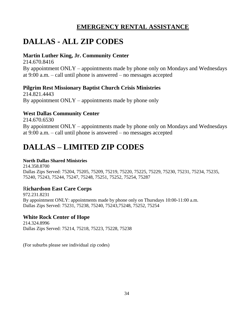## **EMERGENCY RENTAL ASSISTANCE**

## **DALLAS - ALL ZIP CODES**

### **Martin Luther King, Jr. Community Center**

214.670.8416 By appointment ONLY – appointments made by phone only on Mondays and Wednesdays at 9:00 a.m. – call until phone is answered – no messages accepted

### **Pilgrim Rest Missionary Baptist Church Crisis Ministries**

214.821.4443 By appointment  $ONLY$  – appointments made by phone only

## **West Dallas Community Center**

214.670.6530 By appointment ONLY – appointments made by phone only on Mondays and Wednesdays at 9:00 a.m. – call until phone is answered – no messages accepted

# **DALLAS – LIMITED ZIP CODES**

### **North Dallas Shared Ministries**

214.358.8700 Dallas Zips Served: 75204, 75205, 75209, 75219, 75220, 75225, 75229, 75230, 75231, 75234, 75235, 75240, 75243, 75244, 75247, 75248, 75251, 75252, 75254, 75287

### R**ichardson East Care Corps**

972.231.8231 By appointment ONLY: appointments made by phone only on Thursdays 10:00-11:00 a.m. Dallas Zips Served: 75231, 75238, 75240, 75243,75248, 75252, 75254

### **White Rock Center of Hope**

214.324.8996 Dallas Zips Served: 75214, 75218, 75223, 75228, 75238

(For suburbs please see individual zip codes)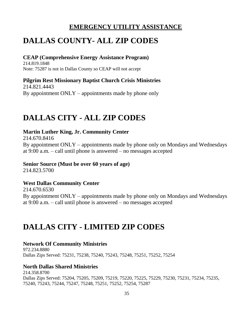## **EMERGENCY UTILITY ASSISTANCE**

## **DALLAS COUNTY- ALL ZIP CODES**

### **CEAP (Comprehensive Energy Assistance Program)**

214.819.1848 Note: 75287 is not in Dallas County so CEAP will not accept

**Pilgrim Rest Missionary Baptist Church Crisis Ministries** 214.821.4443 By appointment  $ONLY$  – appointments made by phone only

## **DALLAS CITY - ALL ZIP CODES**

### **Martin Luther King, Jr. Community Center**

214.670.8416 By appointment ONLY – appointments made by phone only on Mondays and Wednesdays at 9:00 a.m. – call until phone is answered – no messages accepted

### **Senior Source (Must be over 60 years of age)**

214.823.5700

## **West Dallas Community Center**

214.670.6530 By appointment ONLY – appointments made by phone only on Mondays and Wednesdays at 9:00 a.m. – call until phone is answered – no messages accepted

## **DALLAS CITY - LIMITED ZIP CODES**

### **Network Of Community Ministries**

972.234.8880 Dallas Zips Served: 75231, 75238, 75240, 75243, 75248, 75251, 75252, 75254

## **North Dallas Shared Ministries**

214.358.8700 Dallas Zips Served: 75204, 75205, 75209, 75219, 75220, 75225, 75229, 75230, 75231, 75234, 75235, 75240, 75243, 75244, 75247, 75248, 75251, 75252, 75254, 75287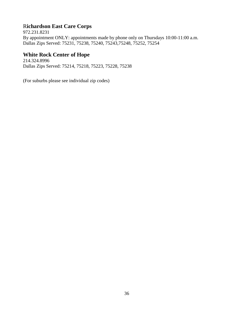## R**ichardson East Care Corps**

972.231.8231 By appointment ONLY: appointments made by phone only on Thursdays 10:00-11:00 a.m. Dallas Zips Served: 75231, 75238, 75240, 75243,75248, 75252, 75254

### **White Rock Center of Hope**

214.324.8996 Dallas Zips Served: 75214, 75218, 75223, 75228, 75238

(For suburbs please see individual zip codes)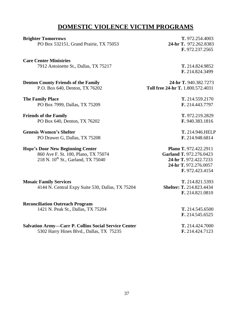## **DOMESTIC VIOLENCE VICTIM PROGRAMS**

| <b>Brighter Tomorrows</b>                                                                               | T. 972.254.4003                          |
|---------------------------------------------------------------------------------------------------------|------------------------------------------|
| PO Box 532151, Grand Prairie, TX 75053                                                                  | 24-hr T. 972.262.8383<br>F. 972.237.2565 |
|                                                                                                         |                                          |
| <b>Care Center Ministries</b>                                                                           |                                          |
| 7912 Antoinette St., Dallas, TX 75217                                                                   | T. 214.824.9852                          |
|                                                                                                         | F. 214.824.3499                          |
| <b>Denton County Friends of the Family</b>                                                              | 24-hr T. 940.382.7273                    |
| P.O. Box 640, Denton, TX 76202                                                                          | Toll free 24-hr T. 1.800.572.4031        |
| <b>The Family Place</b>                                                                                 | T. 214.559.2170                          |
| PO Box 7999, Dallas, TX 75209                                                                           | F. 214.443.7797                          |
|                                                                                                         |                                          |
| <b>Friends of the Family</b>                                                                            | T. 972.219.2829                          |
| PO Box 640, Denton, TX 76202                                                                            | F. 940.383.1816                          |
| <b>Genesis Women's Shelter</b>                                                                          | T. 214.946.HELP                          |
| PO Drawer G, Dallas, TX 75208                                                                           | F. 214.948.6814                          |
| <b>Hope's Door New Beginning Center</b>                                                                 | Plano T. 972.422.2911                    |
| 860 Ave F. St. 100, Plano, TX 75074                                                                     | Garland T. 972.276.0423                  |
| 218 N. 10 <sup>th</sup> St., Garland, TX 75040                                                          | 24-hr T. 972.422.7233                    |
|                                                                                                         | 24-hr T. 972.276.0057                    |
|                                                                                                         | F. 972.423.4154                          |
| <b>Mosaic Family Services</b>                                                                           | T. 214.821.5393                          |
| 4144 N. Central Expy Suite 530, Dallas, TX 75204                                                        | <b>Shelter: T. 214.823.4434</b>          |
|                                                                                                         | F. 214.821.0810                          |
| <b>Reconciliation Outreach Program</b>                                                                  |                                          |
| 1421 N. Peak St., Dallas, TX 75204                                                                      | T. 214.545.6500                          |
|                                                                                                         | F. 214.545.6525                          |
|                                                                                                         |                                          |
| <b>Salvation Army-Carr P. Collins Social Service Center</b><br>5302 Harry Hines Blvd., Dallas, TX 75235 | T. 214.424.7000<br>F. 214.424.7123       |
|                                                                                                         |                                          |
|                                                                                                         |                                          |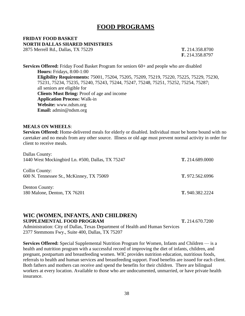## **FOOD PROGRAMS**

### **FRIDAY FOOD BASKET NORTH DALLAS SHARED MINISTRIES**

2875 Merrell Rd., Dallas, TX 75229 **T.** 214.358.8700

**F.** 214.358.8797

**Services Offered:** Friday Food Basket Program for seniors 60+ and people who are disabled **Hours:** Fridays, 8:00-1:00 **Eligibility Requirements:** 75001, 75204, 75205, 75209, 75219, 75220, 75225, 75229, 75230, 75231, 75234, 75235, 75240, 75243, 75244, 75247, 75248, 75251, 75252, 75254, 75287; all seniors are eligible for **Clients Must Bring:** Proof of age and income **Application Process:** Walk-in **Website:** www.ndsm.org **Email:** admin@ndsm.org

#### **MEALS ON WHEELS**:

**Services Offered:** Home-delivered meals for elderly or disabled. Individual must be home bound with no caretaker and no meals from any other source. Illness or old age must prevent normal activity in order for client to receive meals.

| Dallas County:                                   |                 |
|--------------------------------------------------|-----------------|
| 1440 West Mockingbird Ln. #500, Dallas, TX 75247 | T. 214.689.0000 |
| Collin County:                                   |                 |
| 600 N. Tennessee St., McKinney, TX 75069         | T. 972.562.6996 |
| Denton County:                                   |                 |
| 180 Malone, Denton, TX 76201                     | T. 940.382.2224 |

#### **WIC (WOMEN, INFANTS, AND CHILDREN) SUPPLEMENTAL FOOD PROGRAM T.** 214.670.7200

Administration: City of Dallas, Texas Department of Health and Human Services 2377 Stemmons Fwy., Suite 400, Dallas, TX 75207

**Services Offered:** Special Supplemental Nutrition Program for Women, Infants and Children — is a health and nutrition program with a successful record of improving the diet of infants, children, and pregnant, postpartum and breastfeeding women. WIC provides nutrition education, nutritious foods, referrals to health and human services and breastfeeding support. Food benefits are issued for each client. Both fathers and mothers can receive and spend the benefits for their children. There are bilingual workers at every location. Available to those who are undocumented, unmarried, or have private health insurance.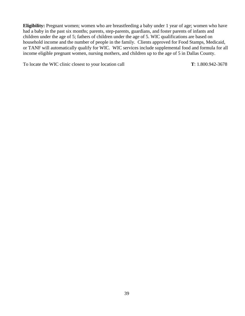**Eligibility:** Pregnant women; women who are breastfeeding a baby under 1 year of age; women who have had a baby in the past six months; parents, step-parents, guardians, and foster parents of infants and children under the age of 5; fathers of children under the age of 5. WIC qualifications are based on household income and the number of people in the family. Clients approved for Food Stamps, Medicaid, or TANF will automatically qualify for WIC. WIC services include supplemental food and formula for all income eligible pregnant women, nursing mothers, and children up to the age of 5 in Dallas County.

To locate the WIC clinic closest to your location call **T**: 1.800.942-3678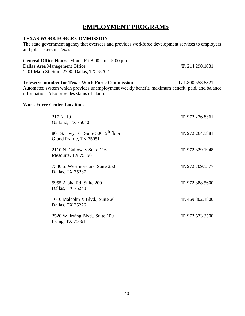## **EMPLOYMENT PROGRAMS**

#### **TEXAS WORK FORCE COMMISSION**

The state government agency that oversees and provides workforce development services to employers and job seekers in Texas.

#### **General Office Hours:** Mon – Fri 8:00 am – 5:00 pm

Dallas Area Management Office **T.** 214.290.1031 1201 Main St. Suite 2700, Dallas, TX 75202

**Teleserve number for Texas Work Force Commission T.** 1.800.558.8321 Automated system which provides unemployment weekly benefit, maximum benefit, paid, and balance information. Also provides status of claim.

#### **Work Force Center Locations**:

| $217$ N. $10^{th}$<br>Garland, TX 75040                             | T. 972.276.8361 |
|---------------------------------------------------------------------|-----------------|
| 801 S. Hwy 161 Suite 500, $5^{th}$ floor<br>Grand Prairie, TX 75051 | T. 972.264.5881 |
| 2110 N. Galloway Suite 116<br>Mesquite, TX 75150                    | T. 972.329.1948 |
| 7330 S. Westmoreland Suite 250<br>Dallas, TX 75237                  | T. 972.709.5377 |
| 5955 Alpha Rd. Suite 200<br>Dallas, TX 75240                        | T. 972.388.5600 |
| 1610 Malcolm X Blvd., Suite 201<br>Dallas, TX 75226                 | T. 469.802.1800 |
| 2520 W. Irving Blvd., Suite 100<br>Irving, $TX 75061$               | T. 972.573.3500 |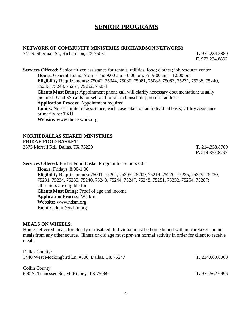## **SENIOR PROGRAMS**

#### **NETWORK OF COMMUNITY MINISTRIES (RICHARDSON NETWORK)**

741 S. Sherman St., Richardson, TX 75081 **T.** 972.234.8880

**F.** 972.234.8892

**Services Offered:** Senior citizen assistance for rentals, utilities, food; clothes; job resource center **Hours:** General Hours: Mon – Thu 9:00 am – 6:00 pm, Fri 9:00 am – 12:00 pm **Eligibility Requirements:** 75042, 75044, 75080, 75081, 75082, 75083, 75231, 75238, 75240, 75243, 75248, 75251, 75252, 75254 **Clients Must Bring:** Appointment phone call will clarify necessary documentation; usually picture ID and SS cards for self and for all in household; proof of address **Application Process:** Appointment required Limits: No set limits for assistance; each case taken on an individual basis; Utility assistance primarily for TXU **Website:** www.thenetwork.org

#### **NORTH DALLAS SHARED MINISTRIES FRIDAY FOOD BASKET**

2875 Merrell Rd., Dallas, TX 75229 **T.** 214.358.8700

**F.** 214.358.8797

**Services Offered:** Friday Food Basket Program for seniors 60+ **Hours:** Fridays, 8:00-1:00 **Eligibility Requirements:** 75001, 75204, 75205, 75209, 75219, 75220, 75225, 75229, 75230, 75231, 75234, 75235, 75240, 75243, 75244, 75247, 75248, 75251, 75252, 75254, 75287; all seniors are eligible for **Clients Must Bring:** Proof of age and income **Application Process:** Walk-in **Website:** www.ndsm.org **Email:** admin@ndsm.org

#### **MEALS ON WHEELS**:

Home-delivered meals for elderly or disabled. Individual must be home bound with no caretaker and no meals from any other source. Illness or old age must prevent normal activity in order for client to receive meals.

Dallas County: 1440 West Mockingbird Ln. #500, Dallas, TX 75247 **T.** 214.689.0000

Collin County: 600 N. Tennessee St., McKinney, TX 75069 **T.** 972.562.6996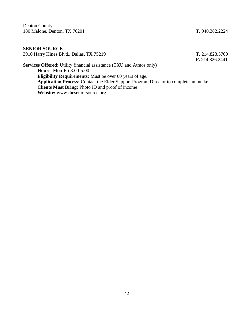Denton County: 180 Malone, Denton, TX 76201 **T.** 940.382.2224

**F.** 214.826.2441

#### **SENIOR SOURCE** 3910 Harry Hines Blvd., Dallas, TX 75219 **T.** 214.823.5700

**Services Offered:** Utility financial assistance (TXU and Atmos only) **Hours:** Mon-Fri 8:00-5:00 **Eligibility Requirements:** Must be over 60 years of age. **Application Process:** Contact the Elder Support Program Director to complete an intake. **Clients Must Bring:** Photo ID and proof of income **Website:** [www.theseniorsource.org](http://www.theseniorsource.org/)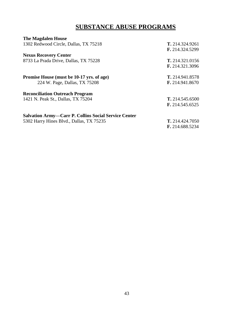## **SUBSTANCE ABUSE PROGRAMS**

| <b>The Magdalen House</b>                                   |                        |
|-------------------------------------------------------------|------------------------|
| 1302 Redwood Circle, Dallas, TX 75218                       | T. 214.324.9261        |
|                                                             | F. 214.324.5299        |
| <b>Nexus Recovery Center</b>                                |                        |
| 8733 La Prada Drive, Dallas, TX 75228                       | T. 214.321.0156        |
|                                                             | F. 214.321.3096        |
| Promise House (must be 10-17 yrs. of age)                   | T. 214.941.8578        |
| 224 W. Page, Dallas, TX 75208                               | F. 214.941.8670        |
| <b>Reconciliation Outreach Program</b>                      |                        |
| 1421 N. Peak St., Dallas, TX 75204                          | T. 214.545.6500        |
|                                                             | F. 214.545.6525        |
| <b>Salvation Army-Carr P. Collins Social Service Center</b> |                        |
| 5302 Harry Hines Blvd., Dallas, TX 75235                    | <b>T.</b> 214.424.7050 |
|                                                             | F. 214.688.5234        |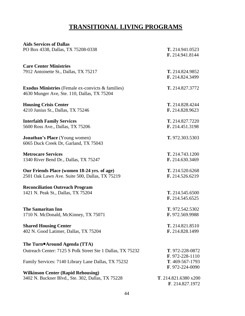## **TRANSITIONAL LIVING PROGRAMS**

| <b>Aids Services of Dallas</b>                             |                       |
|------------------------------------------------------------|-----------------------|
| PO Box 4338, Dallas, TX 75208-0338                         | T. 214.941.0523       |
|                                                            | F. 214.941.8144       |
|                                                            |                       |
| <b>Care Center Ministries</b>                              |                       |
| 7912 Antoinette St., Dallas, TX 75217                      | T. 214.824.9852       |
|                                                            | F. 214.824.3499       |
|                                                            |                       |
| <b>Exodus Ministries</b> (Female ex-convicts & families)   | T. 214.827.3772       |
|                                                            |                       |
| 4630 Munger Ave, Ste. 110, Dallas, TX 75204                |                       |
| <b>Housing Crisis Center</b>                               | T. 214.828.4244       |
|                                                            | F. 214.828.9623       |
| 4210 Junius St., Dallas, TX 75246                          |                       |
| <b>Interfaith Family Services</b>                          | T. 214.827.7220       |
| 5600 Ross Ave., Dallas, TX 75206                           | F. 214.451.3198       |
|                                                            |                       |
| <b>Jonathan's Place</b> (Young women)                      | T. 972.303.5303       |
| 6065 Duck Creek Dr, Garland, TX 75043                      |                       |
|                                                            |                       |
| <b>Metrocare Services</b>                                  | T. 214.743.1200       |
| 1340 River Bend Dr., Dallas, TX 75247                      | F. 214.630.3469       |
|                                                            |                       |
| Our Friends Place (women 18-24 yrs. of age)                | T. 214.520.6268       |
| 2501 Oak Lawn Ave. Suite 500, Dallas, TX 75219             | F. 214.526.6219       |
|                                                            |                       |
| <b>Reconciliation Outreach Program</b>                     |                       |
| 1421 N. Peak St., Dallas, TX 75204                         | T. 214.545.6500       |
|                                                            | F. 214.545.6525       |
|                                                            |                       |
| <b>The Samaritan Inn</b>                                   | T. 972.542.5302       |
| 1710 N. McDonald, McKinney, TX 75071                       | F. 972.569.9988       |
|                                                            |                       |
| <b>Shared Housing Center</b>                               | T. 214.821.8510       |
| 402 N. Good Latimer, Dallas, TX 75204                      | F. 214.828.1499       |
|                                                            |                       |
| The Turn <sup>o</sup> Around Agenda (TTA)                  |                       |
|                                                            |                       |
| Outreach Center: 7125 S Polk Street Ste 1 Dallas, TX 75232 | T. 972-228-0872       |
|                                                            | $F. 972 - 228 - 1110$ |
| Family Services: 7140 Library Lane Dallas, TX 75232        | T. 469-567-1793       |
|                                                            | F. 972-224-0090       |
| <b>Wilkinson Center (Rapid Rehousing)</b>                  |                       |
| 3402 N. Buckner Blvd., Ste. 302, Dallas, TX 75228          | T. 214.821.6380 x200  |
|                                                            | F. 214.827.1972       |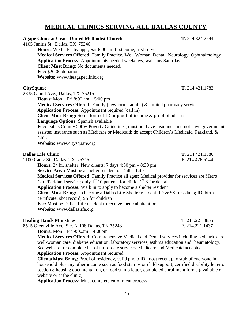## **MEDICAL CLINICS SERVING ALL DALLAS COUNTY**

| <b>Agape Clinic at Grace United Methodist Church</b>                                                                                                                                                                                                                                                                                                                                | T. 214.824.2744 |
|-------------------------------------------------------------------------------------------------------------------------------------------------------------------------------------------------------------------------------------------------------------------------------------------------------------------------------------------------------------------------------------|-----------------|
| 4105 Junius St., Dallas, TX 75246<br><b>Hours:</b> Wed – Fri by appt; Sat 6:00 am first come, first serve<br>Medical Services Offered: Family Practice, Well Woman, Dental, Neurology, Ophthalmology<br>Application Process: Appointments needed weekdays; walk-ins Saturday<br>Client Must Bring: No documents needed.<br>Fee: \$20.00 donation<br>Website: www.theagapeclinic.org |                 |
| <b>CitySquare</b>                                                                                                                                                                                                                                                                                                                                                                   | T. 214.421.1783 |
| 2835 Grand Ave., Dallas, TX 75215                                                                                                                                                                                                                                                                                                                                                   |                 |
| <b>Hours:</b> Mon $-$ Fri 8:00 am $-$ 5:00 pm                                                                                                                                                                                                                                                                                                                                       |                 |
| Medical Services Offered: Family (newborn – adults) & limited pharmacy services                                                                                                                                                                                                                                                                                                     |                 |
| <b>Application Process:</b> Appointment required (call in)                                                                                                                                                                                                                                                                                                                          |                 |
| Client Must Bring: Some form of ID or proof of income & proof of address                                                                                                                                                                                                                                                                                                            |                 |
| Language Options: Spanish available<br>Fee: Dallas County 200% Poverty Guidelines; must not have insurance and not have government                                                                                                                                                                                                                                                  |                 |
| assisted insurance such as Medicare or Medicaid; do accept Children's Medicaid, Parkland, &                                                                                                                                                                                                                                                                                         |                 |
| Chip.                                                                                                                                                                                                                                                                                                                                                                               |                 |
| Website: www.citysquare.org                                                                                                                                                                                                                                                                                                                                                         |                 |
| <b>Dallas Life Clinic</b>                                                                                                                                                                                                                                                                                                                                                           | T. 214.421.1380 |
| 1100 Cadiz St., Dallas, TX 75215                                                                                                                                                                                                                                                                                                                                                    | F. 214.426.5144 |
| <b>Hours:</b> 24 hr. shelter; New clients: 7 days $4:30 \text{ pm} - 8:30 \text{ pm}$                                                                                                                                                                                                                                                                                               |                 |
| Service Area: Must be a shelter resident of Dallas Life                                                                                                                                                                                                                                                                                                                             |                 |
| Medical Services Offered: Family Practice all ages; Medical provider for services are Metro                                                                                                                                                                                                                                                                                         |                 |
| Care/Parkland service; only $1st 10$ patients for clinic, $1st 8$ for dental                                                                                                                                                                                                                                                                                                        |                 |
| <b>Application Process:</b> Walk in to apply to become a shelter resident                                                                                                                                                                                                                                                                                                           |                 |
| <b>Client Must Bring:</b> To become a Dallas Life Shelter resident: ID & SS for adults; ID, birth<br>certificate, shot record, SS for children                                                                                                                                                                                                                                      |                 |
| Fee: Must be Dallas Life resident to receive medical attention                                                                                                                                                                                                                                                                                                                      |                 |
| Website: www.dallaslife.org                                                                                                                                                                                                                                                                                                                                                         |                 |
| <b>Healing Hands Ministries</b>                                                                                                                                                                                                                                                                                                                                                     | T. 214.221.0855 |

8515 Greenville Ave. Ste. N-108 Dallas, TX 75243 F. 214.221.1437

**Hours:** Mon – Fri 9:00am – 4:00pm

**Medical Services Offered:** Comprehensive Medical and Dental services including pediatric care, well-woman care, diabetes education, laboratory services, asthma education and rheumatology. See website for complete list of up-to-date services. Medicare and Medicaid accepted.

#### **Application Process:** Appointment required

**Clients Must Bring:** Proof of residency, valid photo ID, most recent pay stub of everyone in household plus any other income such as food stamps or child support, certified disability letter or section 8 housing documentation, or food stamp letter, completed enrollment forms (available on website or at the clinic)

**Application Process:** Must complete enrollment process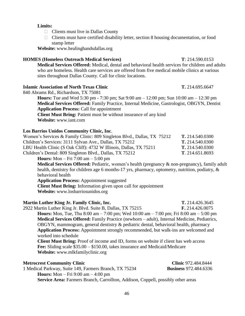### **Limits:**

- $\Box$  Clients must live in Dallas County
- $\Box$  Clients must have certified disability letter, section 8 housing documentation, or food stamp letter

**Website:** [www.healinghandsdallas.org](http://www.gpuc.org/)

### **HOMES (Homeless Outreach Medical Services) T**: 214.590.0153

**Medical Services Offered:** Medical, dental and behavioral health services for children and adults who are homeless. Health care services are offered from five medical mobile clinics at various sites throughout Dallas County. Call for clinic locations.

#### **Islamic Association of North Texas Clinic T.** 214.695.6647

840 Abrams Rd., Richardson, TX 75081

**Hours:** Tue and Wed 5:30 pm - 7:30 pm; Sat 9:00 am – 12:00 pm; Sun 10:00 am – 12:30 pm **Medical Services Offered:** Family Practice, Internal Medicine, Gastrologist, OBGYN, Dentist **Application Process:** Call for appointment **Client Must Bring:** Patient must be without insurance of any kind

**Website:** www.iant.com

#### **Los Barrios Unidos Community Clinic, Inc**.

| Women's Services & Family Clinic: 809 Singleton Blvd., Dallas, TX 75212                                        | T. 214.540.0300 |
|----------------------------------------------------------------------------------------------------------------|-----------------|
| Children's Services: 3111 Sylvan Ave., Dallas, TX 75212                                                        | T. 214.540.0300 |
| LBU Health Clinic (S Oak Cliff): 4732 W Illinois, Dallas, TX 75211                                             | T. 214.540.0300 |
| Children's Dental: 809 Singleton Blvd., Dallas, TX 75212                                                       | T. 214.651.8693 |
| $\mathbf{H}_{\text{oumon}}\mathbf{M}_{\text{on}}$ $\mathbf{L}_{\text{in}}$ $7.00 \text{ cm}$ $5.00 \text{ nm}$ |                 |

**Hours:** Mon – Fri 7:00 am – 5:00 pm

**Medical Services Offered:** Pediatric, women's health (pregnancy & non-pregnancy), family adult health, dentistry for children age 6 months-17 yrs, pharmacy, optometry, nutrition, podiatry, & behavioral health

**Application Process:** Appointment suggested **Client Must Bring:** Information given upon call for appointment **Website:** www.losbarriosunidos.org

**Martin Luther King Jr. Family Clinic, Inc. T.** 214.426.3645 2922 Martin Luther King Jr. Blvd. Suite B, Dallas, TX 75215 **F.** 214.426.0075 **Hours:** Mon, Tue, Thu 8:00 am – 7:00 pm; Wed 10:00 am – 7:00 pm; Fri 8:00 am – 5:00 pm **Medical Services Offered:** Family Practice (newborn – adult), Internal Medicine, Pediatrics, OBGYN, mammogram, general dentistry & pediatric dental, behavioral health, pharmacy **Application Process:** Appointment strongly recommended, but walk-ins are welcomed and worked into schedule **Client Must Bring:** Proof of income and ID, forms on website if client has web access **Fee:** Sliding scale \$35.00 – \$150.00, takes insurance and Medicaid/Medicare **Website:** www.mlkfamilyclinic.org

| <b>Metrocrest Community Clinic</b>                                                      | <b>Clinic</b> 972.484.8444   |
|-----------------------------------------------------------------------------------------|------------------------------|
| 1 Medical Parkway, Suite 149, Farmers Branch, TX 75234                                  | <b>Business</b> 972.484.6336 |
| <b>Hours:</b> Mon – Fri 9:00 am – 4:00 pm                                               |                              |
| <b>Service Area:</b> Farmers Branch, Carrollton, Addison, Coppell, possibly other areas |                              |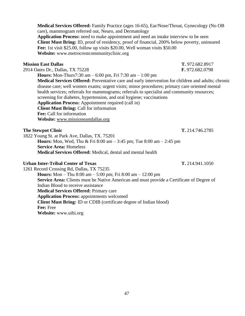**Medical Services Offered:** Family Practice (ages 16-65), Ear/Nose/Throat, Gynecology (No OB care), mammogram referred out, Neuro, and Dermatology **Application Process:** need to make appointment and need an intake interview to be seen **Client Must Bring:** ID, proof of residency, proof of financial, 200% below poverty, uninsured **Fee:** 1st visit \$25.00, follow up visits \$20.00, Well woman visits \$50.00 **Website:** www.metrocrestcommunityclinic.org

#### **Mission East Dallas T.** 972.682.8917

2914 Oates Dr., Dallas, TX 75228 **F.** 972.682.0798

**Hours:** Mon-Thurs7:30 am – 6:00 pm, Fri 7:30 am – 1:00 pm

**Medical Services Offered:** Preventative care and early intervention for children and adults; chronic disease care; well women exams; urgent visits; minor procedures; primary care oriented mental health services; referrals for mammograms; referrals to specialist and community resources; screening for diabetes, hypertension, and oral hygiene; vaccinations **Application Process:** Appointment required (call in) **Client Must Bring:** Call for information **Fee:** Call for information **Website:** [www.missioneastdallas.org](http://www.missioneastdallas.org/)

#### **The Stewpot Clinic T.** 214.746.2785

1822 Young St. at Park Ave, Dallas, TX. 75201 **Hours:** Mon, Wed, Thu & Fri 8:00 am – 3:45 pm; Tue 8:00 am – 2:45 pm **Service Area:** Homeless

**Medical Services Offered:** Medical, dental and mental health

#### **Urban Inter-Tribal Center of Texas T.** 214.941.1050

1261 Record Crossing Rd, Dallas, TX 75235 **Hours:** Mon – Thu 8:00 am – 5:00 pm; Fri 8:00 am – 12:00 pm **Service Area:** Clients must be Native American and must provide a Certificate of Degree of Indian Blood to receive assistance **Medical Services Offered:** Primary care **Application Process:** appointments welcomed **Client Must Bring:** ID or CDIB (certificate degree of Indian blood) **Fee:** Free **Website:** www.uihi.org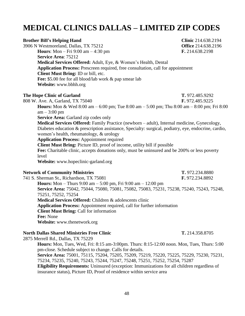## **MEDICAL CLINICS DALLAS – LIMITED ZIP CODES**

| <b>Brother Bill's Helping Hand</b>                                                                                                              | Clinic 214.638.2194        |
|-------------------------------------------------------------------------------------------------------------------------------------------------|----------------------------|
| 3906 N Westmoreland, Dallas, TX 75212                                                                                                           | <b>Office 214.638.2196</b> |
| <b>Hours:</b> Mon – Fri 9:00 am – 4:30 pm                                                                                                       | F. 214.638.2198            |
| Service Area: 75212                                                                                                                             |                            |
| Medical Services Offered: Adult, Eye, & Women's Health, Dental                                                                                  |                            |
| Application Process: Prescreen required, free consultation, call for appointment<br>Client Must Bring: ID or bill, etc.                         |                            |
| Fee: \$5.00 fee for all blood/lab work & pap smear lab                                                                                          |                            |
| Website: www.bbhh.org                                                                                                                           |                            |
| <b>The Hope Clinic of Garland</b>                                                                                                               | T. 972.485.9292            |
| 808 W. Ave. A, Garland, TX 75040                                                                                                                | F. 972.485.9225            |
| <b>Hours:</b> Mon & Wed 8:00 am $-$ 6:00 pm; Tue 8:00 am $-$ 5:00 pm; Thu 8:00 am $-$ 8:00 pm; Fri 8:00<br>$am - 3:00 pm$                       |                            |
| <b>Service Area: Garland zip codes only</b>                                                                                                     |                            |
| Medical Services Offered: Family Practice (newborn - adult), Internal medicine, Gynecology,                                                     |                            |
| Diabetes education & prescription assistance, Specialty: surgical, podiatry, eye, endocrine, cardio,<br>women's health, rheumatology, & urology |                            |
| <b>Application Process: Appointment required</b>                                                                                                |                            |
| Client Must Bring: Picture ID, proof of income, utility bill if possible                                                                        |                            |
| Fee: Charitable clinic, accepts donations only, must be uninsured and be 200% or less poverty<br>level                                          |                            |
| Website: www.hopeclinic-garland.org                                                                                                             |                            |
| <b>Network of Community Ministries</b>                                                                                                          | T. 972.234.8880            |
| 741 S. Sherman St., Richardson, TX 75081                                                                                                        | F. 972.234.8892            |
| <b>Hours:</b> Mon – Thurs 9:00 am – 5:00 pm, Fri 9:00 am – 12:00 pm                                                                             |                            |
| Service Area: 75042, 75044, 75080, 75081, 75082, 75083, 75231, 75238, 75240, 75243, 75248,<br>75251, 75252, 75254                               |                            |
| Medical Services Offered: Children & adolescents clinic                                                                                         |                            |
| Application Process: Appointment required, call for further information                                                                         |                            |
| <b>Client Must Bring: Call for information</b>                                                                                                  |                            |
| Fee: None                                                                                                                                       |                            |
| Website: www.thenetwork.org                                                                                                                     |                            |
|                                                                                                                                                 |                            |

#### **North Dallas Shared Ministries Free Clinic T.** 214.358.8705

2875 Merrell Rd., Dallas, TX 75229

**Hours:** Mon, Tues, Wed, Fri: 8:15 am-3:00pm. Thurs: 8:15-12:00 noon. Mon, Tues, Thurs: 5:00 pm-close. Schedule subject to change. Calls for details. **Service Area:** 75001, 75115, 75204, 75205, 75209, 75219, 75220, 75225, 75229, 75230, 75231, 75234, 75235, 75240, 75243, 75244, 75247, 75248, 75251, 75252, 75254, 75287 **Eligibility Requirements:** Uninsured (exception: Immunizations for all children regardless of insurance status), Picture ID, Proof of residence within service area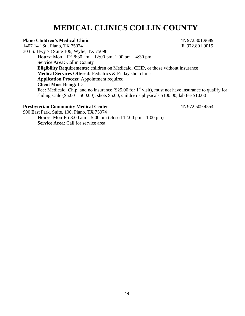## **MEDICAL CLINICS COLLIN COUNTY**

#### **Plano Children's Medical Clinic T.** 972.801.9689

1407 14th St., Plano, TX 75074 **F.** 972.801.9015 303 S. Hwy 78 Suite 106, Wylie, TX 75098 **Hours:** Mon – Fri 8:30 am – 12:00 pm, 1:00 pm – 4:30 pm **Service Area:** Collin County **Eligibility Requirements:** children on Medicaid, CHIP, or those without insurance **Medical Services Offered:** Pediatrics & Friday shot clinic **Application Process:** Appointment required **Client Must Bring:** ID Fee: Medicaid, Chip, and no insurance (\$25.00 for 1<sup>st</sup> visit), must not have insurance to qualify for sliding scale (\$5.00 – \$60.00); shots \$5.00, children's physicals \$100.00, lab fee \$10.00

#### **Presbyterian Community Medical Center T.** 972.509.4554

900 East Park, Suite. 100, Plano, TX 75074 **Hours:** Mon-Fri 8:00 am – 5:00 pm (closed 12:00 pm – 1:00 pm) **Service Area:** Call for service area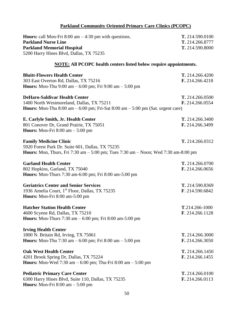### **Parkland Community Oriented Primary Care Clinics (PCOPC)**

| <b>Hours:</b> call Mon-Fri $8:00$ am $-4:30$ pm with questions.<br><b>Parkland Nurse Line</b><br><b>Parkland Memorial Hospital</b><br>5200 Harry Hines Blvd, Dallas, TX 75235  | T. 214.590.0100<br>T. 214.266.8777<br>T. 214.590.8000 |
|--------------------------------------------------------------------------------------------------------------------------------------------------------------------------------|-------------------------------------------------------|
| <b>NOTE:</b> All PCOPC health centers listed below require appointments.                                                                                                       |                                                       |
| <b>Bluitt-Flowers Health Center</b><br>303 East Overton Rd, Dallas, TX 75216<br><b>Hours:</b> Mon-Thu 9:00 am $-$ 6:00 pm; Fri 9:00 am $-$ 5:00 pm                             | T. 214.266.4200<br>F. 214.266.4218                    |
| <b>DeHaro-Saldivar Health Center</b><br>1400 North Westmoreland, Dallas, TX 75211<br><b>Hours:</b> Mon-Thu 8:00 am $-$ 6:00 pm; Fri-Sat 8:00 am $-$ 5:00 pm (Sat. urgent care) | T. 214.266.0500<br>F. 214.266.0554                    |
| E. Carlyle Smith, Jr. Health Center<br>801 Conover Dr, Grand Prairie, TX 75051<br><b>Hours:</b> Mon-Fri $8:00$ am $-5:00$ pm                                                   | T. 214.266.3400<br>F. 214.266.3499                    |
| <b>Family Medicine Clinic</b><br>5920 Forest Park Dr. Suite 601, Dallas, TX 75235<br>Hours: Mon, Thurs, Fri 7:30 am - 5:00 pm; Tues 7:30 am - Noon; Wed 7:30 am-8:00 pm        | T. 214.266.0312                                       |
| <b>Garland Health Center</b><br>802 Hopkins, Garland, TX 75040<br><b>Hours:</b> Mon-Thurs 7:30 am-6:00 pm; Fri 8:00 am-5:00 pm                                                 | T. 214.266.0700<br>F. 214.266.0656                    |
| <b>Geriatrics Center and Senior Services</b><br>1936 Amelia Court, 1 <sup>st</sup> Floor, Dallas, TX 75235<br>Hours: Mon-Fri 8:00 am-5:00 pm                                   | T. 214.590.8369<br>F. 214.590.6842                    |
| <b>Hatcher Station Health Center</b><br>4600 Scyene Rd, Dallas, TX 75210<br><b>Hours:</b> Mon-Thurs 7:30 am $- 6:00$ pm; Fri 8:00 am-5:00 pm                                   | T.214.266-1000<br>F. 214.266.1128                     |
| <b>Irving Health Center</b><br>1800 N. Britain Rd, Irving, TX 75061<br><b>Hours:</b> Mon-Thu 7:30 am - 6:00 pm; Fri 8:00 am - 5:00 pm                                          | T. 214.266.3000<br>F. 214.266.3050                    |
| <b>Oak West Health Center</b><br>4201 Brook Spring Dr, Dallas, TX 75224<br><b>Hours:</b> Mon-Wed 7:30 am $- 6:00$ pm; Thu-Fri 8:00 am $- 5:00$ pm                              | T. 214.266.1450<br>F. 214.266.1455                    |
| <b>Pediatric Primary Care Center</b><br>6300 Harry Hines Blvd, Suite 110, Dallas, TX 75235<br><b>Hours:</b> Mon-Fri $8:00$ am $-5:00$ pm                                       | T. 214.266.0100<br>F. 214.266.0113                    |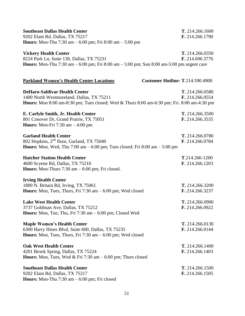| <b>Southeast Dallas Health Center</b>                                                               | T. 214.266.1600 |
|-----------------------------------------------------------------------------------------------------|-----------------|
| 9202 Elam Rd, Dallas, TX 75217                                                                      | F. 214.266.1790 |
| <b>Hours:</b> Mon-Thu 7:30 am $- 6:00$ pm; Fri 8:00 am $- 5:00$ pm                                  |                 |
| <b>Vickery Health Center</b>                                                                        | T. 214.266.0350 |
| 8224 Park Ln, Suite 130, Dallas, TX 75231                                                           | F. 214.696.3776 |
| <b>Hours:</b> Mon-Thu 7:30 am $- 6:00$ pm; Fri 8:00 am $- 5:00$ pm; Sun 8:00 am-5:00 pm urgent care |                 |
|                                                                                                     |                 |
| <b>Parkland Women's Health Center Locations</b><br><b>Customer Hotline: T.214.590.4900</b>          |                 |
| <b>DeHaro-Saldivar Health Center</b>                                                                | T. 214.266.0580 |
| 1400 North Westmoreland, Dallas, TX 75211                                                           | F. 214.266.0554 |
| <b>Hours:</b> Mon 8:00 am-8:30 pm; Tues closed; Wed & Thurs 8:00 am-6:30 pm; Fri. 8:00 am-4:30 pm   |                 |
| E. Carlyle Smith, Jr. Health Center                                                                 | T. 214.266.3500 |
| 801 Conover Dr, Grand Prairie, TX 75051                                                             | F. 214.266.3535 |
| <b>Hours:</b> Mon-Fri $7:30$ am $-4:00$ pm                                                          |                 |
| <b>Garland Health Center</b>                                                                        | T. 214.266.0780 |
| 802 Hopkins, 2 <sup>nd</sup> floor, Garland, TX 75040                                               | F. 214.266.0784 |
| <b>Hours:</b> Mon, Wed, Thu 7:00 am $- 6:00$ pm; Tues closed; Fri 8:00 am $- 5:00$ pm               |                 |
| <b>Hatcher Station Health Center</b>                                                                | T.214.266-1200  |
| 4600 Scyene Rd, Dallas, TX 75210                                                                    | F. 214.266.1203 |
| <b>Hours:</b> Mon-Thurs $7:30$ am $-6:00$ pm; Fri closed.                                           |                 |
| <b>Irving Health Center</b>                                                                         |                 |
| 1800 N. Britain Rd, Irving, TX 75061                                                                | T. 214.266.3200 |
| <b>Hours:</b> Mon, Tues, Thurs, Fri $7:30$ am $-6:00$ pm; Wed closed                                | F. 214.266.3237 |
| <b>Lake West Health Center</b>                                                                      | T. 214.266.0900 |
| 3737 Goldman Ave, Dallas, TX 75212                                                                  | F. 214.266.0922 |
| <b>Hours:</b> Mon, Tue, Thu, Fri $7:30$ am $-6:00$ pm; Closed Wed                                   |                 |
| <b>Maple Women's Health Center</b>                                                                  | T. 214.266.0130 |
| 6300 Harry Hines Blvd, Suite 600, Dallas, TX 75235                                                  | F. 214.266.0144 |
| Hours: Mon, Tues, Thurs, Fri $7:30$ am $-6:00$ pm; Wed closed                                       |                 |
| <b>Oak West Health Center</b>                                                                       | T. 214.266.1400 |
| 4201 Brook Spring, Dallas, TX 75224                                                                 | F. 214.266.1403 |
| <b>Hours:</b> Mon, Tues, Wed & Fri 7:30 am $-6:00$ pm; Thurs closed                                 |                 |
| <b>Southeast Dallas Health Center</b>                                                               | T. 214.266.1500 |
| 9202 Elam Rd, Dallas, TX 75217                                                                      | F. 214.266.1505 |
| <b>Hours:</b> Mon-Thu $7:30$ am $-6:00$ pm; Fri closed                                              |                 |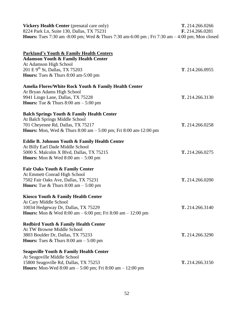| <b>Vickery Health Center</b> (prenatal care only)                                                    | T. 214.266.0266        |
|------------------------------------------------------------------------------------------------------|------------------------|
| 8224 Park Ln, Suite 130, Dallas, TX 75231                                                            | <b>F.</b> 214.266.0281 |
| <b>Hours:</b> Tues 7:30 am -8:00 pm; Wed & Thurs 7:30 am-6:00 pm; Fri 7:30 am $-4:00$ pm; Mon closed |                        |

| <b>Parkland's Youth &amp; Family Health Centers</b>                                                           |                 |
|---------------------------------------------------------------------------------------------------------------|-----------------|
| <b>Adamson Youth &amp; Family Health Center</b>                                                               |                 |
| At Adamson High School                                                                                        |                 |
| 201 E 9 <sup>th</sup> St, Dallas, TX 75203                                                                    | T. 214.266.0955 |
| Hours: Tues & Thurs 8:00 am-5:00 pm                                                                           |                 |
| Amelia Flores/White Rock Youth & Family Health Center                                                         |                 |
| At Bryan Adams High School                                                                                    |                 |
| 9941 Lingo Lane, Dallas, TX 75228                                                                             | T. 214.266.3130 |
| <b>Hours:</b> Tue & Thurs $8:00 \text{ am} - 5:00 \text{ pm}$                                                 |                 |
| <b>Balch Springs Youth &amp; Family Health Center</b>                                                         |                 |
| At Balch Springs Middle School                                                                                |                 |
| 701 Cheyenne Rd, Dallas, TX 75217                                                                             | T. 214.266.0258 |
| <b>Hours:</b> Mon, Wed & Thurs $8:00 \text{ am} - 5:00 \text{ pm}$ ; Fri $8:00 \text{ am} - 12:00 \text{ pm}$ |                 |
| Eddie B. Johnson Youth & Family Health Center                                                                 |                 |
| At Billy Earl Dade Middle School                                                                              |                 |
| 5000 S. Malcolm X Blvd, Dallas, TX 75215                                                                      | T. 214.266.0275 |
| Hours: Mon & Wed $8:00 \text{ am} - 5:00 \text{ pm}$                                                          |                 |
| <b>Fair Oaks Youth &amp; Family Center</b>                                                                    |                 |
| At Emmett Conrad High School                                                                                  |                 |
| 7502 Fair Oaks Ave, Dallas, TX 75231                                                                          | T. 214.266.0200 |
| <b>Hours:</b> Tue & Thurs $8:00 \text{ am} - 5:00 \text{ pm}$                                                 |                 |
| Kiosco Youth & Family Health Center                                                                           |                 |
| At Cary Middle School                                                                                         |                 |
| 10034 Hedgeway Dr, Dallas, TX 75229                                                                           | T. 214.266.3140 |
| <b>Hours:</b> Mon & Wed $8:00 \text{ am} - 6:00 \text{ pm}$ ; Fri $8:00 \text{ am} - 12:00 \text{ pm}$        |                 |
| <b>Redbird Youth &amp; Family Health Center</b>                                                               |                 |
| At TW Browne Middle School                                                                                    |                 |
| 3803 Boulder Dr, Dallas, TX 75233                                                                             | T. 214.266.3290 |
| <b>Hours:</b> Tues & Thurs $8:00 \text{ am} - 5:00 \text{ pm}$                                                |                 |
| <b>Seagoville Youth &amp; Family Health Center</b>                                                            |                 |
| At Seagoville Middle School                                                                                   |                 |
| 15800 Seagoville Rd, Dallas, TX 75253                                                                         | T. 214.266.3150 |
| <b>Hours:</b> Mon-Wed 8:00 am $-$ 5:00 pm; Fri 8:00 am $-$ 12:00 pm                                           |                 |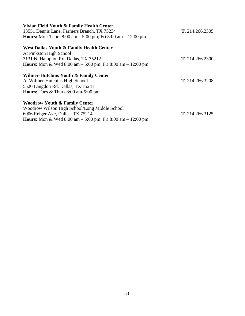| Vivian Field Youth & Family Health Center                             |                        |
|-----------------------------------------------------------------------|------------------------|
| 13551 Dennis Lane, Farmers Branch, TX 75234                           | T. 214.266.2305        |
| <b>Hours:</b> Mon-Thurs 8:00 am $-$ 5:00 pm; Fri 8:00 am $-$ 12:00 pm |                        |
| West Dallas Youth & Family Health Center                              |                        |
| At Pinkston High School                                               |                        |
| 3131 N. Hampton Rd, Dallas, TX 75212                                  | <b>T.</b> 214.266.2300 |
| <b>Hours:</b> Mon & Wed 8:00 am $-$ 5:00 pm; Fri 8:00 am $-$ 12:00 pm |                        |
| Wilmer-Hutchins Youth & Family Center                                 |                        |
| At Wilmer-Hutchins High School                                        | T. 214.266.3208        |
| 5520 Langdon Rd, Dallas, TX 75241                                     |                        |
| <b>Hours:</b> Tues $\&$ Thurs 8:00 am-5:00 pm                         |                        |
| <b>Woodrow Youth &amp; Family Center</b>                              |                        |
| Woodrow Wilson High School/Long Middle School                         |                        |
| 6006 Reiger Ave, Dallas, TX 75214                                     | T. 214.266.3125        |
| <b>Hours:</b> Mon & Wed 8:00 am $-$ 5:00 pm; Fri 8:00 am $-$ 12:00 pm |                        |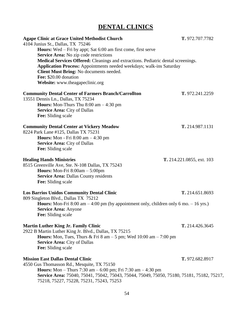## **DENTAL CLINICS**

| <b>Agape Clinic at Grace United Methodist Church</b><br>4104 Junius St., Dallas, TX 75246<br><b>Hours:</b> Wed – Fri by appt; Sat 6:00 am first come, first serve<br>Service Area: No zip code restrictions<br>Medical Services Offered: Cleanings and extractions. Pediatric dental screenings.<br>Application Process: Appointments needed weekdays; walk-ins Saturday<br>Client Must Bring: No documents needed.<br>Fee: \$20.00 donation<br>Website: www.theagapeclinic.org | T. 972.707.7782           |
|---------------------------------------------------------------------------------------------------------------------------------------------------------------------------------------------------------------------------------------------------------------------------------------------------------------------------------------------------------------------------------------------------------------------------------------------------------------------------------|---------------------------|
| <b>Community Dental Center of Farmers Branch/Carrollton</b><br>13551 Dennis Ln., Dallas, TX 75234<br><b>Hours:</b> Mon-Thurs Thu $8:00$ am $-4:30$ pm<br><b>Service Area: City of Dallas</b><br>Fee: Sliding scale                                                                                                                                                                                                                                                              | T. 972.241.2259           |
| <b>Community Dental Center at Vickery Meadow</b><br>8224 Park Lane #125, Dallas TX 75231<br><b>Hours:</b> Mon - Fri $8:00$ am $-4:30$ pm<br><b>Service Area: City of Dallas</b><br>Fee: Sliding scale                                                                                                                                                                                                                                                                           | T. 214.987.1131           |
| <b>Healing Hands Ministries</b><br>8515 Greenville Ave, Ste. N-108 Dallas, TX 75243<br><b>Hours:</b> Mon-Fri $8:00am - 5:00pm$<br><b>Service Area: Dallas County residents</b><br>Fee: Sliding scale                                                                                                                                                                                                                                                                            | T. 214.221.0855, ext. 103 |
| <b>Los Barrios Unidos Community Dental Clinic</b><br>809 Singleton Blvd., Dallas TX 75212<br><b>Hours:</b> Mon-Fri 8:00 am $-4:00$ pm (by appointment only, children only 6 mo. $-16$ yrs.)<br><b>Service Area: Anyone</b><br>Fee: Sliding scale                                                                                                                                                                                                                                | T. 214.651.8693           |
| <b>Martin Luther King Jr. Family Clinic</b><br>2922 B Martin Luther King Jr. Blvd., Dallas, TX 75215<br><b>Hours:</b> Mon, Tues, Thurs & Fri 8 am $-$ 5 pm; Wed 10:00 am $-$ 7:00 pm<br><b>Service Area: City of Dallas</b><br>Fee: Sliding scale                                                                                                                                                                                                                               | T. 214.426.3645           |
| <b>Mission East Dallas Dental Clinic</b><br>4550 Gus Thomasson Rd., Mesquite, TX 75150<br><b>Hours:</b> Mon – Thurs 7:30 am – 6:00 pm; Fri 7:30 am – 4:30 pm<br>Service Area: 75040, 75041, 75042, 75043, 75044, 75049, 75050, 75180, 75181, 75182, 75217,<br>75218, 75227, 75228, 75231, 75243, 75253                                                                                                                                                                          | T. 972.682.8917           |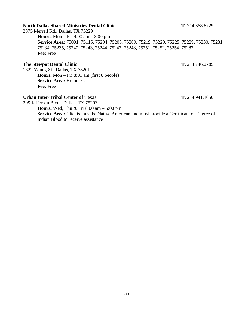#### **North Dallas Shared Ministries Dental Clinic T.** 214.358.8729

2875 Merrell Rd., Dallas, TX 75229

**Hours:** Mon – Fri 9:00 am – 3:00 pm **Service Area:** 75001, 75115, 75204, 75205, 75209, 75219, 75220, 75225, 75229, 75230, 75231, 75234, 75235, 75240, 75243, 75244, 75247, 75248, 75251, 75252, 75254, 75287 **Fee:** Free

#### **The Stewpot Dental Clinic T.** 214.746.2785

1822 Young St., Dallas, TX 75201 **Hours:** Mon – Fri 8:00 am (first 8 people) **Service Area:** Homeless **Fee:** Free

#### **Urban Inter-Tribal Center of Texas T.** 214.941.1050

209 Jefferson Blvd., Dallas, TX 75203 **Hours:** Wed, Thu & Fri 8:00 am – 5:00 pm **Service Area:** Clients must be Native American and must provide a Certificate of Degree of Indian Blood to receive assistance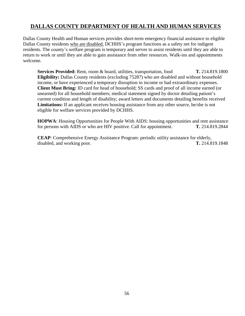### **DALLAS COUNTY DEPARTMENT OF HEALTH AND HUMAN SERVICES**

Dallas County Health and Human services provides short-term emergency financial assistance to eligible Dallas County residents who are disabled. DCHHS's program functions as a safety net for indigent residents. The county's welfare program is temporary and serves to assist residents until they are able to return to work or until they are able to gain assistance from other resources. Walk-ins and appointments welcome.

**Services Provided:** Rent, room & board, utilities, transportation, food **T.** 214.819.1800 **Eligibility:** Dallas County residents (excluding 75287) who are disabled and without household income, or have experienced a temporary disruption in income or had extraordinary expenses. **Client Must Bring:** ID card for head of household; SS cards and proof of all income earned (or unearned) for all household members; medical statement signed by doctor detailing patient's current condition and length of disability; award letters and documents detailing benefits received **Limitations:** If an applicant receives housing assistance from any other source, he/she is not eligible for welfare services provided by DCHHS.

**HOPWA**: Housing Opportunities for People With AIDS: housing opportunities and rent assistance for persons with AIDS or who are HIV positive. Call for appointment. **T.** 214.819.2844

**CEAP**: Comprehensive Energy Assistance Program: periodic utility assistance for elderly, disabled, and working poor. **T.** 214.819.1848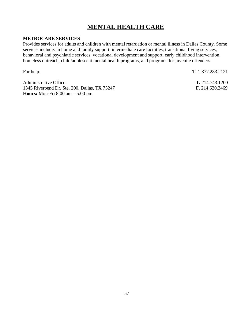## **MENTAL HEALTH CARE**

#### **METROCARE SERVICES**

Provides services for adults and children with mental retardation or mental illness in Dallas County. Some services include: in home and family support, intermediate care facilities, transitional living services, behavioral and psychiatric services, vocational development and support, early childhood intervention, homeless outreach, child/adolescent mental health programs, and programs for juvenile offenders.

For help: **T**. 1.877.283.2121

Administrative Office: **T.** 214.743.1200 1345 Riverbend Dr. Ste. 200, Dallas, TX 75247 **F.** 214.630.3469 **Hours:** Mon-Fri 8:00 am – 5:00 pm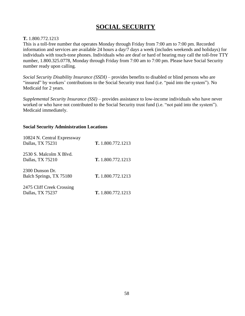## **SOCIAL SECURITY**

#### **T.** 1.800.772.1213

This is a toll-free number that operates Monday through Friday from 7:00 am to 7:00 pm. Recorded information and services are available 24 hours a day/7 days a week (includes weekends and holidays) for individuals with touch-tone phones. Individuals who are deaf or hard of hearing may call the toll-free TTY number, 1.800.325.0778, Monday through Friday from 7:00 am to 7:00 pm. Please have Social Security number ready upon calling.

*Social Security Disability Insurance (SSDI)* – provides benefits to disabled or blind persons who are "insured" by workers' contributions to the Social Security trust fund (i.e. "paid into the system"). No Medicaid for 2 years.

*Supplemental Security Insurance (SSI)* – provides assistance to low-income individuals who have never worked or who have not contributed to the Social Security trust fund (i.e. "not paid into the system"). Medicaid immediately.

#### **Social Security Administration Locations**

| 10824 N. Central Expressway<br>Dallas, TX 75231 | <b>T.</b> 1.800.772.1213 |
|-------------------------------------------------|--------------------------|
| 2530 S. Malcolm X Blvd.<br>Dallas, TX 75210     | T. 1.800.772.1213        |
| 2300 Dunson Dr.<br>Balch Springs, TX 75180      | <b>T.</b> 1.800.772.1213 |
| 2475 Cliff Creek Crossing<br>Dallas, TX 75237   | T. 1.800.772.1213        |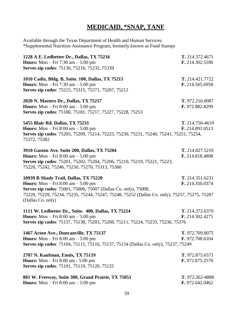## **MEDICAID, \*SNAP, TANF**

Available through the Texas Department of Health and Human Services. \*Supplemental Nutrition Assistance Program, formerly known as Food Stamps

| 1228 A E. Ledbetter Dr., Dallas, TX 75216<br><b>Hours:</b> Mon $-$ Fri 7:30 am $-$ 5:00 pm<br>Serves zip codes: 75136, 75216, 75232, 75339                                                                                                                                      | T. 214.372.4671<br>F. 214.302.5180 |
|---------------------------------------------------------------------------------------------------------------------------------------------------------------------------------------------------------------------------------------------------------------------------------|------------------------------------|
| 1010 Cadiz, Bldg. B, Suite. 100, Dallas, TX 75215<br><b>Hours:</b> Mon $-$ Fri 7:30 am $-$ 5:00 pm<br>Serves zip codes: 75215, 75315, 75371, 75207, 75212                                                                                                                       | T. 214.421.7722<br>F. 214.565.6958 |
| 2020 N. Masters Dr., Dallas, TX 75217<br><b>Hours:</b> Mon $-$ Fri 8:00 am $-$ 5:00 pm<br>Serves zip codes: 75180, 75181, 75217, 75227, 75228, 75253                                                                                                                            | T. 972.216.0087<br>F. 972.882.8299 |
| 5455 Blair Rd. Dallas, TX 75231<br><b>Hours:</b> Mon $-$ Fri 8:00 am $-$ 5:00 pm<br>Serves zip codes: 75205, 75209, 75214, 75225, 75230, 75231, 75240, 75241, 75251, 75254,<br>75372, 75382                                                                                     | T. 214.750-4619<br>F. 214.891.0513 |
| 3910 Gaston Ave. Suite 200, Dallas, TX 75204<br><b>Hours:</b> Mon $-$ Fri 8:00 am $-$ 5:00 pm<br>Serves zip codes: 75201, 75202, 75204, 75206, 75210, 75219, 75221, 75223,<br>75226, 75242, 75246, 75250, 75270, 75313, 75360                                                   | T. 214.827.5210<br>F. 214.818.4898 |
| 10939 B Shady Trail, Dallas, TX 75220<br><b>Hours:</b> Mon $-$ Fri 8:00 am $-$ 5:00 pm<br>Serves zip codes: 75001, 75006, 75007 (Dallas Co. only), 75008,<br>75220, 75229, 75234, 75235, 75244, 75247, 75248, 75252 (Dallas Co. only), 75257, 75275, 75287<br>(Dallas Co. only) | T. 214.351.6231<br>F. 214.350.0374 |
| 1111 W. Ledbetter Dr., Suite. 400, Dallas, TX 75224<br><b>Hours:</b> Mon $-$ Fri 8:00 am $-$ 5:00 pm<br>Serves zip codes: 75137, 75138, 75203, 75208, 75211, 75224, 75233, 75236, 75376                                                                                         | T. 214.372.6370<br>F. 214.302.4275 |
| 1467 Acton Ave., Duncanville, TX 75137<br><b>Hours:</b> Mon $-$ Fri 8:00 am $-$ 5:00 pm<br>Serves zip codes: 75104, 75115, 75116, 75137, 75154 (Dallas Co. only), 75237, 75249                                                                                                  | T. 972.709.8075<br>F. 972.708.6104 |
| 2707 N. Kaufman, Ennis, TX 75119<br><b>Hours:</b> Mon – Fri 8:00 am - 5:00 pm<br>Serves zip codes: 75101, 75119, 75120, 75125                                                                                                                                                   | T. 972.875.6571<br>F. 972.875.2578 |
| 801 W. Freeway, Suite 300, Grand Prairie, TX 75051<br><b>Hours:</b> Mon $-$ Fri 8:00 am $-$ 5:00 pm                                                                                                                                                                             | T. 972.262-4888<br>F. 972.642.0462 |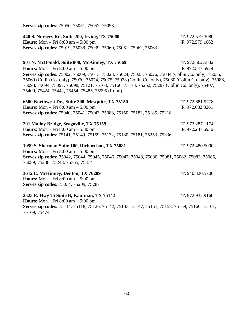| <b>Hours:</b> Mon – Fri $8:00$ am – $5:00$ pm                                                                                                                                                                                                                | F. 972.579.1062 |
|--------------------------------------------------------------------------------------------------------------------------------------------------------------------------------------------------------------------------------------------------------------|-----------------|
| Serves zip codes: 75019, 75038, 75039, 75060, 75061, 75062, 75063                                                                                                                                                                                            |                 |
| 901 N. McDonald, Suite 800, McKinney, TX 75069                                                                                                                                                                                                               | T. 972.562.5832 |
| <b>Hours:</b> Mon – Fri $8:00$ am – $5:00$ pm                                                                                                                                                                                                                | F. 972.547.5929 |
| Serves zip codes: 75002, 75009, 75013, 75023, 75024, 75025, 75026, 75034 (Collin Co. only), 75035,                                                                                                                                                           |                 |
| 75069 (Collin Co. only), 75070, 75074, 75075, 75078 (Collin Co. only), 75080 (Collin Co. only), 75086,<br>75093, 75094, 75097, 75098, 75121, 75164, 75166, 75173, 75252, 75287 (Collin Co. only), 75407,<br>75409, 75424, 75442, 75454, 75485, 75995 (Rural) |                 |
| 6500 Northwest Dr., Suite 300, Mesquite, TX 75150                                                                                                                                                                                                            | T. 972.681.9778 |
| <b>Hours:</b> Mon $-$ Fri 8:00 am $-$ 5:00 pm                                                                                                                                                                                                                | F. 972.682.3261 |
| Serves zip codes: 75040, 75041, 75043, 75088, 75150, 75182, 75185, 75218                                                                                                                                                                                     |                 |
| 201 Malloy Bridge, Seagoville, TX 75159                                                                                                                                                                                                                      | T. 972.287.1174 |
| <b>Hours:</b> Mon $-$ Fri 8:00 am $-$ 5:30 pm                                                                                                                                                                                                                | F. 972.287.6936 |
| Serves zip codes: 75141, 75149, 75159, 75172, 75180, 75181, 75253, 75336                                                                                                                                                                                     |                 |
| 1059 S. Sherman Suite 100, Richardson, TX 75081                                                                                                                                                                                                              | T. 972.480.5000 |
| <b>Hours:</b> Mon $-$ Fri 8:00 am $-$ 5:00 pm                                                                                                                                                                                                                |                 |
| Serves zip codes: 75042, 75044, 75045, 75046, 75047, 75048, 75080, 75081, 75082, 75083, 75085,<br>75089, 75238, 75243, 75355, 75374                                                                                                                          |                 |
| 3612 E. McKinney, Denton, TX 76209                                                                                                                                                                                                                           | T. 940.320.5700 |
| <b>Hours:</b> Mon $-$ Fri 8:00 am $-$ 5:00 pm                                                                                                                                                                                                                |                 |
| Serves zip codes: 75034, 75209, 75287                                                                                                                                                                                                                        |                 |
| 2525 E. Hwy 75 Suite B, Kaufman, TX 75142                                                                                                                                                                                                                    | T. 972.932.9160 |
| <b>Hours:</b> Mon $-$ Fri 8:00 am $-$ 5:00 pm                                                                                                                                                                                                                |                 |
| Serves zip codes: 75114, 75118, 75126, 75142, 75143, 75147, 75151, 75158, 75159, 75160, 75161,<br>75169, 75474                                                                                                                                               |                 |
|                                                                                                                                                                                                                                                              |                 |

**440 S. Nursery Rd, Suite 200, Irving, TX 75060 T.** 972.579.3080

**Serves zip codes**: 75050, 75051, 75052, 75053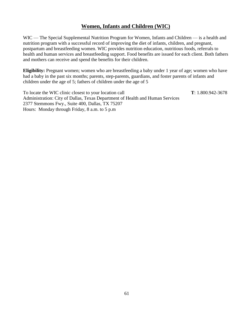### **Women, Infants and Children (WIC)**

WIC — The Special Supplemental Nutrition Program for Women, Infants and Children — is a health and nutrition program with a successful record of improving the diet of infants, children, and pregnant, postpartum and breastfeeding women. WIC provides nutrition education, nutritious foods, referrals to health and human services and breastfeeding support. Food benefits are issued for each client. Both fathers and mothers can receive and spend the benefits for their children.

**Eligibility:** Pregnant women; women who are breastfeeding a baby under 1 year of age; women who have had a baby in the past six months; parents, step-parents, guardians, and foster parents of infants and children under the age of 5; fathers of children under the age of 5

To locate the WIC clinic closest to your location call **T**: 1.800.942-3678 Administration: City of Dallas, Texas Department of Health and Human Services 2377 Stemmons Fwy., Suite 400, Dallas, TX 75207 Hours: Monday through Friday, 8 a.m. to 5 p.m

61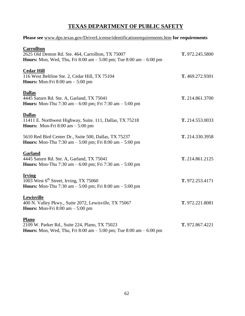## **TEXAS DEPARTMENT OF PUBLIC SAFETY**

#### **Please see** [www.dps.texas.gov/DriverLicense/identificationrequirements.htm](http://www.dps.texas.gov/DriverLicense/identificationrequirements.htm) **for requirements**

| <b>Carrollton</b><br>2625 Old Denton Rd. Ste. 464, Carrollton, TX 75007<br><b>Hours:</b> Mon, Wed, Thu, Fri 8:00 am $-$ 5:00 pm; Tue 8:00 am $-$ 6:00 pm | T. 972.245.5800 |
|----------------------------------------------------------------------------------------------------------------------------------------------------------|-----------------|
| <b>Cedar Hill</b><br>116 West Beltline Ste. 2, Cedar Hill, TX 75104<br><b>Hours:</b> Mon-Fri $8:00$ am $-5:00$ pm                                        | T. 469.272.9301 |
| <b>Dallas</b><br>4445 Saturn Rd. Ste. A, Garland, TX 75041<br><b>Hours:</b> Mon-Thu 7:30 am $-$ 6:00 pm; Fri 7:30 am $-$ 5:00 pm                         | T. 214.861.3700 |
| <b>Dallas</b><br>11411 E. Northwest Highway, Suite. 111, Dallas, TX 75218<br>Hours: Mon-Fri $8:00$ am $-5:00$ pm                                         | T. 214.553.0033 |
| 5610 Red Bird Center Dr., Suite 500, Dallas, TX 75237<br><b>Hours:</b> Mon-Thu 7:30 am $-$ 5:00 pm; Fri 8:00 am $-$ 5:00 pm                              | T. 214.330.3958 |
| Garland<br>4445 Saturn Rd. Ste. A, Garland, TX 75041<br><b>Hours:</b> Mon-Thu 7:30 am $- 6:00$ pm; Fri 7:30 am $- 5:00$ pm                               | T. 214.861.2125 |
| <b>Irving</b><br>1003 West 6 <sup>th</sup> Street, Irving, TX 75060<br><b>Hours:</b> Mon-Thu 7:30 am $-$ 5:00 pm; Fri 8:00 am $-$ 5:00 pm                | T. 972.253.4171 |
| Lewisville<br>400 N. Valley Pkwy., Suite 2072, Lewisville, TX 75067<br><b>Hours:</b> Mon-Fri $8:00$ am $-5:00$ pm                                        | T. 972.221.8081 |
| <b>Plano</b><br>2109 W. Parker Rd., Suite 224, Plano, TX 75023<br><b>Hours:</b> Mon, Wed, Thu, Fri 8:00 am $-$ 5:00 pm; Tue 8:00 am $-$ 6:00 pm          | T. 972.867.4221 |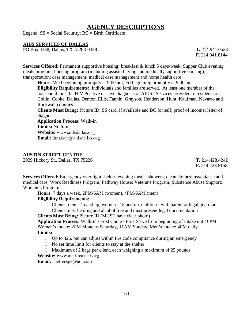## **AGENCY DESCRIPTIONS**

Legend:  $SS = Social Security$ ;  $BC = Birth Certificance$ 

#### **AIDS SERVICES OF DALLAS**

PO Box 4338, Dallas, TX 75208-0338 **T.** 214.941.0523

**F.** 214.941.8144

**Services Offered:** Permanent supportive housing**:** breakfast & lunch 5 days/week; Supper Club evening meals program; housing program (including assisted living and medically supportive housing); transportation; case management; medical case management and home health care

**Hours:** Wed beginning promptly at 9:00 am; Fri beginning promptly at 9:00 am

**Eligibility Requirements:** Individuals and families are served. At least one member of the household must be HIV Positive or have diagnosis of AIDS. Services provided to residents of: Collin, Cooke, Dallas, Denton, Ellis, Fannin, Grayson, Henderson, Hunt, Kaufman, Navarro and Rockwall counties.

**Clients Must Bring:** Picture ID; SS card, if available and BC for self; proof of income; letter of diagnosis

**Application Process:** Walk-in **Limits:** No limits **Website:** [www.aidsdallas.org](http://www.aidsdallas.org/) **Email:** [dmaison@aidsdallas.org](mailto:dmaison@aidsdallas.org)

#### **AUSTIN STREET CENTRE**

2929 Hickory St., Dallas, TX 75226 **T.** 214.428.4242

**F.** 214.428.8158

**Services Offered:** Emergency overnight shelter; evening meals; showers; clean clothes; psychiatric and medical care; Work Readiness Program; Pathway House; Veterans Program; Substance Abuse Support; Women's Program

**Hours:** 7 days a week, 2PM-6AM (women), 4PM-6AM (men)

#### **Eligibility Requirements:**

- $\Box$  Clients: men 45 and up; women 18 and up, children with parent or legal guardian
- $\Box$  Clients must be drug and alcohol free and must present legal documentation

**Clients Must Bring:** Picture ID (MUST have clear photo)

**Application Process:** Walk-in / First Come - First Serve from beginning of intake until 6PM. Women's intake: 2PM Monday-Saturday, 11AM Sunday; Men's intake: 4PM daily. **Limits:**

- $\Box$  Up to 425, but can adjust within fire code compliance during an emergency
- $\Box$  No set time limit for clients to stay at the shelter
- $\Box$  Maximum of 2 bags per client, each weighing a maximum of 25 pounds.

**Website:** [www.austinstreet.org](http://www.austinstreet.org/)

**Email:** [shelterspk@aol.com](mailto:shelterspk@aol.com)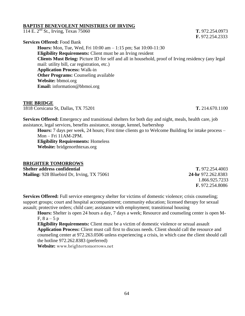#### **BAPTIST BENEVOLENT MINISTRIES OF IRVING**

114 E. 2 nd St., Irving, Texas 75060 **T.** 972.254.0973

**Services Offered:** Food Bank **Hours:** Mon, Tue, Wed, Fri 10:00 am – 1:15 pm; Sat 10:00-11:30 **Eligibility Requirements:** Client must be an Irving resident **Clients Must Bring:** Picture ID for self and all in household, proof of Irving residency (any legal mail: utility bill, car registration, etc.) **Application Process:** Walk-in **Other Programs:** Counseling available **Website:** bbmoi.org **Email:** information@bbmoi.org

#### **THE BRIDGE**

1818 Corsicana St, Dallas, TX 75201 **T.** 214.670.1100

**Services Offered:** Emergency and transitional shelters for both day and night, meals, health care, job assistance, legal services, benefits assistance, storage, kennel, barbershop

**Hours:** 7 days per week, 24 hours; First time clients go to Welcome Building for intake process – Mon – Fri 11AM-2PM. **Eligibility Requirements:** Homeless **Website:** bridgenorthtexas.org

#### **BRIGHTER TOMORROWS**

**Shelter address confidential T.** 972.254.4003 **Mailing:** 928 Bluebird Dr, Irving, TX 75061 **24-hr** 972.262.8383

 1.866.925.7233 **F.** 972.254.8086

**Services Offered:** Full service emergency shelter for victims of domestic violence; crisis counseling; support groups; court and hospital accompaniment; community education; licensed therapy for sexual assault; protective orders; child care; assistance with employment; transitional housing

**Hours:** Shelter is open 24 hours a day, 7 days a week; Resource and counseling center is open M-F,  $8a - 5p$ 

**Eligibility Requirements:** Client must be a victim of domestic violence or sexual assault **Application Process:** Client must call first to discuss needs. Client should call the resource and counseling center at 972.263.0506 unless experiencing a crisis, in which case the client should call the hotline 972.262.8383 (preferred)

**Website:** [www.brightertomorrows.net](http://www.brightertomorrows.net/)

**F.** 972.254.2333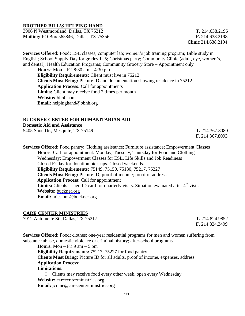#### **BROTHER BILL'S HELPING HAND**

3906 N Westmoreland, Dallas, TX 75212 **T.** 214.638.2196 **Mailing:** PO Box 565846, Dallas, TX 75356 **F.** 214.638.2198

**Clinic** 214.638.2194

**Services Offered:** Food; ESL classes; computer lab; women's job training program; Bible study in English; School Supply Day for grades 1- 5; Christmas party; Community Clinic (adult, eye, women's, and dental); Health Education Programs; Community Grocery Store – Appointment only

**Hours:** Mon – Fri 8:30 am – 4:30 pm **Eligibility Requirements:** Client must live in 75212 **Clients Must Bring:** Picture ID and documentation showing residence in 75212 **Application Process:** Call for appointments **Limits:** Client may receive food 2 times per month **Website:** [bbhh.com](http://www.brightertomorrows.net/) **Email:** helpinghand@bbhh.org

#### **BUCKNER CENTER FOR HUMANITARIAN AID**

**Domestic Aid and Assistance** 5405 Shoe Dr., Mesquite, TX 75149 **T.** 214.367.8080

**F.** 214.367.8093

**Services Offered:** Food pantry; Clothing assistance; Furniture assistance; Empowerment Classes **Hours:** Call for appointment. Monday, Tuesday, Thursday for Food and Clothing Wednesday: Empowerment Classes for ESL, Life Skills and Job Readiness Closed Friday for donation pick-ups. Closed weekends. **Eligibility Requirements:** 75149, 75150, 75180, 75217, 75227 **Clients Must Bring:** Picture ID; proof of income; proof of address **Application Process:** Call for appointment Limits: Clients issued ID card for quarterly visits. Situation evaluated after 4<sup>th</sup> visit. **Website:** [buckner.org](http://buckner.org/) **Email:** [missions@buckner.org](mailto:missions@buckner.org)

#### **CARE CENTER MINISTRIES**

7912 Antoinette St., Dallas, TX 75217 **T.** 214.824.9852

 **F.** 214.824.3499

**Services Offered:** Food; clothes; one-year residential programs for men and women suffering from substance abuse, domestic violence or criminal history; after-school programs

**Hours:** Mon – Fri 9 am – 5 pm **Eligibility Requirements:** 75217, 75227 for food pantry **Clients Must Bring:** Picture ID for all adults, proof of income, expenses, address **Application Process: Limitations:**

 $\Box$  Clients may receive food every other week, open every Wednesday **Website:** [carecenterministries.org](http://www.austinstreet.org/) **Email:** jcrane@carecenterministries.org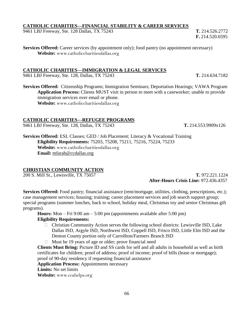#### **CATHOLIC CHARITIES—FINANCIAL STABILITY & CAREER SERVICES**

9461 LBJ Freeway, Ste. 128 Dallas, TX 75243 **T.** 214.526.2772

**Services Offered:** Career services (by appointment only); food pantry (no appointment necessary) **Website:** [www.catholiccharitiesdallas.org](http://www.catholiccharitiesdallas.org/)

#### **CATHOLIC CHARITIES—IMMIGRATION & LEGAL SERVICES**

9461 LBJ Freeway, Ste. 128, Dallas, TX 75243 **T.** 214.634.7182

**Services Offered:** Citizenship Programs; Immigration Seminars; Deportation Hearings; VAWA Program **Application Process:** Clients MUST visit in person to meet with a caseworker; unable to provide immigration services over email or phone. **Website:** [www.catholiccharitiesdallas.org](http://www.catholiccharitiesdallas.org/)

#### **CATHOLIC CHARITIES—REFUGEE PROGRAMS**

9461 LBJ Freeway, Ste. 128, Dallas, TX 75243 **T.** 214.553.9909x126

**Services Offered:** ESL Classes; GED / Job Placement; Literacy & Vocational Training **Eligibility Requirements:** 75203, 75208, 75211, 75216, 75224, 75233 **Website:** [www.catholiccharitiesdallas.org](http://www.catholiccharitiesdallas.org/) **Email:** [mfarah@ccdallas.org](mailto:mfarah@ccdallas.org)

#### **CHRISTIAN COMMUNITY ACTION**

200 S. Mill St., Lewisville, TX 75057 **T.** 972.221.1224

 **After-Hours Crisis Line:** 972.436.4357

**Services Offered:** Food pantry; financial assistance (rent/mortgage, utilities, clothing, prescriptions, etc.); case management services; housing; training; career placement services and job search support group; special programs (summer lunches, back to school, holiday meal, Christmas toy and senior Christmas gift programs).

**Hours:** Mon – Fri 9:00 am – 5:00 pm (appointments available after 5:00 pm) **Eligibility Requirements:**

- $\Box$  Christian Community Action serves the following school districts: Lewisville ISD, Lake Dallas ISD, Argyle ISD, Northwest ISD, Coppell ISD, Frisco ISD, Little Elm ISD and the Denton County portion only of Carrollton/Farmers Branch ISD
- $\Box$  Must be 19 years of age or older; prove financial need

**Clients Must Bring:** Picture ID and SS cards for self and all adults in household as well as birth certificates for children; proof of address; proof of income; proof of bills (lease or mortgage); proof of 90-day residency if requesting financial assistance

**Application Process:** Appointments necessary

**Limits:** No set limits

**Website:** [www.ccahelps.org](http://www.ccahelps.org/)

 **F.** 214.520.6595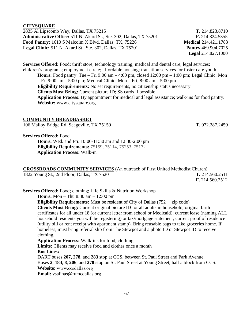#### **CITYSQUARE**

2835 Al Lipscomb Way, Dallas, TX 75215 **T.** 214.823.8710 **Administrative Office:** 511 N. Akard St., Ste. 302, Dallas, TX 75201 **F.** 214.824.5355 **Food Pantry:** 1610 S Malcolm X Blvd, Dallas, TX, 75226 **Medical** 214.421.1783 **Legal Clinic:** 511 N. Akard St., Ste. 302, Dallas, TX 75201 **Pantry** 469.904.7025

**Services Offered:** Food; thrift store; technology training; medical and dental care; legal services; children's programs; employment circle; affordable housing; transition services for foster care youth **Hours:** Food pantry: Tue – Fri 9:00 am – 4:00 pm, closed 12:00 pm – 1:00 pm; Legal Clinic: Mon – Fri 9:00 am – 5:00 pm; Medical Clinic: Mon – Fri, 8:00 am – 5:00 pm **Eligibility Requirements:** No set requirements, no citizenship status necessary

**Clients Must Bring:** Current picture ID; SS cards if possible

**Application Process:** By appointment for medical and legal assistance; walk-ins for food pantry. **Website:** [www.citysquare.org](http://www.citysquare.org/)

#### **COMMUNITY BREADBASKET**

106 Malloy Bridge Rd, Seagoville, TX 75159 **T.** 972.287.2459

**Services Offered:** Food

**Hours:** Wed. and Fri. 10:00-11:30 am and 12:30-2:00 pm **Eligibility Requirements:** 75159, 75114, 75253, 75172 **Application Process:** Walk-in

**CROSSROADS COMMUNITY SERVICES** (An outreach of First United Methodist Church) 1822 Young St., 2nd Floor, Dallas, TX 75201 **T.** 214.560.2511 **F.** 214.560.2512

**Services Offered:** Food; clothing; Life Skills & Nutrition Workshop

**Hours:** Mon – Thu 8:30 am – 12:00 pm

**Eligibility Requirements:** Must be resident of City of Dallas (752\_\_ zip code) **Clients Must Bring:** Current original picture ID for all adults in household; original birth certificates for all under 18 (or current letter from school or Medicaid); current lease (naming ALL household residents you will be registering) or tax/mortgage statement; current proof of residence (utility bill or rent receipt with apartment stamp). Bring reusable bags to take groceries home. If homeless, must bring referral slip from The Stewpot and a photo ID or Stewpot ID to receive clothing.

**Application Process:** Walk-ins for food, clothing

**Limits:** Clients may receive food and clothes once a month

**Bus Lines:**

DART buses **207**, **278**, and **283** stop at CCS, between St. Paul Street and Park Avenue. Buses **2**, **184**, **8**, **206**, and **278** stop on St. Paul Street at Young Street, half a block from CCS. **Website:** [www.ccsdallas.org](http://www.ccsdallas.org/)

**Email:** vsalinas@fumcdallas.org

**Legal** 214.827.1000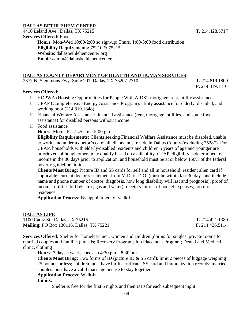#### **DALLAS BETHLEHEM CENTER**

4410 Leland Ave., Dallas, TX 75215 **T.** 214.428.5717 **Services Offered:** Food **Hours:** Mon-Wed 10:00-2:00 so sign-up; Thurs. 1:00-3:00 food distribution **Eligibility Requirements:** 75210 & 75215 **Website**: dallasbethlehemcenter.org **Email**: admin@dallasbethlehemcenter

#### **DALLAS COUNTY DEPARTMENT OF HEALTH AND HUMAN SERVICES**

2377 N. Stemmons Fwy. Suite 201, Dallas, TX 75207-2710 **T.** 214.819.1800

#### **Services Offered:**

- $\Box$  HOPWA (Housing Opportunities for People With AIDS): mortgage, rent, utility assistance
- CEAP (Comprehensive Energy Assistance Program): utility assistance for elderly, disabled, and working poor (214.819.1848)
- Financial Welfare Assistance: financial assistance (rent, mortgage, utilities, and some food assistance) for disabled persons without income
- $\Box$  Food assistance

**Hours:** Mon – Fri 7:45 am – 5:00 pm

**Eligibility Requirements:** Clients seeking Financial Welfare Assistance must be disabled, unable to work, and under a doctor's care; all clients must reside in Dallas County (excluding 75287). For CEAP, households with elderly/disabled residents and children 5 years of age and younger are prioritized, although others may qualify based on availability. CEAP eligibility is determined by income in the 30 days prior to application, and household must be at or below 150% of the federal poverty guideline limit

**Clients Must Bring:** Picture ID and SS cards for self and all in household; resident alien card if applicable; current doctor's statement from M.D. or D.O. (must be within last 30 days and include name and phone number of doctor, diagnosis, how long disability will last and prognosis); proof of income; utilities bill (electric, gas and water); receipts for out of pocket expenses; proof of residence

**Application Process:** By appointment or walk-in

#### **DALLAS LIFE**

1100 Cadiz St., Dallas, TX 75215 **T.** 214.421.1380 **Mailing:** PO Box 130116, Dallas, TX 75221 **F.** 214.426.5114

**Services Offered:** Shelter for homeless men, women and children (dorms for singles, private rooms for married couples and families); meals; Recovery Program; Job Placement Program; Dental and Medical

clinic; clothing

**Hours:** 7 days a week, check-in 4:30 pm – 8:30 pm

**Clients Must Bring:** Two forms of ID (picture ID & SS card); limit 2 pieces of luggage weighing 25 pounds or less; children must have birth certificate, SS card and immunization records; married couples must have a valid marriage license to stay together

#### **Application Process:** Walk-in

**Limits:**

 $\Box$  Shelter is free for the first 5 nights and then U10 for each subsequent night

**F.** 214.819.1810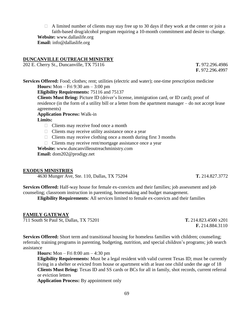$\Box$  A limited number of clients may stay free up to 30 days if they work at the center or join a faith-based drug/alcohol program requiring a 10-month commitment and desire to change. **Website:** www.dallaslife.org **Email:** info@dallaslife.org

#### **DUNCANVILLE OUTREACH MINISTRY**

202 E. Cherry St., Duncanville, TX 75116 **T.** 972.296.4986

**F.** 972.296.4997

**Services Offered:** Food; clothes; rent; utilities (electric and water); one-time prescription medicine **Hours:** Mon – Fri 9:30 am – 3:00 pm

**Eligibility Requirements:** 75116 and 75137

**Clients Must Bring:** Picture ID (driver's license, immigration card, or ID card); proof of residence (in the form of a utility bill or a letter from the apartment manager – do not accept lease agreements)

**Application Process:** Walk-in

**Limits:**

- $\Box$  Clients may receive food once a month
- $\Box$  Clients may receive utility assistance once a year
- $\Box$  Clients may receive clothing once a month during first 3 months
- $\Box$  Clients may receive rent/mortgage assistance once a year

**Website:** www.duncanvilleoutreachministry.com

**Email:** dom202@prodigy.net

#### **EXODUS MINISTRIES**

4630 Munger Ave, Ste. 110, Dallas, TX 75204 **T.** 214.827.3772

**Services Offered:** Half-way house for female ex-convicts and their families; job assessment and job

counseling; classroom instruction in parenting, homemaking and budget management.

**Eligibility Requirements**: All services limited to female ex-convicts and their families

#### **FAMILY GATEWAY**

711 South St Paul St, Dallas, TX 75201 **T.** 214.823.4500 x201

**F.** 214.884.3110

**Services Offered:** Short term and transitional housing for homeless families with children; counseling; referrals; training programs in parenting, budgeting, nutrition, and special children's programs; job search assistance

**Hours:** Mon – Fri 8:00 am – 4:30 pm

**Eligibility Requirements:** Must be a legal resident with valid current Texas ID; must be currently living in a shelter or evicted from house or apartment with at least one child under the age of 18 **Clients Must Bring:** Texas ID and SS cards or BCs for all in family, shot records, current referral or eviction letters

**Application Process:** By appointment only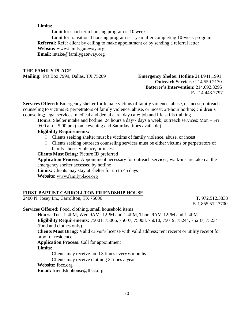### **Limits:**

 $\Box$  Limit for short term housing program is 10 weeks

 $\Box$  Limit for transitional housing program is 1 year after completing 10-week program

**Referral:** Refer client by calling to make appointment or by sending a referral letter

**Website:** [www.familygateway.org](http://www.familygateway.org/) **Email:** intake@familygateway.org

### **THE FAMILY PLACE**

**Mailing:** PO Box 7999, Dallas, TX 75209 **Emergency Shelter Hotline** 214.941.1991

# **Outreach Services:** 214.559.2170 **Batterer's Intervention**: 214.692.8295  **F.** 214.443.7797

**Services Offered:** Emergency shelter for female victims of family violence, abuse, or incest; outreach counseling to victims & perpetrators of family violence, abuse, or incest; 24-hour hotline; children's counseling; legal services; medical and dental care; day care; job and life skills training

**Hours:** Shelter intake and hotline: 24 hours a day/7 days a week; outreach services: Mon – Fri 9:00 am – 5:00 pm (some evening and Saturday times available)

# **Eligibility Requirements:**

- $\Box$  Clients seeking shelter must be victims of family violence, abuse, or incest
- $\Box$  Clients seeking outreach counseling services must be either victims or perpetrators of family abuse, violence, or incest

**Clients Must Bring:** Picture ID preferred

**Application Process:** Appointment necessary for outreach services; walk-ins are taken at the emergency shelter accessed by hotline

**Limits:** Clients may stay at shelter for up to 45 days

**Website:** [www.familyplace.org](http://www.familyplace.org/)

# **FIRST BAPTIST CARROLLTON FRIENDSHIP HOUSE**

2400 N. Josey Ln., Carrollton, TX 75006 **T.** 972.512.3838

 **F.** 1.855.512.3700

**Services Offered:** Food, clothing, small household items

**Hours:** Tues 1-4PM, Wed 9AM -12PM and 1-4PM, Thurs 9AM-12PM and 1-4PM **Eligibility Requirements:** 75001, 75006, 75007, 75008, 75010, 75019, 75244, 75287; 75234 (food and clothes only)

**Clients Must Bring:** Valid driver's license with valid address; rent receipt or utility receipt for proof of residence

**Application Process:** Call for appointment

**Limits:**

- $\Box$  Clients may receive food 3 times every 6 months
- $\Box$  Clients may receive clothing 2 times a year

**Website:** [fbcc.org](http://fbcc.org/)

**Email:** [friendshiphouse@fbcc.org](mailto:friendshiphouse@fbcc.org)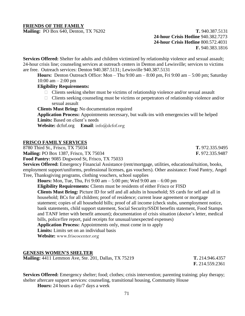# **FRIENDS OF THE FAMILY**

**Mailing:** PO Box 640, Denton, TX 76202 **T.** 940.387.5131  **24-hour Crisis Hotline** 940.382.7273 **24-hour Crisis Hotline** 800.572.4031 **F.** 940.383.1816

**Services Offered:** Shelter for adults and children victimized by relationship violence and sexual assault; 24-hour crisis line; counseling services at outreach centers in Denton and Lewisville; services to victims are free. Outreach services: Denton 940.387.5131; Lewisville 940.387.5131

**Hours:** Denton Outreach Office: Mon – Thu 9:00 am – 8:00 pm, Fri 9:00 am – 5:00 pm; Saturday  $10:00$  am  $- 2:00$  pm

**Eligibility Requirements:**

- $\Box$  Clients seeking shelter must be victims of relationship violence and/or sexual assault
- $\Box$  Clients seeking counseling must be victims or perpetrators of relationship violence and/or sexual assault

**Clients Must Bring:** No documentation required

**Application Process:** Appointments necessary, but walk-ins with emergencies will be helped **Limits:** Based on client's needs

**Website:** dcfof.org **Email**: [info@dcfof.org](mailto:info@dcfof.org)

### **FRISCO FAMILY SERVICES**

8780 Third St., Frisco, TX 75034 **T.** 972.335.9495

**Mailing:** PO Box 1387, Frisco, TX 75034 **F.** 972.335.9487

**Food Pantry:** 9085 Dogwood St, Frisco, TX 75033

**Services Offered:** Emergency Financial Assistance (rent/mortgage, utilities, educational/tuition, books, employment support/uniforms, professional licenses, gas vouchers). Other assistance: Food Pantry, Angel Tree, Thanksgiving programs, clothing vouchers, school supplies

**Hours:** Mon, Tue, Thu, Fri 9:00 am – 5:00 pm; Wed 9:00 am – 6:00 pm **Eligibility Requirements:** Clients must be residents of either Frisco or FISD **Clients Must Bring:** Picture ID for self and all adults in household; SS cards for self and all in household; BCs for all children; proof of residence; current lease agreement or mortgage statement; copies of all household bills; proof of all income (check stubs, unemployment notice, bank statements, child support statement, Social Security/SSDI benefits statement, Food Stamps and TANF letter with benefit amount); documentation of crisis situation (doctor's letter, medical bills, police/fire report, paid receipts for unusual/unexpected expenses) **Application Process:** Appointments only, must come in to apply **Limits:** Limits set on an individual basis

**Website:** [www.friscocenter.org](http://www.friscocenter.org/)

### **GENESIS WOMEN'S SHELTER**

**Mailing:** 4411 Lemmon Ave, Ste. 201, Dallas, TX 75219 **T.** 214.946.4357

 **F.** 214.559.2361

**Services Offered:** Emergency shelter; food; clothes; crisis intervention; parenting training; play therapy; shelter aftercare support services: counseling, transitional housing, Community House

**Hours:** 24 hours a day/7 days a week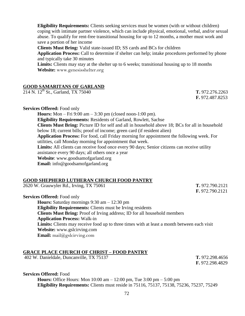**Eligibility Requirements:** Clients seeking services must be women (with or without children) coping with intimate partner violence, which can include physical, emotional, verbal, and/or sexual abuse. To qualify for rent-free transitional housing for up to 12 months, a mother must work and save a portion of her income

**Clients Must Bring:** Valid state-issued ID; SS cards and BCs for children

**Application Process:** Call to determine if shelter can help; intake procedures performed by phone and typically take 30 minutes

**Limits:** Clients may stay at the shelter up to 6 weeks; transitional housing up to 18 months **Website:** [www.genesisshelter.org](http://www.genesisshelter.org/)

### **GOOD SAMARITANS OF GARLAND**

214 N. 12th St., Garland, TX 75040 **T.** 972.276.2263

**F.** 972.487.8253

#### **Services Offered:** Food only

**Hours:** Mon – Fri 9:00 am – 3:30 pm (closed noon-1:00 pm). **Eligibility Requirements:** Residents of Garland, Rowlett, Sachse **Clients Must Bring:** Picture ID for self and all in household above 18; BCs for all in household below 18; current bills; proof of income; green card (if resident alien) **Application Process:** For food, call Friday morning for appointment the following week. For utilities, call Monday morning for appointment that week. Limits: All clients can receive food once every 90 days; Senior citizens can receive utility assistance every 90 days; all others once a year **Website**: www.goodsamofgarland.org **Email:** info@goodsamofgarland.org

### **GOOD SHEPHERD LUTHERAN CHURCH FOOD PANTRY**

2620 W. Grauwyler Rd., Irving, TX 75061 **T.** 972.790.2121

**F.** 972.790.2121

**Services Offered:** Food only

**Hours:** Saturday mornings 9:30 am – 12:30 pm **Eligibility Requirements:** Clients must be Irving residents **Clients Must Bring:** Proof of Irving address; ID for all household members **Application Process:** Walk-in **Limits:** Clients may receive food up to three times with at least a month between each visit **Website:** www.gslcirving.com **Email:** [mail@gslcirving.com](mailto:mail@gslcirving.com)

# **GRACE PLACE CHURCH OF CHRIST – FOOD PANTRY**

402 W. Danieldale, Duncanville, TX 75137 **T.** 972.298.4656

**F.** 972.298.4829

#### **Services Offered:** Food

**Hours:** Office Hours: Mon 10:00 am – 12:00 pm, Tue 3:00 pm – 5:00 pm **Eligibility Requirements:** Clients must reside in 75116, 75137, 75138, 75236, 75237, 75249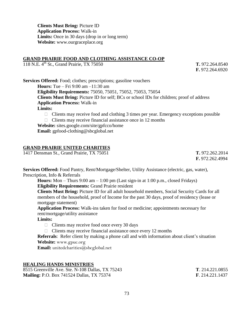**Clients Must Bring:** Picture ID **Application Process:** Walk-in **Limits:** Once in 30 days (drop in or long term) **Website:** www.ourgraceplace.org

### **GRAND PRAIRIE FOOD AND CLOTHING ASSISTANCE CO-OP**

118 N.E. 4<sup>th</sup> St., Grand Prairie, TX 75050 **T.** 972.264.8540

**F.** 972.264.6920

**Services Offered:** Food; clothes; prescriptions; gasoline vouchers **Hours:** Tue – Fri 9:00 am –11:30 am **Eligibility Requirements:** 75050, 75051, 75052, 75053, 75054 **Clients Must Bring:** Picture ID for self; BCs or school IDs for children; proof of address **Application Process:** Walk-in **Limits:**  $\Box$  Clients may receive food and clothing 3 times per year. Emergency exceptions possible

 $\Box$  Clients may receive financial assistance once in 12 months

**Website:** sites.google.com/site/gpfcco/home **Email:** gpfood-clothing@sbcglobal.net

### **GRAND PRAIRIE UNITED CHARITIES**

1417 Densman St., Grand Prairie, TX 75051 **T.** 972.262.2014

**F.** 972.262.4994

**Services Offered:** Food Pantry, Rent/Mortgage/Shelter, Utility Assistance (electric, gas, water), Prescription, Info & Referrals

**Hours:** Mon – Thurs 9:00 am – 1:00 pm (Last sign-in at 1:00 p.m., closed Fridays) **Eligibility Requirements:** Grand Prairie resident

**Clients Must Bring:** Picture ID for all adult household members, Social Security Cards for all members of the household, proof of Income for the past 30 days, proof of residency (lease or mortgage statement)

**Application Process:** Walk-ins taken for food or medicine; appointments necessary for rent/mortgage/utility assistance

**Limits:**

- $\Box$  Clients may receive food once every 30 days
- $\Box$  Clients may receive financial assistance once every 12 months

**Referrals**: Refer client by making a phone call and with information about client's situation **Website:** [www.gpuc.org](http://www.gpuc.org/)

**Email:** [unitedcharities@sbcglobal.net](mailto:unitedcharities@sbcglobal.net)

### **HEALING HANDS MINISTRIES**

8515 Greenville Ave. Ste. N-108 Dallas, TX 75243 **T**. 214.221.0855 **Mailing:** P.O. Box 741524 Dallas, TX 75374 **F**. 214.221.1437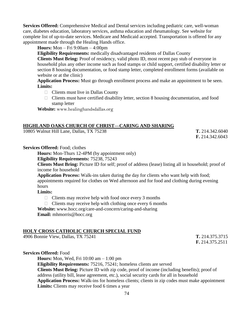**Services Offered:** Comprehensive Medical and Dental services including pediatric care, well-woman care, diabetes education, laboratory services, asthma education and rheumatology. See website for complete list of up-to-date services. Medicare and Medicaid accepted. Transportation is offered for any appointment made through the Healing Hands office.

**Hours:** Mon – Fri 9:00am – 4:00pm

**Eligibility Requirements:** medically disadvantaged residents of Dallas County

**Clients Must Bring:** Proof of residency, valid photo ID, most recent pay stub of everyone in household plus any other income such as food stamps or child support, certified disability letter or section 8 housing documentation, or food stamp letter, completed enrollment forms (available on website or at the clinic)

**Application Process:** Must go through enrollment process and make an appointment to be seen. **Limits:**

- $\Box$  Clients must live in Dallas County
- $\Box$  Clients must have certified disability letter, section 8 housing documentation, and food stamp letter

**Website:** [www.healinghandsdallas.org](http://www.gpuc.org/)

### **HIGHLAND OAKS CHURCH OF CHRIST—CARING AND SHARING**

10805 Walnut Hill Lane, Dallas, TX 75238 **T.** 214.342.6040

**F.** 214.342.6043

**Services Offered:** Food; clothes

**Hours:** Mon-Thurs 12-4PM (by appointment only)

**Eligibility Requirements:** 75238, 75243

**Clients Must Bring:** Picture ID for self; proof of address (lease) listing all in household; proof of income for household

**Application Process:** Walk-ins taken during the day for clients who want help with food; appointments required for clothes on Wed afternoon and for food and clothing during evening hours

# **Limits:**

- $\Box$  Clients may receive help with food once every 3 months
- $\Box$  Clients may receive help with clothing once every 6 months

**Website:** [www.hocc.org/care-and-concern/caring-and-sharing](http://www.hocc.org/care-and-concern/caring-and-sharing)

**Email:** mhmorris@hocc.org

### **HOLY CROSS CATHOLIC CHURCH SPECIAL FUND**

4906 Bonnie View, Dallas, TX 75241 **T.** 214.375.3715

**F.** 214.375.2511

### **Services Offered:** Food

**Hours:** Mon, Wed, Fri 10:00 am – 1:00 pm

**Eligibility Requirements:** 75216, 75241; homeless clients are served **Clients Must Bring:** Picture ID with zip code, proof of income (including benefits); proof of address (utility bill, lease agreement, etc.), social security cards for all in household **Application Process:** Walk-ins for homeless clients; clients in zip codes must make appointment **Limits:** Clients may receive food 6 times a year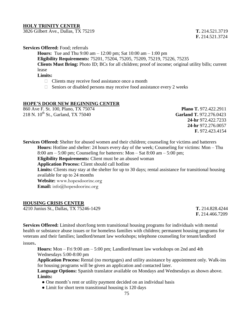#### **HOLY TRINITY CENTER**

3826 Gilbert Ave., Dallas, TX 75219 **T.** 214.521.3719

**F.** 214.521.3724

#### **Services Offered:** Food; referrals

**Hours:** Tue and Thu 9:00 am – 12:00 pm; Sat 10:00 am – 1:00 pm **Eligibility Requirements:** 75201, 75204, 75205, 75209, 75219, 75226, 75235 **Clients Must Bring:** Photo ID; BCs for all children; proof of income; original utility bills; current lease

# **Limits:**

- $\Box$  Clients may receive food assistance once a month
- $\Box$  Seniors or disabled persons may receive food assistance every 2 weeks

### **HOPE'S DOOR NEW BEGINNING CENTER**

860 Ave F. St. 100, Plano, TX 75074 **Plano T.** 972.422.2911 218 N. 10th St., Garland, TX 75040 **Garland T.** 972.276.0423

 **24-hr** 972.422.7233 **24-hr** 972.276.0057 **F.** 972.423.4154

**Services Offered:** Shelter for abused women and their children; counseling for victims and batterers **Hours:** Hotline and shelter: 24 hours every day of the week; Counseling for victims: Mon – Thu 8:00 am – 5:00 pm; Counseling for batterers: Mon – Sat 8:00 am – 5:00 pm; **Eligibility Requirements:** Client must be an abused woman **Application Process:** Client should call hotline **Limits:** Clients may stay at the shelter for up to 30 days; rental assistance for transitional housing available for up to 24 months **Website:** [www.hopesdoorinc.org](http://www.hopesdoorinc.org/)

**Email:** [info@hopesdoorinc.org](mailto:info@hopesdoorinc.org)

### **HOUSING CRISIS CENTER**

4210 Junius St., Dallas, TX 75246-1429 **T.** 214.828.4244

**F.** 214.466.7209

**Services Offered:** Limited short/long term transitional housing programs for individuals with mental health or substance abuse issues or for homeless families with children; permanent housing programs for veterans and their families; landlord/tenant law workshops; telephone counseling for tenant/landlord

issues.

**Hours:** Mon – Fri 9:00 am – 5:00 pm; Landlord/tenant law workshops on 2nd and 4th Wednesdays 5:00-8:00 pm

**Application Process:** Rental (no mortgages) and utility assistance by appointment only. Walk-ins for housing programs will be given an application and contacted later.

**Language Options:** Spanish translator available on Mondays and Wednesdays as shown above. **Limits:**

- One month's rent or utility payment decided on an individual basis
- Limit for short term transitional housing is 120 days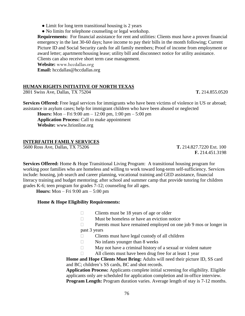• Limit for long term transitional housing is 2 years

• No limits for telephone counseling or legal workshop.

**Requirements:** For financial assistance for rent and utilities: Clients must have a proven financial emergency in the last 30-60 days; have income to pay their bills in the month following; Current Picture ID and Social Security cards for all family members; Proof of income from employment or award letter; apartment/housing lease; utility bill and disconnect notice for utility assistance. Clients can also receive short term case management.

**Website:** [www.hccdallas.org](http://www.hccdallas.org/)

Email: [hccdallas@hccdallas.org](mailto:hccdallas@hccdallas.org)

# **HUMAN RIGHTS INITIATIVE OF NORTH TEXAS**

2801 Swiss Ave, Dallas, TX 75204 **T.** 214.855.0520

**Services Offered:** Free legal services for immigrants who have been victims of violence in US or abroad; assistance in asylum cases; help for immigrant children who have been abused or neglected

**Hours:** Mon – Fri 9:00 am – 12:00 pm, 1:00 pm – 5:00 pm **Application Process:** Call to make appointment **Website:** www.hrionline.org

# **INTERFAITH FAMILY SERVICES**

5600 Ross Ave, Dallas, TX 75206 **T.** 214.827.7220 Ext. 100

 **F.** 214.451.3198

**Services Offered:** Home & Hope Transitional Living Program: A transitional housing program for working poor families who are homeless and willing to work toward long-term self-sufficiency. Services include: housing, job search and career planning, vocational training and GED assistance, financial literacy training and budget mentoring; after school and summer camp that provide tutoring for children grades K-6; teen program for grades 7-12; counseling for all ages.

 **Hours:** Mon – Fri 9:00 am – 5:00 pm

# **Home & Hope Eligibility Requirements:**

- $\Box$  Clients must be 18 years of age or older
- $\Box$  Must be homeless or have an eviction notice
- □ Parents must have remained employed on one job 9 mos or longer in past 3 years
- $\Box$  Clients must have legal custody of all children
- $\Box$  No infants younger than 8 weeks
- $\Box$  May not have a criminal history of a sexual or violent nature
- $\Box$  All clients must have been drug free for at least 1 year

**Home and Hope Clients Must Bring:** Adults will need their picture ID, SS card and BC; children's SS cards, BC and shot records.

**Application Process:** Applicants complete initial screening for eligibility. Eligible applicants only are scheduled for application completion and in-office interview. **Program Length:** Program duration varies. Average length of stay is 7-12 months.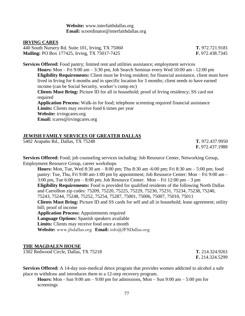**Website:** www.interfaithdallas.org **Email:** scoordinator@interfaithdallas.org

#### **IRVING CARES**

440 South Nursery Rd. Suite 101, Irving, TX 75060 **T.** 972.721.9181 **Mailing:** PO Box 177425, Irving, TX 75017-7425 **F.** 972.438.7345

**Services Offered:** Food pantry; limited rent and utilities assistance; employment services **Hours:** Mon – Fri 9:00 am – 3:30 pm, Job Search Seminar every Wed 10:00 am - 12:00 pm **Eligibility Requirements:** Client must be Irving resident; for financial assistance, client must have lived in Irving for 6 months and in specific location for 3 months; client needs to have earned income (can be Social Security, worker's comp etc) **Clients Must Bring:** Picture ID for all in household; proof of Irving residency; SS card not required **Application Process:** Walk-in for food; telephone screening required financial assistance **Limits:** Clients may receive food 6 times per year **Website:** [irvingcares.org](http://irvingcares.org/) **Email:** icares@irvingcares.org

### **JEWISH FAMILY SERVICES OF GREATER DALLAS**

5402 Arapaho Rd., Dallas, TX 75248 **T.** 972.437.9950

**F.** 972.437.1988

**Services Offered:** Food; job counseling services including: Job Resource Center, Networking Group, Employment Resource Group, career workshops

**Hours:** Mon, Tue, Wed 8:30 am – 8:00 pm; Thu 8:30 am -6:00 pm; Fri 8:30 am – 5:00 pm; food pantry: Tue, Thu, Fri 9:00 am-1:00 pm by appointment; Job Resource Center: Mon – Fri 9:00 am – 3:00 pm, Tue 6:00 pm – 8:00 pm; Job Resource Center: Mon – Fri 12:00 pm – 3 pm **Eligibility Requirements:** Food is provided for qualified residents of the following North Dallas and Carrollton zip codes: 75209, 75220, 75225, 75229, 75230, 75231, 75234, 75238, 75240, 75243, 75244, 75248, 75252, 75254, 75287, 75001, 75006, 75007, 75010, 75011 **Clients Must Bring:** Picture ID and SS cards for self and all in household; lease agreement; utility bill; proof of income **Application Process:** Appointments required **Language Options:** Spanish speakers available **Limits:** Clients may receive food once a month

**Website:** [www.jfsdallas.org](http://www.jfsdallas.org/) **Email:** [info@JFSDallas.org](mailto:info@JFSDallas.org)

### **THE MAGDALEN HOUSE**

1302 Redwood Circle, Dallas, TX 75218 **T.** 214.324.9261

**F.** 214.324.5299

**Services Offered:** A 14-day non-medical detox program that provides women addicted to alcohol a safe place to withdraw and introduces them to a 12-step recovery program.

**Hours:** Mon - Sun 9:00 am  $-$  9:00 pm for admissions, Mon  $-$  Sun 9:00 am  $-$  5:00 pm for screenings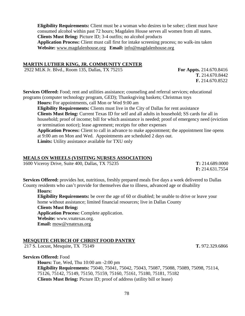**Eligibility Requirements:** Client must be a woman who desires to be sober; client must have consumed alcohol within past 72 hours; Magdalen House serves all women from all states. **Clients Must Bring:** Picture ID; 3-4 outfits; no alcohol products **Application Process:** Client must call first for intake screening process; no walk-ins taken **Website:** [www.magdalenhouse.org](http://www.magdalenhouse.org/) **Email:** [info@magdalenhouse.org](mailto:info@magdalenhouse.org)

#### **MARTIN LUTHER KING, JR. COMMUNITY CENTER**

2922 MLK Jr. Blvd., Room 135, Dallas, TX 75215 **For Appts.** 214.670.8416

**T.** 214.670.8442 **F.** 214.670.8522

**Services Offered:** Food; rent and utilities assistance; counseling and referral services; educational programs (computer technology program, GED); Thanksgiving baskets; Christmas toys

**Hours:** For appointments, call Mon or Wed 9:00 am

**Eligibility Requirements:** Clients must live in the City of Dallas for rent assistance **Clients Must Bring:** Current Texas ID for self and all adults in household; SS cards for all in household; proof of income; bill for which assistance is needed; proof of emergency need (eviction or termination notice); lease agreement; receipts for other expenses

**Application Process:** Client to call in advance to make appointment; the appointment line opens at 9:00 am on Mon and Wed. Appointments are scheduled 2 days out.

**Limits:** Utility assistance available for TXU only

#### **MEALS ON WHEELS (VISITING NURSES ASSOCIATION)**

1600 Viceroy Drive, Suite 400, Dallas, TX 75235 **T:** 214.689.0000

 **F:** 214.631.7554

**Services Offered:** provides hot, nutritious, freshly prepared meals five days a week delivered to Dallas County residents who can't provide for themselves due to illness, advanced age or disability

**Hours:**

**Eligibility Requirements:** be over the age of 60 or disabled; be unable to drive or leave your home without assistance; limited financial resources; live in Dallas County **Clients Must Bring:**

**Application Process:** Complete application.

**Website:** www.vnatexas.org.

**Email:** [mow@vnatexas.org](mailto:mow@vnatexas.org)

### **MESQUITE CHURCH OF CHRIST FOOD PANTRY**

217 S. Locust, Mesquite, TX 75149 **T.** 972.329.6866

**Services Offered:** Food

**Hours:** Tue, Wed, Thu 10:00 am -2:00 pm **Eligibility Requirements:** 75040, 75041, 75042, 75043, 75087, 75088, 75089, 75098, 75114, 75126, 75142, 75149, 75150, 75159, 75160, 75161, 75180, 75181, 75182 **Clients Must Bring:** Picture ID; proof of address (utility bill or lease)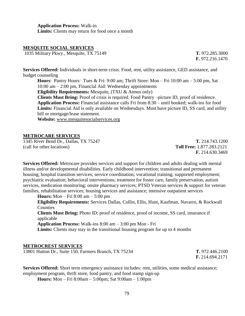**Application Process:** Walk-in **Limits:** Clients may return for food once a month

### **MESQUITE SOCIAL SERVICES**

1035 Military Pkwy., Mesquite, TX 75149 **T.** 972.285.3000

**F.** 972.216.1470

**Services Offered:** Individuals in short-term crisis. Food, rent, utility assistance, GED assistance, and budget counseling

**Hours**: Pantry Hours: Tues & Fri: 9:00 am; Thrift Store: Mon – Fri 10:00 am – 5:00 pm, Sat 10:00 am – 2:00 pm, Financial Aid: Wednesday appointments **Eligibility Requirements:** Mesquite, (TXU & Atmos only) **Clients Must Bring:** Proof of crisis is required. Food Pantry –picture ID, proof of residence. **Application Process:** Financial assistance calls Fri from 8:30 – until booked; walk-ins for food **Limits:** Financial Aid is only available on Wednesdays. Must have picture ID, SS card, and utility bill or mortgage/lease statement. **Website:** [www.mesquitesocialservices.org](http://www.mesquitesocialservices.org/)

#### **METROCARE SERVICES**

1345 River Bend Dr., Dallas, TX 75247 **T.** 214.743.1200 (call for other locations) **Toll Free:** 1.877.283.2121

**F.** 214.630.3469

**Services Offered:** Metrocare provides services and support for children and adults dealing with mental illness and/or developmental disabilities. Early childhood intervention; transitional and permanent housing; hospital transition services; service coordination; vocational training; supported employment; psychiatric evaluation; behavioral interventions; treatment for foster care, family preservation, autism services, medication monitoring; onsite pharmacy services; PTSD Veteran services & support for veteran families, rehabilitation services; housing services and assistance; intensive outpatient services

**Hours:** Mon – Fri 8:00 am – 5:00 pm

**Eligibility Requirements:** Services Dallas, Collin, Ellis, Hunt, Kaufman, Navarro, & Rockwall **Counties** 

**Clients Must Bring:** Photo ID; proof of residence, proof of income, SS card, insurance if applicable

**Application Process:** Walk-ins 8:00 am – 3:00 pm Mon - Fri

**Limits:** Clients may stay in the transitional housing program for up to 4 months

### **METROCREST SERVICES**

13801 Hutton Dr., Suite 150, Farmers Branch, TX 75234 **T.** 972.446.2100

**F.** 214.694.2171

**Services Offered:** Short term emergency assistance includes: rent, utilities, some medical assistance; employment program, thrift store, food pantry, and food stamp sign-up

**Hours:** Mon – Fri 8:00am – 5:00pm; Sat 9:00am – 1:00pm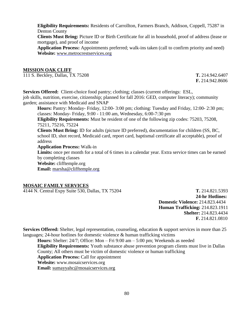**Eligibility Requirements:** Residents of Carrollton, Farmers Branch, Addison, Coppell, 75287 in Denton County

**Clients Must Bring:** Picture ID or Birth Certificate for all in household, proof of address (lease or mortgage), and proof of income

**Application Process:** Appointments preferred; walk-ins taken (call to confirm priority and need) **Website:** [www.metrocrestservices.org](http://www.metrocrestservices.org/)

#### **MISSION OAK CLIFF**

111 S. Beckley, Dallas, TX 75208 **T.** 214.942.6407

**F.** 214.942.8606

**Services Offered:** Client-choice food pantry; clothing; classes (current offerings: ESL, job skills, nutrition, exercise, citizenship; planned for fall 2016: GED, computer literacy); community garden; assistance with Medicaid and SNAP

**Hours:** Pantry: Monday- Friday, 12:00- 3:00 pm; clothing: Tuesday and Friday, 12:00- 2:30 pm; classes: Monday- Friday, 9:00 - 11:00 am, Wednesday, 6:00-7:30 pm

**Eligibility Requirements:** Must be resident of one of the following zip codes: 75203, 75208, 75211, 75216, 75224

**Clients Must Bring:** ID for adults (picture ID preferred), documentation for children (SS, BC, school ID, shot record, Medicaid card, report card, baptismal certificate all acceptable), proof of address

**Application Process:** Walk-in

**Limits:** once per month for a total of 6 times in a calendar year. Extra service times can be earned by completing classes

**Website:** [clifftemple.org](http://clifftemple.org/)

**Email:** [marsha@clifftemple.org](mailto:marsha@clifftemple.org)

### **MOSAIC FAMILY SERVICES**

4144 N. Central Expy Suite 530, Dallas, TX 75204 **T.** 214.821.5393

**24-hr Hotlines: Domestic Violence:** 214.823.4434 **Human Trafficking:** 214.823.1911 **Shelter:** 214.823.4434 **F.** 214.821.0810

**Services Offered:** Shelter, legal representation, counseling, education & support services in more than 25 languages; 24-hour hotlines for domestic violence  $\&$  human trafficking victims

**Hours:** Shelter: 24/7; Office: Mon – Fri 9:00 am – 5:00 pm; Weekends as needed **Eligibility Requirements:** Youth substance abuse prevention program clients must live in Dallas County; All others must be victim of domestic violence or human trafficking **Application Process:** Call for appointment **Website:** www.mosaicservices.org **Email:** [sumayyahc@mosaicservices.org](mailto:sumayyahc@mosaicservices.org)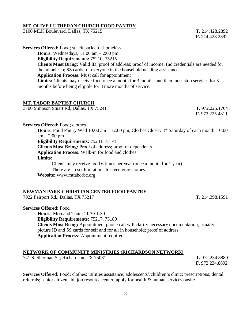### **MT. OLIVE LUTHERAN CHURCH FOOD PANTRY**

3100 MLK Boulevard, Dallas, TX 75215 **T.** 214.428.2892

**F.** 214.428.2892

**Services Offered:** Food; snack packs for homeless

**Hours:** Wednesdays, 11:00 am – 2:00 pm

**Eligibility Requirements:** 75210, 75215

**Clients Must Bring:** Valid ID; proof of address; proof of income; (no credentials are needed for the homeless); SS cards for everyone in the household needing assistance

**Application Process:** Must call for appointment

**Limits:** Clients may receive food once a month for 3 months and then must stop services for 3 months before being eligible for 3 more months of service.

# **MT. TABOR BAPTIST CHURCH**

3700 Simpson Stuart Rd, Dallas, TX 75241 **T.** 972.225.1704

**F.** 972.225.4811

**Services Offered:** Food; clothes

Hours: Food Pantry Wed 10:00 am – 12:00 pm; Clothes Closet: 3<sup>rd</sup> Saturday of each month, 10:00  $am - 2:00$  pm

**Eligibility Requirements:** 75241, 75141

**Clients Must Bring:** Proof of address; proof of dependents

**Application Process:** Walk-in for food and clothes

**Limits:**

 $\Box$  Clients may receive food 6 times per year (once a month for 1 year)

 $\Box$  There are no set limitations for receiving clothes

**Website:** www.mttaborbc.org

# **NEWMAN PARK CHRISTIAN CENTER FOOD PANTRY**

7922 Fairport Rd., Dallas, TX 75217 **T**. 214.398.1591

**Services Offered:** Food

**Hours:** Mon and Thurs 11:30-1:30

**Eligibility Requirements:** 75217, 75180 **Clients Must Bring:** Appointment phone call will clarify necessary documentation; usually picture ID and SS cards for self and for all in household; proof of address **Application Process:** Appointment required

# **NETWORK OF COMMUNITY MINISTRIES (RICHARDSON NETWORK)**

741 S. Sherman St., Richardson, TX 75081 **T.** 972.234.8880

**Services Offered:** Food; clothes; utilities assistance; adolescents'/children's clinic; prescriptions; dental referrals; senior citizen aid; job resource center; apply for health & human services onsite

**F.** 972.234.8892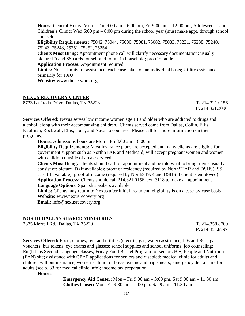**Hours:** General Hours: Mon – Thu 9:00 am – 6:00 pm, Fri 9:00 am – 12:00 pm; Adolescents' and Children's Clinic: Wed  $6:00 \text{ pm} - 8:00 \text{ pm}$  during the school year (must make appt. through school counselor)

**Eligibility Requirements:** 75042, 75044, 75080, 75081, 75082, 75083, 75231, 75238, 75240, 75243, 75248, 75251, 75252, 75254

**Clients Must Bring:** Appointment phone call will clarify necessary documentation; usually picture ID and SS cards for self and for all in household; proof of address **Application Process:** Appointment required

**Limits:** No set limits for assistance; each case taken on an individual basis; Utility assistance primarily for TXU

**Website:** www.thenetwork.org

### **NEXUS RECOVERY CENTER**

8733 La Prada Drive, Dallas, TX 75228 **T.** 214.321.0156

**F.** 214.321.3096

**Services Offered:** Nexus serves low income women age 13 and older who are addicted to drugs and alcohol, along with their accompanying children. Clients served come from Dallas, Collin, Ellis, Kaufman, Rockwall, Ellis, Hunt, and Navarro counties. Please call for more information on their programs.

**Hours:** Admissions hours are Mon – Fri 8:00 am – 6:00 pm

**Eligibility Requirements:** Most insurance plans are accepted and many clients are eligible for government support such as NorthSTAR and Medicaid; will accept pregnant women and women with children outside of areas serviced

**Clients Must Bring:** Clients should call for appointment and be told what to bring; items usually consist of: picture ID (if available); proof of residency (required by NorthSTAR and DSHS); SS card (if available); proof of income (required by NorthSTAR and DSHS if client is employed) **Application Process:** Clients should call 214.321.0156, ext. 3118 to make an appointment **Language Options:** Spanish speakers available

Limits: Clients may return to Nexus after initial treatment; eligibility is on a case-by-case basis **Website:** www.nexusrecovery.org

**Email:** [info@nexusrecovery.org](mailto:info@nexusrecovery.org)

# **NORTH DALLAS SHARED MINISTRIES**

2875 Merrell Rd., Dallas, TX 75229 **T.** 214.358.8700

**F.** 214.358.8797

**Services Offered:** Food; clothes; rent and utilities (electric, gas, water) assistance; IDs and BCs; gas vouchers; bus tokens; eye exams and glasses; school supplies and school uniforms; job counseling; English as Second Language classes; Friday Food Basket Program for seniors 60+; People and Nutrition (PAN) site; assistance with CEAP applications for seniors and disabled; medical clinic for adults and children without insurance; women's clinic for breast exams and pap smears; emergency dental care for adults (see p. 33 for medical clinic info); income tax preparation

**Hours:**

**Emergency Aid Center:** Mon – Fri 9:00 am – 3:00 pm, Sat 9:00 am – 11:30 am **Clothes Closet:** Mon–Fri 9:30 am – 2:00 pm, Sat 9 am – 11:30 am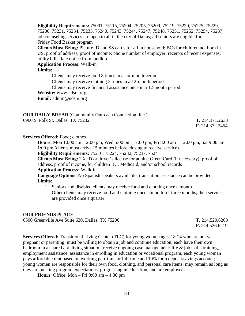**Eligibility Requirements:** 75001, 75115, 75204, 75205, 75209, 75219, 75220, 75225, 75229, 75230, 75231, 75234, 75235, 75240, 75243, 75244, 75247, 75248, 75251, 75252, 75254, 75287; job counseling services are open to all in the city of Dallas; all seniors are eligible for Friday Food Basket program

**Clients Must Bring:** Picture ID and SS cards for all in household; BCs for children not born in US; proof of address; proof of income; phone number of employer; receipts of recent expenses; utility bills; late notice from landlord

**Application Process:** Walk-in

**Limits:**

- $\Box$  Clients may receive food 8 times in a six-month period
- $\Box$  Clients may receive clothing 3 times in a 12-month period
- $\Box$  Clients may receive financial assistance once in a 12-month period

**Website:** www.ndsm.org

**Email:** admin@ndsm.org

| <b>OUR DAILY BREAD</b> (Community Outreach Connection, Inc.) |                        |
|--------------------------------------------------------------|------------------------|
| 6960 S. Polk St. Dallas, TX 75232                            | T. 214.371.2633        |
|                                                              | <b>F.</b> 214.372.2454 |

### **Services Offered:** Food; clothes

**Hours:** Mon 10:00 am – 2:00 pm, Wed 5:00 pm – 7:00 pm, Fri 8:00 am – 12:00 pm, Sat 9:00 am – 1:00 pm (clients must arrive 15 minutes before closing to receive service)

**Eligibility Requirements:** 75216, 75224, 75232, 75237, 75241

**Clients Must Bring:** TX ID or driver's license for adults; Green Card (if necessary); proof of address, proof of income, for children BC, Medicaid, and/or school records

**Application Process:** Walk-in

**Language Options:** No Spanish speakers available; translation assistance can be provided **Limits:**

- $\Box$  Seniors and disabled clients may receive food and clothing once a month
- $\Box$  Other clients may receive food and clothing once a month for three months, then services are provided once a quarter

### **OUR FRIENDS PLACE**

6500 Greenville Ave Suite 620, Dallas, TX 75206 **T.** 214.520.6268

**F.** 214.526.6219

**Services Offered:** Transitional Living Center (TLC) for young women ages 18-24 who are not yet pregnant or parenting; must be willing to obtain a job and continue education; each have their own bedroom in a shared apt. living situation; receive ongoing case management: life & job skills training, employment assistance, assistance in enrolling in education or vocational program; each young woman pays affordable rent based on working part-time or full-time and 10% for a deposit/savings account; young women are responsible for their own food, clothing, and personal care items; may remain as long as they are meeting program expectations, progressing in education, and are employed.

**Hours:** Office: Mon – Fri 9:00 am – 4:30 pm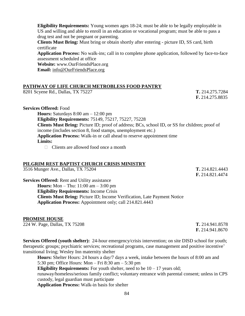**Eligibility Requirements:** Young women ages 18-24; must be able to be legally employable in US and willing and able to enroll in an education or vocational program; must be able to pass a drug test and not be pregnant or parenting.

**Clients Must Bring:** Must bring or obtain shortly after entering - picture ID, SS card, birth certificate

**Application Process:** No walk-ins; call in to complete phone application, followed by face-to-face assessment scheduled at office

**Website:** www.OurFriendsPlace.org

**Email:** [info@OurFriendsPlace.org](mailto:info@OurFriendsPlace.org)

### **PATHWAY OF LIFE CHURCH METROBLESS FOOD PANTRY**

8201 Scyene Rd., Dallas, TX 75227 **T.** 214.275.7284

**F.** 214.275.8835

#### **Services Offered:** Food

**Hours:** Saturdays 8:00 am – 12:00 pm

**Eligibility Requirements:** 75149, 75217, 75227, 75228

**Clients Must Bring:** Picture ID; proof of address; BCs, school ID, or SS for children; proof of income (includes section 8, food stamps, unemployment etc.)

**Application Process:** Walk-in or call ahead to reserve appointment time

#### **Limits:**

 $\Box$  Clients are allowed food once a month

### **PILGRIM REST BAPTIST CHURCH CRISIS MINISTRY**

3516 Munger Ave., Dallas, TX 75204 **T.** 214.821.4443

**F.** 214.821.4474

**Services Offered:** Rent and Utility assistance **Hours:** Mon – Thu: 11:00 am – 3:00 pm **Eligibility Requirements:** Income Crisis **Clients Must Bring:** Picture ID; Income Verification, Late Payment Notice **Application Process:** Appointment only; call 214.821.4443

### **PROMISE HOUSE**

224 W. Page, Dallas, TX 75208 **T.** 214.941.8578

**F.** 214.941.8670

**Services Offered (youth shelter):** 24-hour emergency/crisis intervention; on site DISD school for youth; therapeutic groups; psychiatric services; recreational programs, case management and positive incentive' transitional living; Wesley Inn maternity shelter

**Hours:** Shelter Hours: 24 hours a day/7 days a week, intake between the hours of 8:00 am and 5:30 pm; Office Hours: Mon – Fri 8:30 am – 5:30 pm

**Eligibility Requirements:** For youth shelter, need to be  $10 - 17$  years old;

runaway/homeless/serious family conflict; voluntary entrance with parental consent; unless in CPS custody, legal guardian must participate

**Application Process:** Walk-in basis for shelter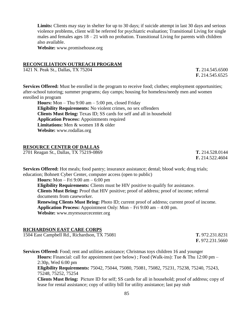**Limits:** Clients may stay in shelter for up to 30 days; if suicide attempt in last 30 days and serious violence problems, client will be referred for psychiatric evaluation; Transitional Living for single males and females ages  $18 - 21$  with no probation. Transitional Living for parents with children also available.

**Website:** www.promisehouse.org

#### **RECONCILIATION OUTREACH PROGRAM**

1421 N. Peak St., Dallas, TX 75204 **T.** 214.545.6500

**F.** 214.545.6525

**Services Offered:** Must be enrolled in the program to receive food; clothes; employment opportunities; after-school tutoring; summer programs; day camps; housing for homeless/needy men and women enrolled in program

**Hours:** Mon – Thu 9:00 am – 5:00 pm, closed Friday **Eligibility Requirements:** No violent crimes, no sex offenders **Clients Must Bring:** Texas ID; SS cards for self and all in household **Application Process:** Appointments required **Limitations:** Men & women 18 & older **Website:** www.rodallas.org

### **RESOURCE CENTER OF DALLAS**

2701 Reagan St., Dallas, TX 75219-0869 **T.** 214.528.0144

**F.** 214.522.4604

**Services Offered:** Hot meals; food pantry; insurance assistance; dental; blood work; drug trials; education; Bohnett Cyber Center, computer access (open to public)

**Hours:** Mon – Fri 9:00 am – 6:00 pm **Eligibility Requirements:** Clients must be HIV positive to qualify for assistance. **Clients Must Bring:** Proof that HIV positive; proof of address; proof of income; referral documents from caseworker. **Renewing Clients Must Bring:** Photo ID; current proof of address; current proof of income. **Application Process:** Appointment Only: Mon – Fri 9:00 am – 4:00 pm. **Website:** www.myresourcecenter.org

### **RICHARDSON EAST CARE CORPS**

1504 East Campbell Rd., Richardson, TX 75081 **T.** 972.231.8231

**F.** 972.231.5660

**Services Offered:** Food; rent and utilities assistance; Christmas toys children 16 and younger **Hours:** Financial: call for appointment (see below) ; Food (Walk-ins): Tue & Thu 12:00 pm – 2:30p, Wed 6:00 pm **Eligibility Requirements:** 75042, 75044, 75080, 75081, 75082, 75231, 75238, 75240, 75243, 75248, 75252, 75254

**Clients Must Bring:** Picture ID for self; SS cards for all in household; proof of address; copy of lease for rental assistance; copy of utility bill for utility assistance; last pay stub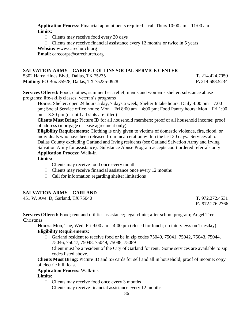**Application Process:** Financial appointments required – call Thurs 10:00 am – 11:00 am **Limits:**

 $\Box$  Clients may receive food every 30 days

 $\Box$  Clients may receive financial assistance every 12 months or twice in 5 years **Website:** www.carechurch.org

**Email**: carecorps@carechurch.org

# **SALVATION ARMY—CARR P. COLLINS SOCIAL SERVICE CENTER**

5302 Harry Hines Blvd., Dallas, TX 75235 **T.** 214.424.7050 **Mailing:** PO Box 35928, Dallas, TX 75235-0928 **F.** 214.688.5234

**Services Offered:** Food; clothes; summer heat relief; men's and women's shelter; substance abuse programs; life-skills classes; veteran's programs

**Hours:** Shelter: open 24 hours a day, 7 days a week; Shelter Intake hours: Daily 4:00 pm – 7:00 pm; Social Service office hours: Mon – Fri 8:00 am – 4:00 pm; Food Pantry hours: Mon – Fri 1:00  $pm - 3:30$  pm (or until all slots are filled)

**Clients Must Bring:** Picture ID for all household members; proof of all household income; proof of address (mortgage or lease agreement only)

**Eligibility Requirements:** Clothing is only given to victims of domestic violence, fire, flood, or individuals who have been released from incarceration within the last 30 days. Services all of Dallas County excluding Garland and Irving residents (see Garland Salvation Army and Irving Salvation Army for assistance). Substance Abuse Program accepts court ordered referrals only **Application Process:** Walk-in

# **Limits:**

- $\Box$  Clients may receive food once every month
- $\Box$  Clients may receive financial assistance once every 12 months
- $\Box$  Call for information regarding shelter limitations

### **SALVATION ARMY—GARLAND**

451 W. Ave. D, Garland, TX 75040 **T.** 972.272.4531

**F.** 972.276.2766

**Services Offered:** Food; rent and utilities assistance; legal clinic; after school program; Angel Tree at Christmas

**Hours:** Mon, Tue, Wed, Fri 9:00 am – 4:00 pm (closed for lunch; no interviews on Tuesday) **Eligibility Requirements:**

- Garland resident to receive food or be in zip codes  $75040, 75041, 75042, 75043, 75044$ , 75046, 75047, 75048, 75049, 75088, 75089
- $\Box$  Client must be a resident of the City of Garland for rent. Some services are available to zip codes listed above.

**Clients Must Bring:** Picture ID and SS cards for self and all in household; proof of income; copy of electric bill; lease

#### **Application Process:** Walk-ins

### **Limits:**

- $\Box$  Clients may receive food once every 3 months
- $\Box$  Clients may receive financial assistance every 12 months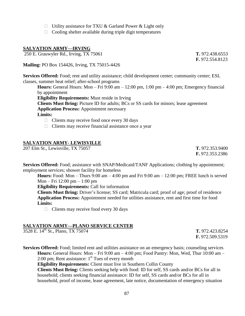- $\Box$  Utility assistance for TXU & Garland Power & Light only
- $\Box$  Cooling shelter available during triple digit temperatures

# **SALVATION ARMY—IRVING**

250 E. Grauwyler Rd., Irving, TX 75061 **T.** 972.438.6553

**Mailing:** PO Box 154426, Irving, TX 75015-4426

**Services Offered:** Food; rent and utility assistance; child development center; community center; ESL classes, summer heat relief; after-school programs

**Hours:** General Hours: Mon – Fri  $9:00 \text{ am} - 12:00 \text{ pm}$ ,  $1:00 \text{ pm} - 4:00 \text{ pm}$ ; Emergency financial by appointment

**Eligibility Requirements:** Must reside in Irving

**Clients Must Bring:** Picture ID for adults; BCs or SS cards for minors; lease agreement

**Application Process:** Appointment necessary

# **Limits:**

- $\Box$  Clients may receive food once every 30 days
- $\Box$  Clients may receive financial assistance once a year

# **SALVATION ARMY- LEWISVILLE**

207 Elm St., Lewisville, TX 75057 **T.** 972.353.9400

**F.** 972.353.2386

**Services Offered:** Food; assistance with SNAP/Medicaid/TANF Applications; clothing by appointment; employment services; shower facility for homeless

**Hours:** Food: Mon – Thurs  $9:00 \text{ am} - 4:00 \text{ pm}$  and Fri  $9:00 \text{ am} - 12:00 \text{ pm}$ ; FREE lunch is served Mon – Fri 12:00 pm – 1:00 pm

**Eligibility Requirements:** Call for information

**Clients Must Bring:** Driver's license; SS card; Matricula card; proof of age; proof of residence **Application Process:** Appointment needed for utilities assistance, rent and first time for food **Limits:**

 $\Box$  Clients may receive food every 30 days

### **SALVATION ARMY—PLANO SERVICE CENTER**

3528 E. 14th St., Plano, TX 75074 **T.** 972.423.8254

**F.** 972.509.5319

**Services Offered:** Food; limited rent and utilities assistance on an emergency basis; counseling services **Hours:** General Hours: Mon – Fri 9:00 am – 4:00 pm; Food Pantry: Mon, Wed, Thur 10:00 am – 2:00 pm; Rent assistance:  $1<sup>st</sup>$  Tues of every month

**Eligibility Requirements:** Client must live in Southern Collin County

**Clients Must Bring:** Clients seeking help with food: ID for self, SS cards and/or BCs for all in household; clients seeking financial assistance: ID for self, SS cards and/or BCs for all in household, proof of income, lease agreement, late notice, documentation of emergency situation

**F.** 972.554.8123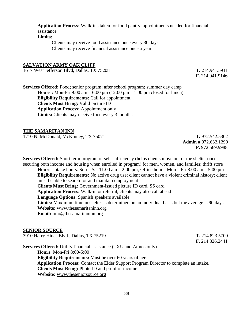**Application Process:** Walk-ins taken for food pantry; appointments needed for financial assistance

#### **Limits:**

- $\Box$  Clients may receive food assistance once every 30 days
- $\Box$  Clients may receive financial assistance once a year

#### **SALVATION ARMY OAK CLIFF**

1617 West Jefferson Blvd, Dallas, TX 75208 **T.** 214.941.5911

**F.** 214.941.9146

**Services Offered:** Food; senior program; after school program; summer day camp **Hours :** Mon-Fri 9:00 am – 6:00 pm (12:00 pm – 1:00 pm closed for lunch) **Eligibility Requirements:** Call for appointment **Clients Must Bring:** Valid picture ID **Application Process:** Appointment only **Limits:** Clients may receive food every 3 months

#### **THE SAMARITAN INN**

1710 N. McDonald, McKinney, TX 75071 **T.** 972.542.5302

**Admin #** 972.632.1290 **F.** 972.569.9988

**Services Offered:** Short term program of self-sufficiency (helps clients move out of the shelter once securing both income and housing when enrolled in program) for men, women, and families; thrift store **Hours:** Intake hours: Sun – Sat 11:00 am – 2:00 pm; Office hours: Mon – Fri 8:00 am – 5:00 pm

**Eligibility Requirements:** No active drug use; client cannot have a violent criminal history; client must be able to search for and maintain employment **Clients Must Bring:** Government-issued picture ID card, SS card **Application Process:** Walk-in or referral; clients may also call ahead **Language Options:** Spanish speakers available **Limits:** Maximum time in shelter is determined on an individual basis but the average is 90 days **Website:** www.thesamaritaninn.org **Email:** [info@thesamaritaninn.org](mailto:info@thesamaritaninn.org)

#### **SENIOR SOURCE**

| 3910 Harry Hines Blvd., Dallas, TX 75219                                                      | T. 214.823.5700 |
|-----------------------------------------------------------------------------------------------|-----------------|
|                                                                                               | F. 214.826.2441 |
| <b>Services Offered:</b> Utility financial assistance (TXU and Atmos only)                    |                 |
| <b>Hours:</b> Mon-Fri 8:00-5:00                                                               |                 |
| <b>Eligibility Requirements:</b> Must be over 60 years of age.                                |                 |
| <b>Application Process:</b> Contact the Elder Support Program Director to complete an intake. |                 |
| <b>Clients Must Bring:</b> Photo ID and proof of income                                       |                 |
| Website: www.theseniorsource.org                                                              |                 |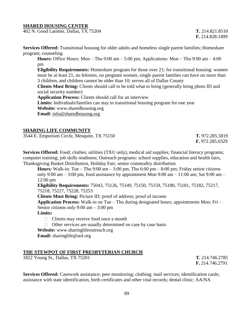#### **SHARED HOUSING CENTER**

402 N. Good Latimer, Dallas, TX 75204 **T.** 214.821.8510

**F.** 214.828.1499

**Services Offered:** Transitional housing for older adults and homeless single parent families; Homeshare program; counseling

**Hours:** Office Hours: Mon – Thu 9:00 am – 5:00 pm; Applications: Mon – Thu 9:00 am – 4:00 pm

**Eligibility Requirements:** Homeshare program for those over 21; for transitional housing: women must be at least 21, no felonies, no pregnant women, single parent families can have no more than 3 children, and children cannot be older than 10; serves all of Dallas County

**Clients Must Bring:** Clients should call to be told what to bring (generally bring photo ID and social security number)

**Application Process:** Clients should call for an interview

**Limits:** Individuals/families can stay in transitional housing program for one year

**Website:** www.sharedhousing.org

**Email:** [info@sharedhousing.org](mailto:info@sharedhousing.org)

#### **SHARING LIFE COMMUNITY**

3544 E. Emporium Circle, Mesquite, TX 75150 **T.** 972.285.5819

**F.** 972.285.0329

**Services Offered:** Food; clothes; utilities (TXU only), medical aid supplies; financial literacy programs; computer training; job skills readiness; Outreach programs: school supplies, education and health fairs, Thanksgiving Basket Distribution, Holiday Fair; senior commodity distribution

**Hours:** Walk-in: Tue – Thu  $9:00 \text{ am} - 3:00 \text{ pm}$ , Thu  $6:00 \text{ pm} - 8:00 \text{ pm}$ ; Friday senior citizens only 9:00 am – 3:00 pm, food assistance by appointment Mon 9:00 am – 11:00 am; Sat 9:00 am – 12:00 pm

**Eligibility Requirements:** 75043, 75126, 75149, 75150, 75159, 75180, 75181, 75182, 75217, 75218, 75227, 75228, 75253

**Clients Must Bring:** Picture ID; proof of address; proof of income

**Application Process:** Walk-in on Tue – Thu during designated hours; appointments Mon; Fri – Senior citizens only 9:00 am – 3:00 pm

### **Limits:**

- $\Box$  Clients may receive food once a month
- $\Box$  Other services are usually determined on case by case basis

**Website:** www.sharinglifeoutreach.org

**Email:** sharinglife@aol.org

### **THE STEWPOT OF FIRST PRESBYTERIAN CHURCH**

1822 Young St., Dallas, TX 75201 **T.** 214.746.2785

**F.** 214.746.2791

**Services Offered:** Casework assistance; peer monitoring; clothing; mail services; identification cards; assistance with state identification, birth certificates and other vital records; dental clinic; AA/NA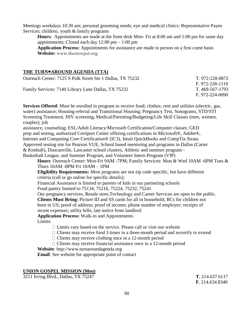Meetings weekdays 10:30 am; personal grooming needs; eye and medical clinics: Representative Payee Services; children, youth & family programs

**Hours:** Appointments are made at the front desk Mon- Fri at 8:00 am and 1:00 pm for same day appointments; Closed each day  $12:00 \text{ pm} - 1:00 \text{ pm}$ 

**Application Process:** Appointments for assistance are made in person on a first come basis **Website:** [www.thestewpot.org](http://www.thestewpot.org/)

### **THE TURN**●**AROUND AGENDA (TTA)**

| Outreach Center: 7125 S Polk Street Ste 1 Dallas, TX 75232 | T. 972-228-0872 |
|------------------------------------------------------------|-----------------|
|                                                            | F. 972-228-1110 |
| Family Services: 7140 Library Lane Dallas, TX 75232        | T. 469-567-1793 |
|                                                            | F. 972-224-0090 |

**Services Offered**: Must be enrolled in program to receive food; clothes; rent and utilities (electric, gas, water) assistance; Housing referral and Transitional Housing; Pregnancy Test, Sonograms, STD/STI Screening Treatment, HIV screening, Medical/Parenting/Budgeting/Life Skill Classes (men, women, couples); job assistance, counseling; ESL/Adult Literacy/Microsoft Certification/Computer classes; GED

prep and testing, authorized Certiport Center offering certifications in Microsoft®, Adobe®,

Internet and Computing Core Certification® (IC3), Intuit QuickBooks and CompTia Strata.

Approved testing site for Pearson VUE, School based mentoring and programs in Dallas (Carter

& Kimball), Duncanville, Lancaster school clusters, Athletic and summer program -

Basketball League, and Summer Program, and Volunteer Intern Program (VIP)

**Hours**: Outreach Center: Mon-Fri 9AM -7PM; Family Services: Mon & Wed 10AM -6PM Tues & Thurs 10AM -8PM Fri 10AM – 1PM

**Eligibility Requirements:** Most programs are not zip code specific, but have different criteria (call or go online for specific details);

Financial Assistance is limited to parents of kids in our partnering schools

Food pantry limited to 75134, 75216, 75224, 75232, 75241

Our pregnancy services, Resale store,Technology and Career Services are open to the public.

**Clients Must Bring:** Picture ID and SS cards for all in household; BCs for children not born in US; proof of address; proof of income; phone number of employer; receipts of

recent expenses; utility bills; late notice from landlord

**Application Process:** Walk-in and Appointments

Limits:

 $\Box$  Limits vary based on the service. Please call or visit our website

- $\Box$  Clients may receive food 3 times in a three-month period and recertify to extend
- $\Box$  Clients may receive clothing once in a 12-month period

 $\Box$  Clients may receive financial assistance once in a 12-month period

**Website**: http://www.turnaroundagenda.org

**Email**: See website for appropriate point of contact

# **UNION GOSPEL MISSION (Men)**

3211 Irving Blvd., Dallas, TX 75247 **T.** 214.637.6117

**F**. 214.634.8340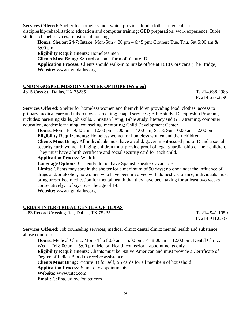**Services Offered:** Shelter for homeless men which provides food; clothes; medical care; discipleship/rehabilitation; education and computer training; GED preparation; work experience; Bible studies; chapel services; transitional housing **Hours:** Shelter: 24/7; Intake: Mon-Sun 4:30 pm – 6:45 pm; Clothes: Tue, Thu, Sat 5:00 am &

6:00 pm **Eligibility Requirements:** Homeless men **Clients Must Bring:** SS card or some form of picture ID **Application Process:** Clients should walk-in to intake office at 1818 Corsicana (The Bridge) **Website:** [www.ugmdallas.org](http://www.ugmdallas.org/)

### **UNION GOSPEL MISSION CENTER OF HOPE (Women)**

4815 Cass St., Dallas, TX 75235 **T.** 214.638.2988

**F.** 214.637.2790

**Services Offered:** Shelter for homeless women and their children providing food, clothes, access to primary medical care and tuberculosis screening; chapel services,; Bible study; Discipleship Program, includes: parenting skills, job skills, Christian living, Bible study, literacy and GED training, computer education, academic training, counseling, mentoring; Child Development Center

**Hours:** Mon – Fri 9:30 am – 12:00 pm, 1:00 pm – 4:00 pm; Sat & Sun 10:00 am – 2:00 pm **Eligibility Requirements:** Homeless women or homeless women and their children **Clients Must Bring:** All individuals must have a valid, government-issued photo ID and a social security card; women bringing children must provide proof of legal guardianship of their children. They must have a birth certificate and social security card for each child.

**Application Process:** Walk-in

**Language Options:** Currently do not have Spanish speakers available

**Limits:** Clients may stay in the shelter for a maximum of 90 days; no one under the influence of drugs and/or alcohol; no women who have been involved with domestic violence; individuals must bring prescribed medication for mental health that they have been taking for at least two weeks consecutively; no boys over the age of 14.

**Website:** www.ugmdallas.org

# **URBAN INTER-TRIBAL CENTER OF TEXAS**

1283 Record Crossing Rd., Dallas, TX 75235 **T.** 214.941.1050

 **F.** 214.941.6537

**Services Offered:** Job counseling services; medical clinic; dental clinic; mental health and substance abuse counselor

**Hours:** Medical Clinic: Mon - Thu 8:00 am – 5:00 pm; Fri 8:00 am – 12:00 pm; Dental Clinic: Wed – Fri 8:00 am – 5:00 pm; Mental Health counselor—appointments only **Eligibility Requirements:** Clients must be Native American and must provide a Certificate of Degree of Indian Blood to receive assistance

**Clients Must Bring:** Picture ID for self; SS cards for all members of household

**Application Process:** Same-day appointments

**Website:** www.uitct.com

**Email:** Celina.ludlow@uitct.com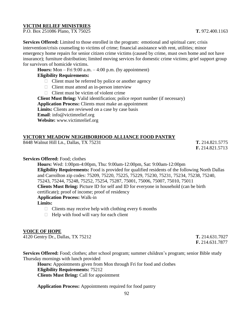### **VICTIM RELIEF MINISTRIES**

P.O. Box 251086 Plano, TX 75025 **T.** 972.400.1163

**Services Offered:** Limited to those enrolled in the program: emotional and spiritual care; crisis intervention/crisis counseling to victims of crime; financial assistance with rent, utilities; minor emergency home repairs for senior citizen crime victims (caused by crime, must own home and not have insurance); furniture distribution; limited moving services for domestic crime victims; grief support group for survivors of homicide victims.

**Hours:** Mon – Fri 9:00 a.m. – 4:00 p.m. (by appointment)

### **Eligibility Requirements:**

- $\Box$  Client must be referred by police or another agency
- $\Box$  Client must attend an in-person interview
- $\Box$  Client must be victim of violent crime

**Client Must Bring:** Valid identification; police report number (if necessary) **Application Process:** Clients must make an appointment Limits: Clients are reviewed on a case by case basis **Email**: info@victimrelief.org **Website:** www.victimrelief.org

# **VICTORY MEADOW NEIGHBORHOOD ALLIANCE FOOD PANTRY**

8448 Walnut Hill Ln., Dallas, TX 75231 **T.** 214.821.5775

**F.** 214.821.5713

### **Services Offered:** Food; clothes

**Hours:** Wed: 1:00pm-4:00pm, Thu: 9:00am-12:00pm, Sat: 9:00am-12:00pm **Eligibility Requirements:** Food is provided for qualified residents of the following North Dallas and Carrollton zip codes: 75209, 75220, 75225, 75229, 75230, 75231, 75234, 75238, 75240, 75243, 75244, 75248, 75252, 75254, 75287, 75001, 75006, 75007, 75010, 75011 **Clients Must Bring:** Picture ID for self and ID for everyone in household (can be birth certificate); proof of income; proof of residency **Application Process:** Walk-in

# **Limits:**

- $\Box$  Clients may receive help with clothing every 6 months
- $\Box$  Help with food will vary for each client

### **VOICE OF HOPE**

4120 Gentry Dr., Dallas, TX 75212 **T.** 214.631.7027

**F.** 214.631.7877

**Services Offered:** Food; clothes; after school program; summer children's program; senior Bible study Thursday mornings with lunch provided

**Hours:** Appointments given from Mon through Fri for food and clothes **Eligibility Requirements:** 75212 **Clients Must Bring:** Call for appointment

**Application Process:** Appointments required for food pantry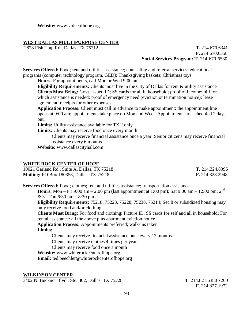**Website:** www.voiceofhope.org

# **WEST DALLAS MULTIPURPOSE CENTER**

2828 Fish Trap Rd., Dallas, TX 75212 **T.** 214.670.6341 **F.** 214.670.6358  **Social Services Program: T.** 214-670-6530

**Services Offered:** Food; rent and utilities assistance; counseling and referral services; educational programs (computer technology program, GED); Thanksgiving baskets; Christmas toys

**Hours:** For appointments, call Mon or Wed 9:00 am

**Eligibility Requirements:** Clients must live in the City of Dallas for rent & utility assistance **Clients Must Bring:** Govt. issued ID; SS cards for all in household; proof of income; bill for which assistance is needed; proof of emergency need (eviction or termination notice); lease agreement; receipts for other expenses

**Application Process:** Client must call in advance to make appointment; the appointment line opens at 9:00 am; appointments take place on Mon and Wed. Appointments are scheduled 2 days out.

**Limits:** Utility assistance available for TXU only

**Limits:** Clients may receive food once every month

 $\Box$  Clients may receive financial assistance once a year; Senior citizens may receive financial assistance every 6 months

**Website:** www.dallascityhall.com

### **WHITE ROCK CENTER OF HOPE**

| 10021 Garland Rd., Suite A, Dallas, TX 75218    | T. 214.324.8996 |
|-------------------------------------------------|-----------------|
| <b>Mailing: PO Box 180358, Dallas, TX 75218</b> | F. 214.328.2948 |

**Services Offered:** Food; clothes; rent and utilities assistance; transportation assistance

**Hours:** Mon – Fri 9:00 am – 2:00 pm (last appointment at 1:00 pm); Sat 9:00 am – 12:00 pm; 2<sup>nd</sup>  $& 3^{\text{rd}}$  Thu 6:30 pm – 8:30 pm

**Eligibility Requirements:** 75218, 75223, 75228, 75238, 75214; Sec 8 or subsidized housing may only receive food and/or clothing

**Clients Must Bring:** For food and clothing: Picture ID, SS cards for self and all in household; For rental assistance: all the above plus apartment eviction notice

**Application Process:** Appointments preferred; walk-ins taken **Limits:**

- $\Box$  Clients may receive financial assistance once every 12 months
- $\Box$  Clients may receive clothes 4 times per year
- $\Box$  Clients may receive food once a month

**Website:** www.whiterockcenterofhope.org

**Email:** ted.beechler@whiterockcenterofhope.org

#### **WILKINSON CENTER**

3402 N. Buckner Blvd., Ste. 302, Dallas, TX 75228 **T**. 214.821.6380 x200

**F**. 214.827.1972